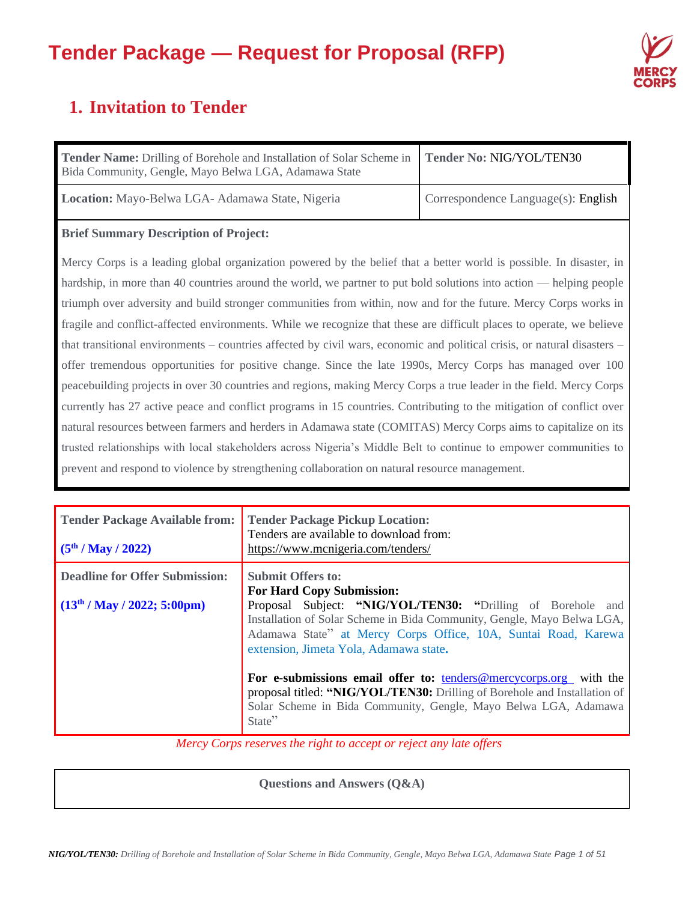

# **1. Invitation to Tender**

| <b>Tender Name:</b> Drilling of Borehole and Installation of Solar Scheme in<br>Bida Community, Gengle, Mayo Belwa LGA, Adamawa State | Tender No: NIG/YOL/TEN30            |
|---------------------------------------------------------------------------------------------------------------------------------------|-------------------------------------|
| Location: Mayo-Belwa LGA- Adamawa State, Nigeria                                                                                      | Correspondence Language(s): English |

### **Brief Summary Description of Project:**

Mercy Corps is a leading global organization powered by the belief that a better world is possible. In disaster, in hardship, in more than 40 countries around the world, we partner to put bold solutions into action — helping people triumph over adversity and build stronger communities from within, now and for the future. Mercy Corps works in fragile and conflict-affected environments. While we recognize that these are difficult places to operate, we believe that transitional environments – countries affected by civil wars, economic and political crisis, or natural disasters – offer tremendous opportunities for positive change. Since the late 1990s, Mercy Corps has managed over 100 peacebuilding projects in over 30 countries and regions, making Mercy Corps a true leader in the field. Mercy Corps currently has 27 active peace and conflict programs in 15 countries. Contributing to the mitigation of conflict over natural resources between farmers and herders in Adamawa state (COMITAS) Mercy Corps aims to capitalize on its trusted relationships with local stakeholders across Nigeria's Middle Belt to continue to empower communities to prevent and respond to violence by strengthening collaboration on natural resource management.

| <b>Tender Package Available from:</b><br>(5 <sup>th</sup> / May / 2022) | <b>Tender Package Pickup Location:</b><br>Tenders are available to download from:<br>https://www.mcnigeria.com/tenders/                                                                                                                            |
|-------------------------------------------------------------------------|----------------------------------------------------------------------------------------------------------------------------------------------------------------------------------------------------------------------------------------------------|
| <b>Deadline for Offer Submission:</b>                                   | <b>Submit Offers to:</b><br><b>For Hard Copy Submission:</b>                                                                                                                                                                                       |
| $(13th / May / 2022; 5:00pm)$                                           | Proposal Subject: "NIG/YOL/TEN30: "Drilling of Borehole and<br>Installation of Solar Scheme in Bida Community, Gengle, Mayo Belwa LGA,<br>Adamawa State" at Mercy Corps Office, 10A, Suntai Road, Karewa<br>extension, Jimeta Yola, Adamawa state. |
|                                                                         | For e-submissions email offer to: $t$ enders@mercycorps.org with the<br>proposal titled: "NIG/YOL/TEN30: Drilling of Borehole and Installation of<br>Solar Scheme in Bida Community, Gengle, Mayo Belwa LGA, Adamawa<br>State"                     |

*Mercy Corps reserves the right to accept or reject any late offers*

**Questions and Answers (Q&A)**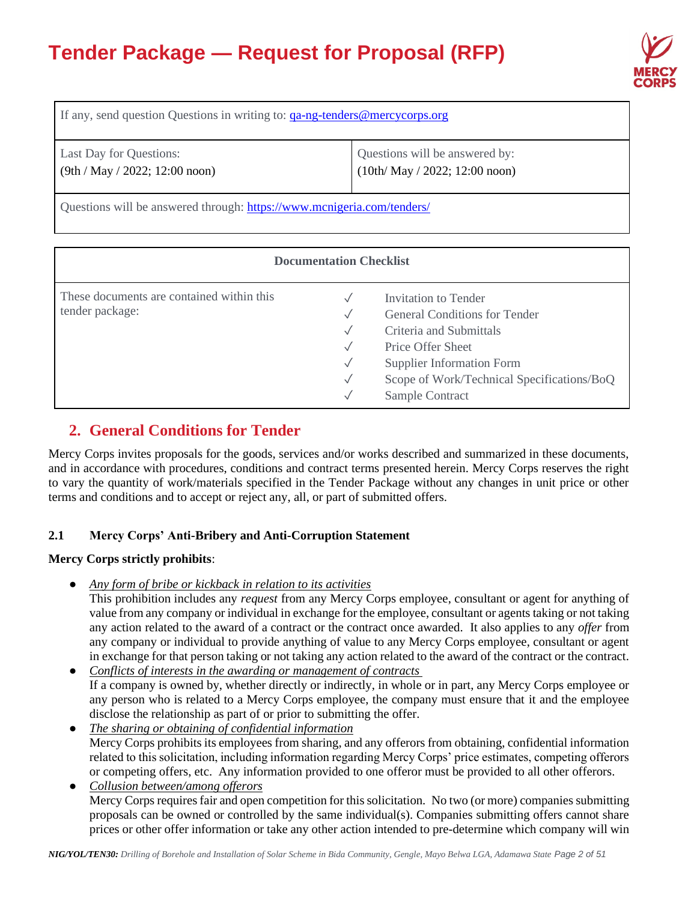

| If any, send question Questions in writing to: ga-ng-tenders@mercycorps.org |                                                                   |  |
|-----------------------------------------------------------------------------|-------------------------------------------------------------------|--|
| Last Day for Questions:<br>$(9th / May / 2022; 12:00$ noon)                 | Questions will be answered by:<br>$(10th/May / 2022; 12:00$ noon) |  |
| Questions will be answered through: https://www.mcnigeria.com/tenders/      |                                                                   |  |

| <b>Documentation Checklist</b>                               |                                                           |                                                                                                                                                  |  |
|--------------------------------------------------------------|-----------------------------------------------------------|--------------------------------------------------------------------------------------------------------------------------------------------------|--|
| These documents are contained within this<br>tender package: | $\checkmark$<br>$\checkmark$<br>$\sqrt{}$<br>$\checkmark$ | Invitation to Tender<br><b>General Conditions for Tender</b><br>Criteria and Submittals<br>Price Offer Sheet<br><b>Supplier Information Form</b> |  |
|                                                              | $\checkmark$<br>$\checkmark$                              | Scope of Work/Technical Specifications/BoQ<br>Sample Contract                                                                                    |  |

# **2. General Conditions for Tender**

Mercy Corps invites proposals for the goods, services and/or works described and summarized in these documents, and in accordance with procedures, conditions and contract terms presented herein. Mercy Corps reserves the right to vary the quantity of work/materials specified in the Tender Package without any changes in unit price or other terms and conditions and to accept or reject any, all, or part of submitted offers.

# **2.1 Mercy Corps' Anti-Bribery and Anti-Corruption Statement**

### **Mercy Corps strictly prohibits**:

● *Any form of bribe or kickback in relation to its activities*

This prohibition includes any *request* from any Mercy Corps employee, consultant or agent for anything of value from any company or individual in exchange for the employee, consultant or agents taking or not taking any action related to the award of a contract or the contract once awarded. It also applies to any *offer* from any company or individual to provide anything of value to any Mercy Corps employee, consultant or agent in exchange for that person taking or not taking any action related to the award of the contract or the contract.

- *Conflicts of interests in the awarding or management of contracts* If a company is owned by, whether directly or indirectly, in whole or in part, any Mercy Corps employee or any person who is related to a Mercy Corps employee, the company must ensure that it and the employee disclose the relationship as part of or prior to submitting the offer.
- *The sharing or obtaining of confidential information* Mercy Corps prohibits its employees from sharing, and any offerors from obtaining, confidential information related to this solicitation, including information regarding Mercy Corps' price estimates, competing offerors or competing offers, etc. Any information provided to one offeror must be provided to all other offerors.
- *Collusion between/among offerors* Mercy Corps requires fair and open competition for this solicitation. No two (or more) companies submitting proposals can be owned or controlled by the same individual(s). Companies submitting offers cannot share prices or other offer information or take any other action intended to pre-determine which company will win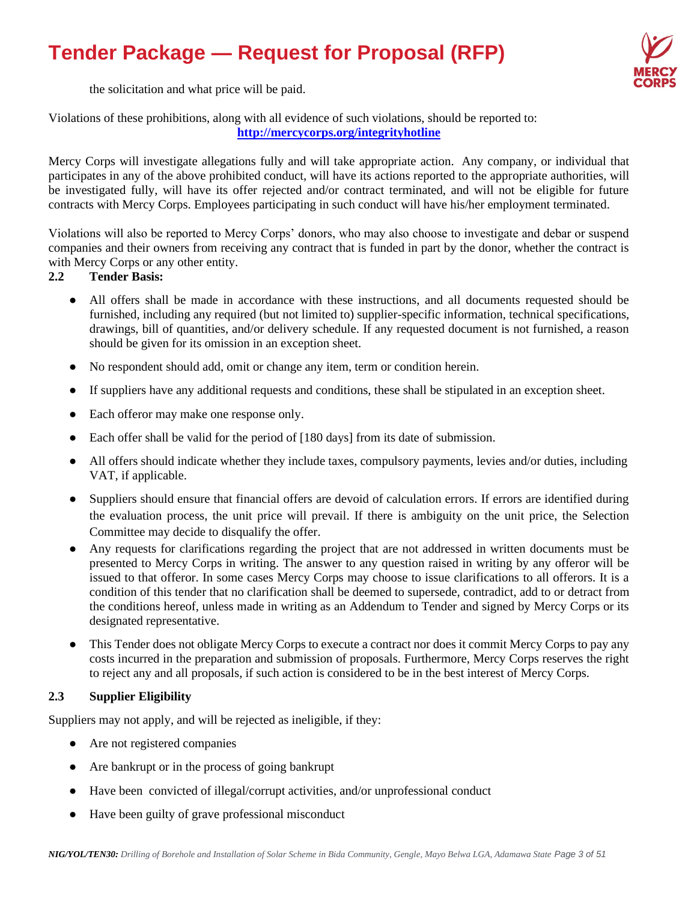

the solicitation and what price will be paid.

Violations of these prohibitions, along with all evidence of such violations, should be reported to: **<http://mercycorps.org/integrityhotline>**

Mercy Corps will investigate allegations fully and will take appropriate action. Any company, or individual that participates in any of the above prohibited conduct, will have its actions reported to the appropriate authorities, will be investigated fully, will have its offer rejected and/or contract terminated, and will not be eligible for future contracts with Mercy Corps. Employees participating in such conduct will have his/her employment terminated.

Violations will also be reported to Mercy Corps' donors, who may also choose to investigate and debar or suspend companies and their owners from receiving any contract that is funded in part by the donor, whether the contract is with Mercy Corps or any other entity.

### **2.2 Tender Basis:**

- All offers shall be made in accordance with these instructions, and all documents requested should be furnished, including any required (but not limited to) supplier-specific information, technical specifications, drawings, bill of quantities, and/or delivery schedule. If any requested document is not furnished, a reason should be given for its omission in an exception sheet.
- No respondent should add, omit or change any item, term or condition herein.
- If suppliers have any additional requests and conditions, these shall be stipulated in an exception sheet.
- Each offeror may make one response only.
- Each offer shall be valid for the period of [180 days] from its date of submission.
- All offers should indicate whether they include taxes, compulsory payments, levies and/or duties, including VAT, if applicable.
- Suppliers should ensure that financial offers are devoid of calculation errors. If errors are identified during the evaluation process, the unit price will prevail. If there is ambiguity on the unit price, the Selection Committee may decide to disqualify the offer.
- Any requests for clarifications regarding the project that are not addressed in written documents must be presented to Mercy Corps in writing. The answer to any question raised in writing by any offeror will be issued to that offeror. In some cases Mercy Corps may choose to issue clarifications to all offerors. It is a condition of this tender that no clarification shall be deemed to supersede, contradict, add to or detract from the conditions hereof, unless made in writing as an Addendum to Tender and signed by Mercy Corps or its designated representative.
- This Tender does not obligate Mercy Corps to execute a contract nor does it commit Mercy Corps to pay any costs incurred in the preparation and submission of proposals. Furthermore, Mercy Corps reserves the right to reject any and all proposals, if such action is considered to be in the best interest of Mercy Corps.

#### **2.3 Supplier Eligibility**

Suppliers may not apply, and will be rejected as ineligible, if they:

- Are not registered companies
- Are bankrupt or in the process of going bankrupt
- Have been convicted of illegal/corrupt activities, and/or unprofessional conduct
- Have been guilty of grave professional misconduct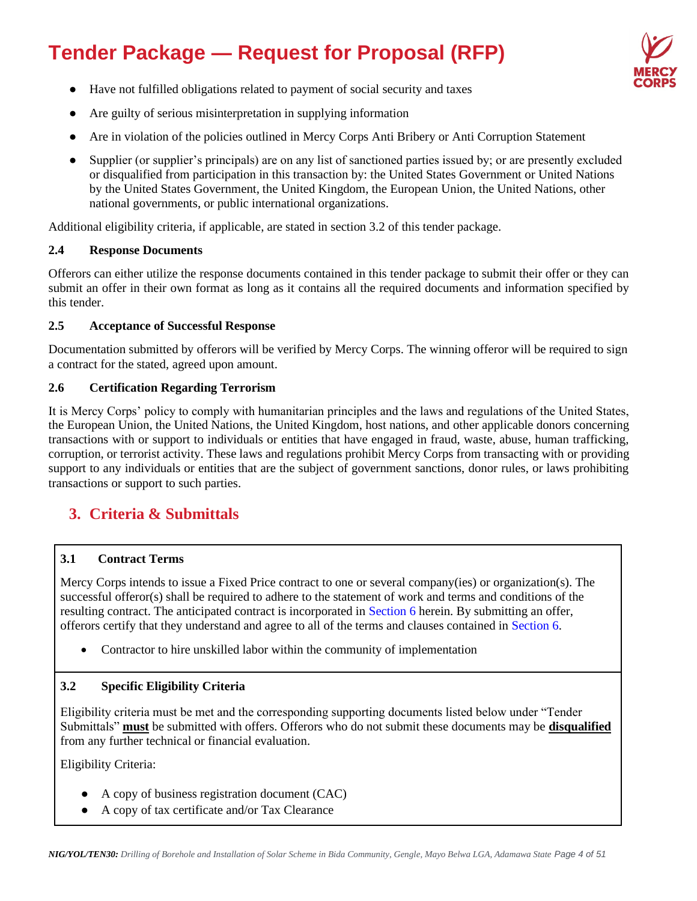

- Have not fulfilled obligations related to payment of social security and taxes
- Are guilty of serious misinterpretation in supplying information
- Are in violation of the policies outlined in Mercy Corps Anti Bribery or Anti Corruption Statement
- Supplier (or supplier's principals) are on any list of sanctioned parties issued by; or are presently excluded or disqualified from participation in this transaction by: the United States Government or United Nations by the United States Government, the United Kingdom, the European Union, the United Nations, other national governments, or public international organizations.

Additional eligibility criteria, if applicable, are stated in section 3.2 of this tender package.

### **2.4 Response Documents**

Offerors can either utilize the response documents contained in this tender package to submit their offer or they can submit an offer in their own format as long as it contains all the required documents and information specified by this tender.

### **2.5 Acceptance of Successful Response**

Documentation submitted by offerors will be verified by Mercy Corps. The winning offeror will be required to sign a contract for the stated, agreed upon amount.

### **2.6 Certification Regarding Terrorism**

It is Mercy Corps' policy to comply with humanitarian principles and the laws and regulations of the United States, the European Union, the United Nations, the United Kingdom, host nations, and other applicable donors concerning transactions with or support to individuals or entities that have engaged in fraud, waste, abuse, human trafficking, corruption, or terrorist activity. These laws and regulations prohibit Mercy Corps from transacting with or providing support to any individuals or entities that are the subject of government sanctions, donor rules, or laws prohibiting transactions or support to such parties.

# **3. Criteria & Submittals**

### **3.1 Contract Terms**

Mercy Corps intends to issue a Fixed Price contract to one or several company(ies) or organization(s). The successful offeror(s) shall be required to adhere to the statement of work and terms and conditions of the resulting contract. The anticipated contract is incorporated in Section 6 herein. By submitting an offer, offerors certify that they understand and agree to all of the terms and clauses contained in Section 6.

• Contractor to hire unskilled labor within the community of implementation

### **3.2 Specific Eligibility Criteria**

Eligibility criteria must be met and the corresponding supporting documents listed below under "Tender Submittals" **must** be submitted with offers. Offerors who do not submit these documents may be **disqualified** from any further technical or financial evaluation.

Eligibility Criteria:

- A copy of business registration document (CAC)
- A copy of tax certificate and/or Tax Clearance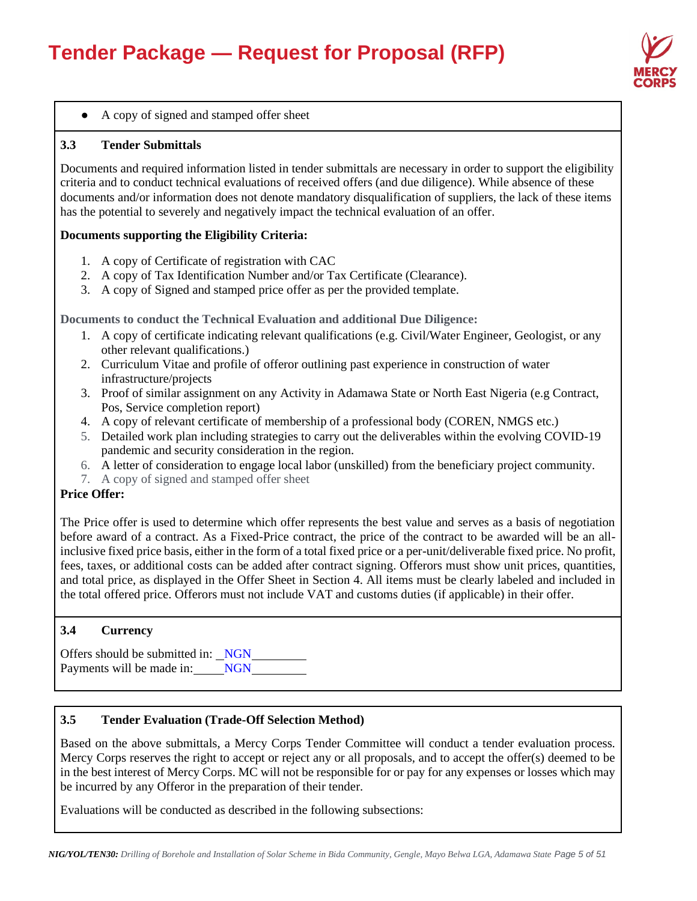

### ● A copy of signed and stamped offer sheet

#### **3.3 Tender Submittals**

Documents and required information listed in tender submittals are necessary in order to support the eligibility criteria and to conduct technical evaluations of received offers (and due diligence). While absence of these documents and/or information does not denote mandatory disqualification of suppliers, the lack of these items has the potential to severely and negatively impact the technical evaluation of an offer.

#### **Documents supporting the Eligibility Criteria:**

- 1. A copy of Certificate of registration with CAC
- 2. A copy of Tax Identification Number and/or Tax Certificate (Clearance).
- 3. A copy of Signed and stamped price offer as per the provided template.

**Documents to conduct the Technical Evaluation and additional Due Diligence:** 

- 1. A copy of certificate indicating relevant qualifications (e.g. Civil/Water Engineer, Geologist, or any other relevant qualifications.)
- 2. Curriculum Vitae and profile of offeror outlining past experience in construction of water infrastructure/projects
- 3. Proof of similar assignment on any Activity in Adamawa State or North East Nigeria (e.g Contract, Pos, Service completion report)
- 4. A copy of relevant certificate of membership of a professional body (COREN, NMGS etc.)
- 5. Detailed work plan including strategies to carry out the deliverables within the evolving COVID-19 pandemic and security consideration in the region.
- 6. A letter of consideration to engage local labor (unskilled) from the beneficiary project community.
- 7. A copy of signed and stamped offer sheet

### **Price Offer:**

The Price offer is used to determine which offer represents the best value and serves as a basis of negotiation before award of a contract. As a Fixed-Price contract, the price of the contract to be awarded will be an allinclusive fixed price basis, either in the form of a total fixed price or a per-unit/deliverable fixed price. No profit, fees, taxes, or additional costs can be added after contract signing. Offerors must show unit prices, quantities, and total price, as displayed in the Offer Sheet in Section 4. All items must be clearly labeled and included in the total offered price. Offerors must not include VAT and customs duties (if applicable) in their offer.

### **3.4 Currency**

Offers should be submitted in: NGN Payments will be made in: NGN

#### **3.5 Tender Evaluation (Trade-Off Selection Method)**

Based on the above submittals, a Mercy Corps Tender Committee will conduct a tender evaluation process. Mercy Corps reserves the right to accept or reject any or all proposals, and to accept the offer(s) deemed to be in the best interest of Mercy Corps. MC will not be responsible for or pay for any expenses or losses which may be incurred by any Offeror in the preparation of their tender.

Evaluations will be conducted as described in the following subsections: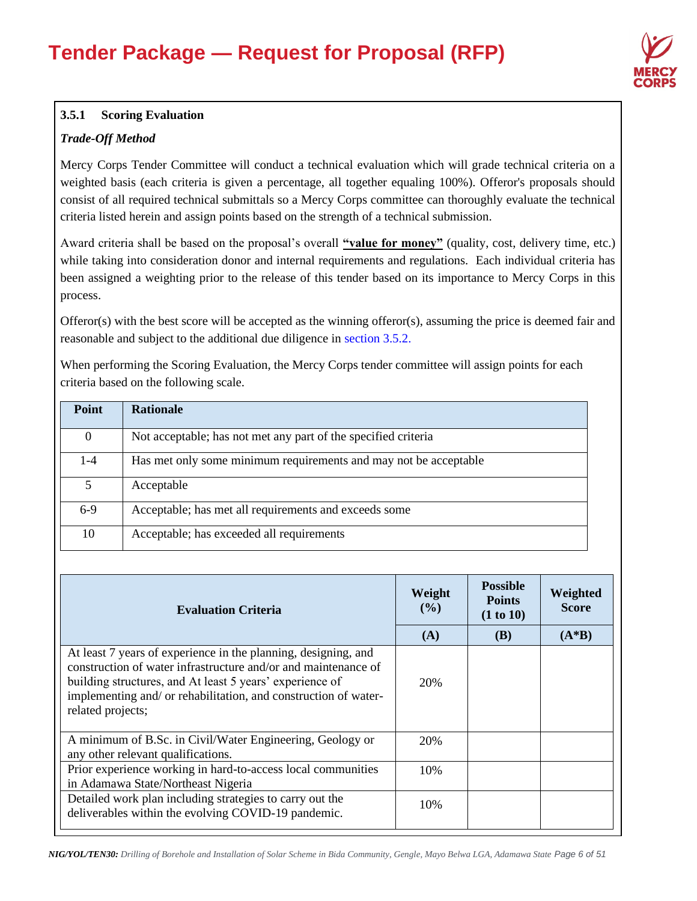

# **3.5.1 Scoring Evaluation**

# *Trade-Off Method*

Mercy Corps Tender Committee will conduct a technical evaluation which will grade technical criteria on a weighted basis (each criteria is given a percentage, all together equaling 100%). Offeror's proposals should consist of all required technical submittals so a Mercy Corps committee can thoroughly evaluate the technical criteria listed herein and assign points based on the strength of a technical submission.

Award criteria shall be based on the proposal's overall "value for money" (quality, cost, delivery time, etc.) while taking into consideration donor and internal requirements and regulations. Each individual criteria has been assigned a weighting prior to the release of this tender based on its importance to Mercy Corps in this process.

Offeror(s) with the best score will be accepted as the winning offeror(s), assuming the price is deemed fair and reasonable and subject to the additional due diligence in section 3.5.2.

When performing the Scoring Evaluation, the Mercy Corps tender committee will assign points for each criteria based on the following scale.

| Point    | <b>Rationale</b>                                                 |
|----------|------------------------------------------------------------------|
| $\Omega$ | Not acceptable; has not met any part of the specified criteria   |
| 1-4      | Has met only some minimum requirements and may not be acceptable |
| 5        | Acceptable                                                       |
| $6-9$    | Acceptable; has met all requirements and exceeds some            |
| 10       | Acceptable; has exceeded all requirements                        |

| <b>Evaluation Criteria</b>                                                                                                                                                                                                                                                           | Weight<br>$(\%)$ | <b>Possible</b><br><b>Points</b><br>(1 to 10) | Weighted<br><b>Score</b> |
|--------------------------------------------------------------------------------------------------------------------------------------------------------------------------------------------------------------------------------------------------------------------------------------|------------------|-----------------------------------------------|--------------------------|
|                                                                                                                                                                                                                                                                                      | (A)              | <b>(B)</b>                                    | $(A*B)$                  |
| At least 7 years of experience in the planning, designing, and<br>construction of water infrastructure and/or and maintenance of<br>building structures, and At least 5 years' experience of<br>implementing and/ or rehabilitation, and construction of water-<br>related projects; | 20%              |                                               |                          |
| A minimum of B.Sc. in Civil/Water Engineering, Geology or<br>any other relevant qualifications.                                                                                                                                                                                      | 20%              |                                               |                          |
| Prior experience working in hard-to-access local communities<br>in Adamawa State/Northeast Nigeria                                                                                                                                                                                   | 10%              |                                               |                          |
| Detailed work plan including strategies to carry out the<br>deliverables within the evolving COVID-19 pandemic.                                                                                                                                                                      | 10%              |                                               |                          |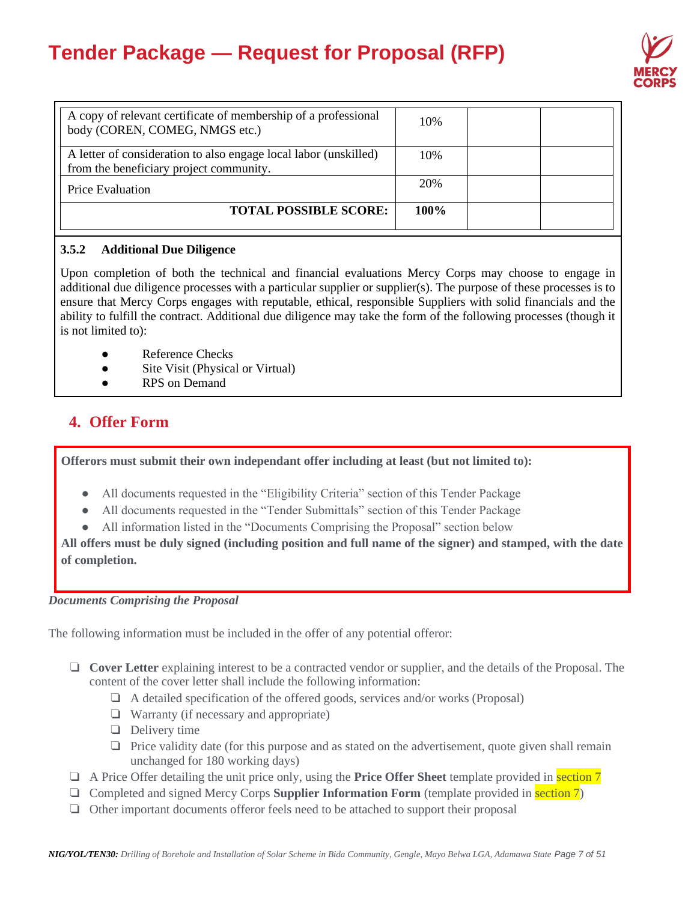

| A copy of relevant certificate of membership of a professional<br>body (COREN, COMEG, NMGS etc.)            | 10%     |  |
|-------------------------------------------------------------------------------------------------------------|---------|--|
| A letter of consideration to also engage local labor (unskilled)<br>from the beneficiary project community. | 10%     |  |
| <b>Price Evaluation</b>                                                                                     | 20%     |  |
| <b>TOTAL POSSIBLE SCORE:</b>                                                                                | $100\%$ |  |

### **3.5.2 Additional Due Diligence**

Upon completion of both the technical and financial evaluations Mercy Corps may choose to engage in additional due diligence processes with a particular supplier or supplier(s). The purpose of these processes is to ensure that Mercy Corps engages with reputable, ethical, responsible Suppliers with solid financials and the ability to fulfill the contract. Additional due diligence may take the form of the following processes (though it is not limited to):

- Reference Checks
- Site Visit (Physical or Virtual)
- **RPS** on Demand

# **4. Offer Form**

**Offerors must submit their own independant offer including at least (but not limited to):**

- All documents requested in the "Eligibility Criteria" section of this Tender Package
- All documents requested in the "Tender Submittals" section of this Tender Package
- All information listed in the "Documents Comprising the Proposal" section below

**All offers must be duly signed (including position and full name of the signer) and stamped, with the date of completion.**

#### *Documents Comprising the Proposal*

The following information must be included in the offer of any potential offeror:

- ❏ **Cover Letter** explaining interest to be a contracted vendor or supplier, and the details of the Proposal. The content of the cover letter shall include the following information:
	- ❏ A detailed specification of the offered goods, services and/or works (Proposal)
	- ❏ Warranty (if necessary and appropriate)
	- ❏ Delivery time
	- ❏ Price validity date (for this purpose and as stated on the advertisement, quote given shall remain unchanged for 180 working days)
- ❏ A Price Offer detailing the unit price only, using the **Price Offer Sheet** template provided in section 7
- ❏ Completed and signed Mercy Corps **Supplier Information Form** (template provided in section 7)
- ❏ Other important documents offeror feels need to be attached to support their proposal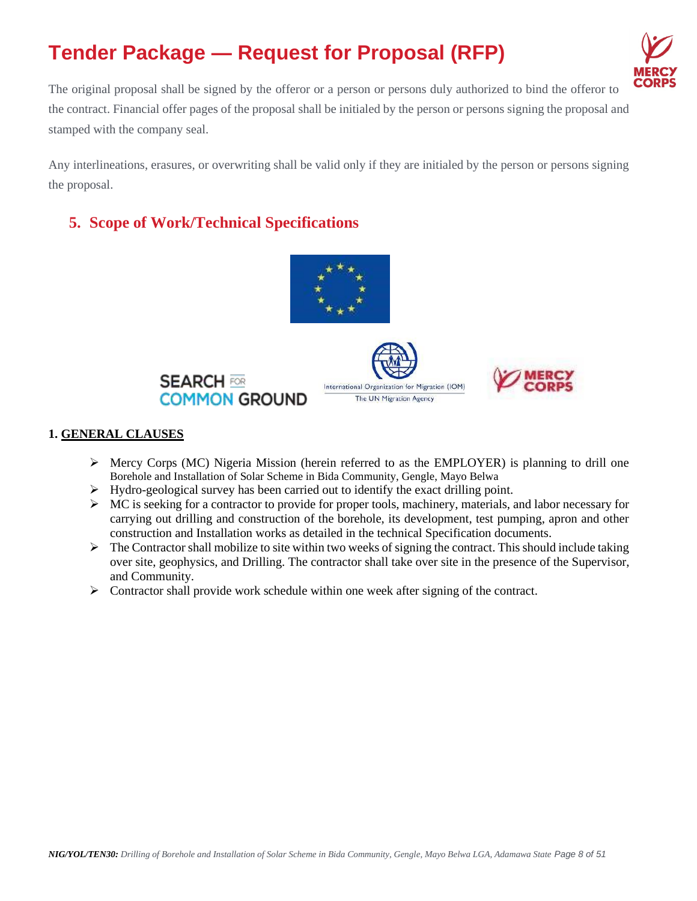

The original proposal shall be signed by the offeror or a person or persons duly authorized to bind the offeror to the contract. Financial offer pages of the proposal shall be initialed by the person or persons signing the proposal and stamped with the company seal.

Any interlineations, erasures, or overwriting shall be valid only if they are initialed by the person or persons signing the proposal.

# **5. Scope of Work/Technical Specifications**



### **1. GENERAL CLAUSES**

- $\triangleright$  Mercy Corps (MC) Nigeria Mission (herein referred to as the EMPLOYER) is planning to drill one Borehole and Installation of Solar Scheme in Bida Community, Gengle, Mayo Belwa
- $\triangleright$  Hydro-geological survey has been carried out to identify the exact drilling point.
- $\triangleright$  MC is seeking for a contractor to provide for proper tools, machinery, materials, and labor necessary for carrying out drilling and construction of the borehole, its development, test pumping, apron and other construction and Installation works as detailed in the technical Specification documents.
- $\triangleright$  The Contractor shall mobilize to site within two weeks of signing the contract. This should include taking over site, geophysics, and Drilling. The contractor shall take over site in the presence of the Supervisor, and Community.
- $\triangleright$  Contractor shall provide work schedule within one week after signing of the contract.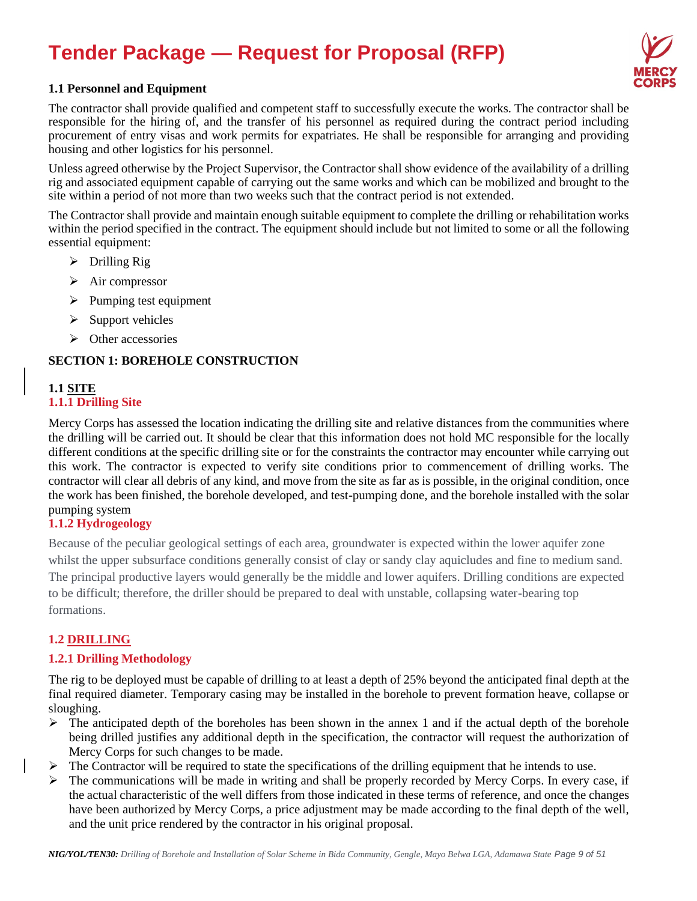

#### **1.1 Personnel and Equipment**

The contractor shall provide qualified and competent staff to successfully execute the works. The contractor shall be responsible for the hiring of, and the transfer of his personnel as required during the contract period including procurement of entry visas and work permits for expatriates. He shall be responsible for arranging and providing housing and other logistics for his personnel.

Unless agreed otherwise by the Project Supervisor, the Contractor shall show evidence of the availability of a drilling rig and associated equipment capable of carrying out the same works and which can be mobilized and brought to the site within a period of not more than two weeks such that the contract period is not extended.

The Contractor shall provide and maintain enough suitable equipment to complete the drilling or rehabilitation works within the period specified in the contract. The equipment should include but not limited to some or all the following essential equipment:

- ➢ Drilling Rig
- $\triangleright$  Air compressor
- $\triangleright$  Pumping test equipment
- ➢ Support vehicles
- ➢ Other accessories

### **SECTION 1: BOREHOLE CONSTRUCTION**

### **1.1 SITE 1.1.1 Drilling Site**

Mercy Corps has assessed the location indicating the drilling site and relative distances from the communities where the drilling will be carried out. It should be clear that this information does not hold MC responsible for the locally different conditions at the specific drilling site or for the constraints the contractor may encounter while carrying out this work. The contractor is expected to verify site conditions prior to commencement of drilling works. The contractor will clear all debris of any kind, and move from the site as far as is possible, in the original condition, once the work has been finished, the borehole developed, and test-pumping done, and the borehole installed with the solar pumping system

### **1.1.2 Hydrogeology**

Because of the peculiar geological settings of each area, groundwater is expected within the lower aquifer zone whilst the upper subsurface conditions generally consist of clay or sandy clay aquicludes and fine to medium sand. The principal productive layers would generally be the middle and lower aquifers. Drilling conditions are expected to be difficult; therefore, the driller should be prepared to deal with unstable, collapsing water-bearing top formations.

### **1.2 DRILLING**

#### **1.2.1 Drilling Methodology**

The rig to be deployed must be capable of drilling to at least a depth of 25% beyond the anticipated final depth at the final required diameter. Temporary casing may be installed in the borehole to prevent formation heave, collapse or sloughing.

- $\triangleright$  The anticipated depth of the boreholes has been shown in the annex 1 and if the actual depth of the borehole being drilled justifies any additional depth in the specification, the contractor will request the authorization of Mercy Corps for such changes to be made.
- $\triangleright$  The Contractor will be required to state the specifications of the drilling equipment that he intends to use.
- $\triangleright$  The communications will be made in writing and shall be properly recorded by Mercy Corps. In every case, if the actual characteristic of the well differs from those indicated in these terms of reference, and once the changes have been authorized by Mercy Corps, a price adjustment may be made according to the final depth of the well, and the unit price rendered by the contractor in his original proposal.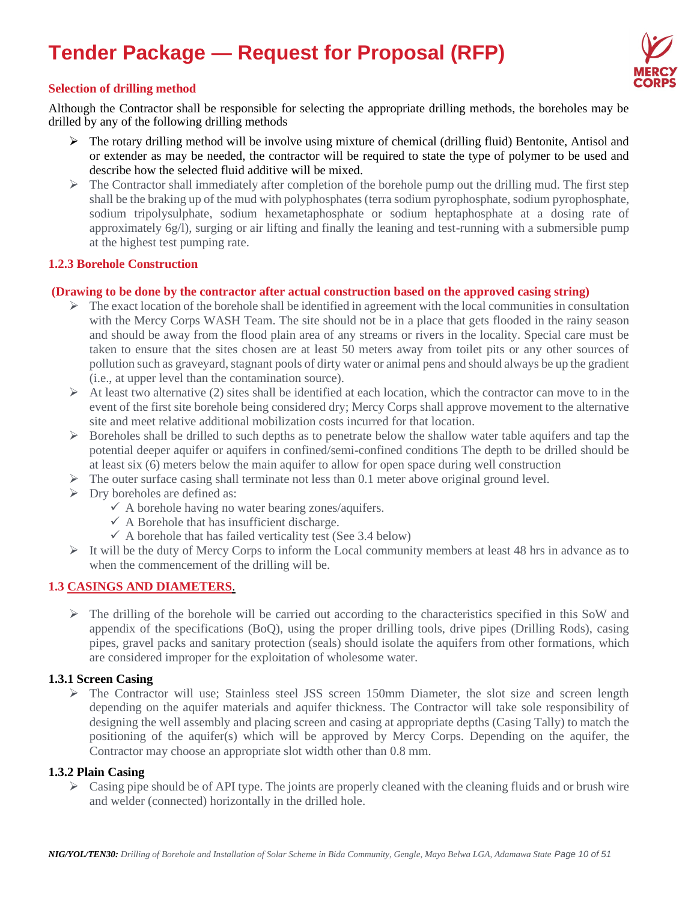

#### **Selection of drilling method**

Although the Contractor shall be responsible for selecting the appropriate drilling methods, the boreholes may be drilled by any of the following drilling methods

- $\triangleright$  The rotary drilling method will be involve using mixture of chemical (drilling fluid) Bentonite, Antisol and or extender as may be needed, the contractor will be required to state the type of polymer to be used and describe how the selected fluid additive will be mixed.
- $\triangleright$  The Contractor shall immediately after completion of the borehole pump out the drilling mud. The first step shall be the braking up of the mud with polyphosphates (terra sodium pyrophosphate, sodium pyrophosphate, sodium tripolysulphate, sodium hexametaphosphate or sodium heptaphosphate at a dosing rate of approximately 6g/l), surging or air lifting and finally the leaning and test-running with a submersible pump at the highest test pumping rate.

#### **1.2.3 Borehole Construction**

#### **(Drawing to be done by the contractor after actual construction based on the approved casing string)**

- $\triangleright$  The exact location of the borehole shall be identified in agreement with the local communities in consultation with the Mercy Corps WASH Team. The site should not be in a place that gets flooded in the rainy season and should be away from the flood plain area of any streams or rivers in the locality. Special care must be taken to ensure that the sites chosen are at least 50 meters away from toilet pits or any other sources of pollution such as graveyard, stagnant pools of dirty water or animal pens and should always be up the gradient (i.e., at upper level than the contamination source).
- $\triangleright$  At least two alternative (2) sites shall be identified at each location, which the contractor can move to in the event of the first site borehole being considered dry; Mercy Corps shall approve movement to the alternative site and meet relative additional mobilization costs incurred for that location.
- $\triangleright$  Boreholes shall be drilled to such depths as to penetrate below the shallow water table aquifers and tap the potential deeper aquifer or aquifers in confined/semi-confined conditions The depth to be drilled should be at least six (6) meters below the main aquifer to allow for open space during well construction
- $\triangleright$  The outer surface casing shall terminate not less than 0.1 meter above original ground level.
- ➢ Dry boreholes are defined as:
	- $\checkmark$  A borehole having no water bearing zones/aquifers.
	- $\checkmark$  A Borehole that has insufficient discharge.
	- $\checkmark$  A borehole that has failed verticality test (See 3.4 below)
- ➢ It will be the duty of Mercy Corps to inform the Local community members at least 48 hrs in advance as to when the commencement of the drilling will be.

### **1.3 CASINGS AND DIAMETERS**.

 $\triangleright$  The drilling of the borehole will be carried out according to the characteristics specified in this SoW and appendix of the specifications (BoQ), using the proper drilling tools, drive pipes (Drilling Rods), casing pipes, gravel packs and sanitary protection (seals) should isolate the aquifers from other formations, which are considered improper for the exploitation of wholesome water.

### **1.3.1 Screen Casing**

 $\triangleright$  The Contractor will use; Stainless steel JSS screen 150mm Diameter, the slot size and screen length depending on the aquifer materials and aquifer thickness. The Contractor will take sole responsibility of designing the well assembly and placing screen and casing at appropriate depths (Casing Tally) to match the positioning of the aquifer(s) which will be approved by Mercy Corps. Depending on the aquifer, the Contractor may choose an appropriate slot width other than 0.8 mm.

#### **1.3.2 Plain Casing**

 $\triangleright$  Casing pipe should be of API type. The joints are properly cleaned with the cleaning fluids and or brush wire and welder (connected) horizontally in the drilled hole.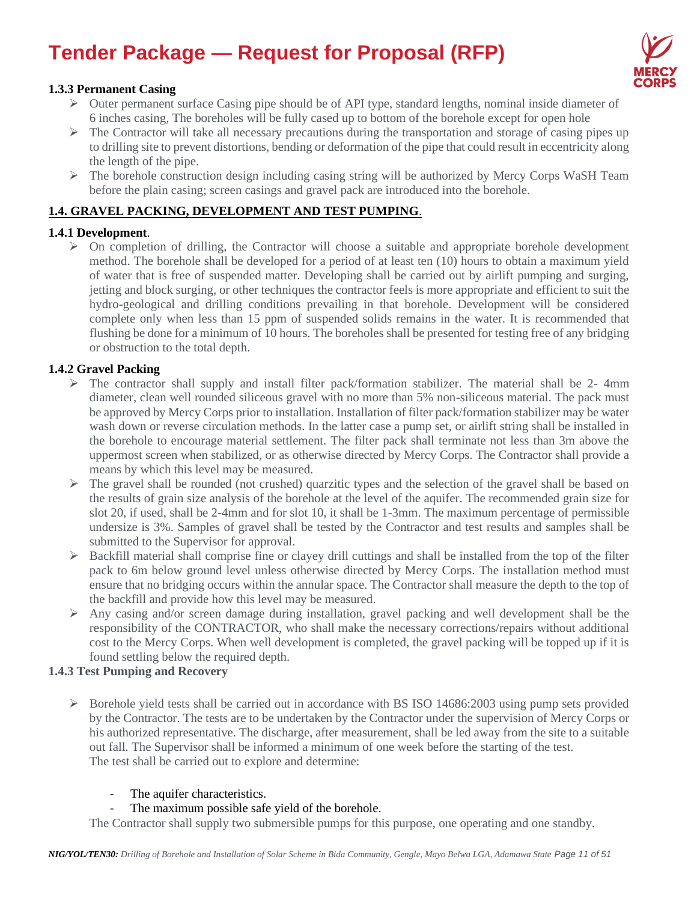

### **1.3.3 Permanent Casing**

- $\triangleright$  Outer permanent surface Casing pipe should be of API type, standard lengths, nominal inside diameter of 6 inches casing, The boreholes will be fully cased up to bottom of the borehole except for open hole
- $\triangleright$  The Contractor will take all necessary precautions during the transportation and storage of casing pipes up to drilling site to prevent distortions, bending or deformation of the pipe that could result in eccentricity along the length of the pipe.
- ➢ The borehole construction design including casing string will be authorized by Mercy Corps WaSH Team before the plain casing; screen casings and gravel pack are introduced into the borehole.

### **1.4. GRAVEL PACKING, DEVELOPMENT AND TEST PUMPING**.

### **1.4.1 Development**.

 $\triangleright$  On completion of drilling, the Contractor will choose a suitable and appropriate borehole development method. The borehole shall be developed for a period of at least ten (10) hours to obtain a maximum yield of water that is free of suspended matter. Developing shall be carried out by airlift pumping and surging, jetting and block surging, or other techniques the contractor feels is more appropriate and efficient to suit the hydro-geological and drilling conditions prevailing in that borehole. Development will be considered complete only when less than 15 ppm of suspended solids remains in the water. It is recommended that flushing be done for a minimum of 10 hours. The boreholes shall be presented for testing free of any bridging or obstruction to the total depth.

### **1.4.2 Gravel Packing**

- $\triangleright$  The contractor shall supply and install filter pack/formation stabilizer. The material shall be 2- 4mm diameter, clean well rounded siliceous gravel with no more than 5% non-siliceous material. The pack must be approved by Mercy Corps prior to installation. Installation of filter pack/formation stabilizer may be water wash down or reverse circulation methods. In the latter case a pump set, or airlift string shall be installed in the borehole to encourage material settlement. The filter pack shall terminate not less than 3m above the uppermost screen when stabilized, or as otherwise directed by Mercy Corps. The Contractor shall provide a means by which this level may be measured.
- ➢ The gravel shall be rounded (not crushed) quarzitic types and the selection of the gravel shall be based on the results of grain size analysis of the borehole at the level of the aquifer. The recommended grain size for slot 20, if used, shall be 2-4mm and for slot 10, it shall be 1-3mm. The maximum percentage of permissible undersize is 3%. Samples of gravel shall be tested by the Contractor and test results and samples shall be submitted to the Supervisor for approval.
- $\triangleright$  Backfill material shall comprise fine or clayey drill cuttings and shall be installed from the top of the filter pack to 6m below ground level unless otherwise directed by Mercy Corps. The installation method must ensure that no bridging occurs within the annular space. The Contractor shall measure the depth to the top of the backfill and provide how this level may be measured.
- ➢ Any casing and/or screen damage during installation, gravel packing and well development shall be the responsibility of the CONTRACTOR, who shall make the necessary corrections/repairs without additional cost to the Mercy Corps. When well development is completed, the gravel packing will be topped up if it is found settling below the required depth.

#### **1.4.3 Test Pumping and Recovery**

- ➢ Borehole yield tests shall be carried out in accordance with BS ISO 14686:2003 using pump sets provided by the Contractor. The tests are to be undertaken by the Contractor under the supervision of Mercy Corps or his authorized representative. The discharge, after measurement, shall be led away from the site to a suitable out fall. The Supervisor shall be informed a minimum of one week before the starting of the test. The test shall be carried out to explore and determine:
	- The aquifer characteristics.
	- The maximum possible safe yield of the borehole.

The Contractor shall supply two submersible pumps for this purpose, one operating and one standby.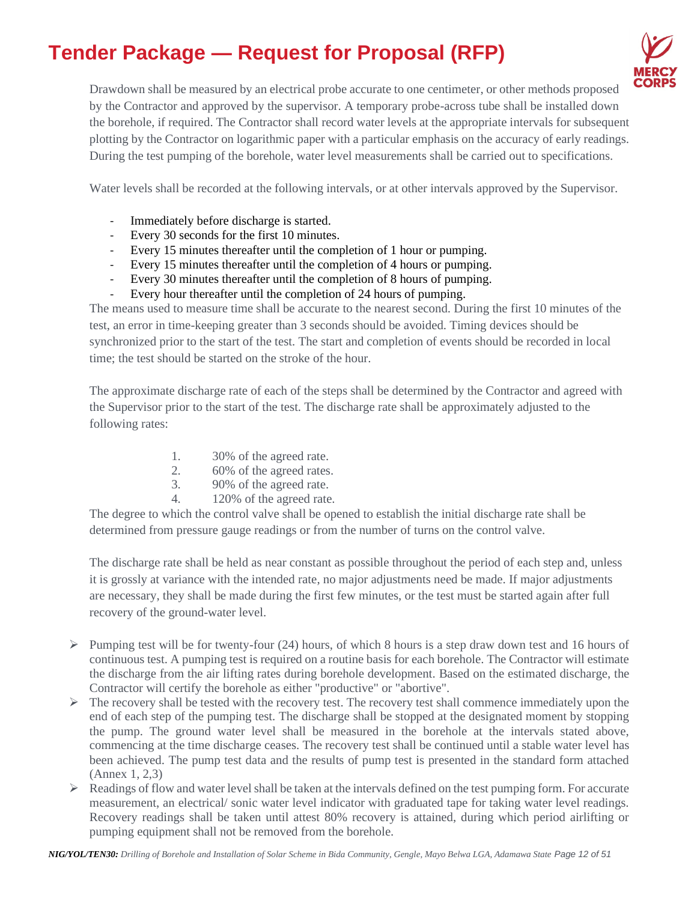

Drawdown shall be measured by an electrical probe accurate to one centimeter, or other methods proposed by the Contractor and approved by the supervisor. A temporary probe-across tube shall be installed down the borehole, if required. The Contractor shall record water levels at the appropriate intervals for subsequent plotting by the Contractor on logarithmic paper with a particular emphasis on the accuracy of early readings. During the test pumping of the borehole, water level measurements shall be carried out to specifications.

Water levels shall be recorded at the following intervals, or at other intervals approved by the Supervisor.

- Immediately before discharge is started.
- Every 30 seconds for the first 10 minutes.
- Every 15 minutes thereafter until the completion of 1 hour or pumping.
- Every 15 minutes thereafter until the completion of 4 hours or pumping.
- Every 30 minutes thereafter until the completion of 8 hours of pumping.
- Every hour thereafter until the completion of 24 hours of pumping.

The means used to measure time shall be accurate to the nearest second. During the first 10 minutes of the test, an error in time-keeping greater than 3 seconds should be avoided. Timing devices should be synchronized prior to the start of the test. The start and completion of events should be recorded in local time; the test should be started on the stroke of the hour.

The approximate discharge rate of each of the steps shall be determined by the Contractor and agreed with the Supervisor prior to the start of the test. The discharge rate shall be approximately adjusted to the following rates:

- 1. 30% of the agreed rate.
- 2. 60% of the agreed rates.
- 3. 90% of the agreed rate.
- 4. 120% of the agreed rate.

The degree to which the control valve shall be opened to establish the initial discharge rate shall be determined from pressure gauge readings or from the number of turns on the control valve.

The discharge rate shall be held as near constant as possible throughout the period of each step and, unless it is grossly at variance with the intended rate, no major adjustments need be made. If major adjustments are necessary, they shall be made during the first few minutes, or the test must be started again after full recovery of the ground-water level.

- ➢ Pumping test will be for twenty-four (24) hours, of which 8 hours is a step draw down test and 16 hours of continuous test. A pumping test is required on a routine basis for each borehole. The Contractor will estimate the discharge from the air lifting rates during borehole development. Based on the estimated discharge, the Contractor will certify the borehole as either "productive" or "abortive".
- $\triangleright$  The recovery shall be tested with the recovery test. The recovery test shall commence immediately upon the end of each step of the pumping test. The discharge shall be stopped at the designated moment by stopping the pump. The ground water level shall be measured in the borehole at the intervals stated above, commencing at the time discharge ceases. The recovery test shall be continued until a stable water level has been achieved. The pump test data and the results of pump test is presented in the standard form attached (Annex 1, 2,3)
- ➢ Readings of flow and water level shall be taken at the intervals defined on the test pumping form. For accurate measurement, an electrical/ sonic water level indicator with graduated tape for taking water level readings. Recovery readings shall be taken until attest 80% recovery is attained, during which period airlifting or pumping equipment shall not be removed from the borehole.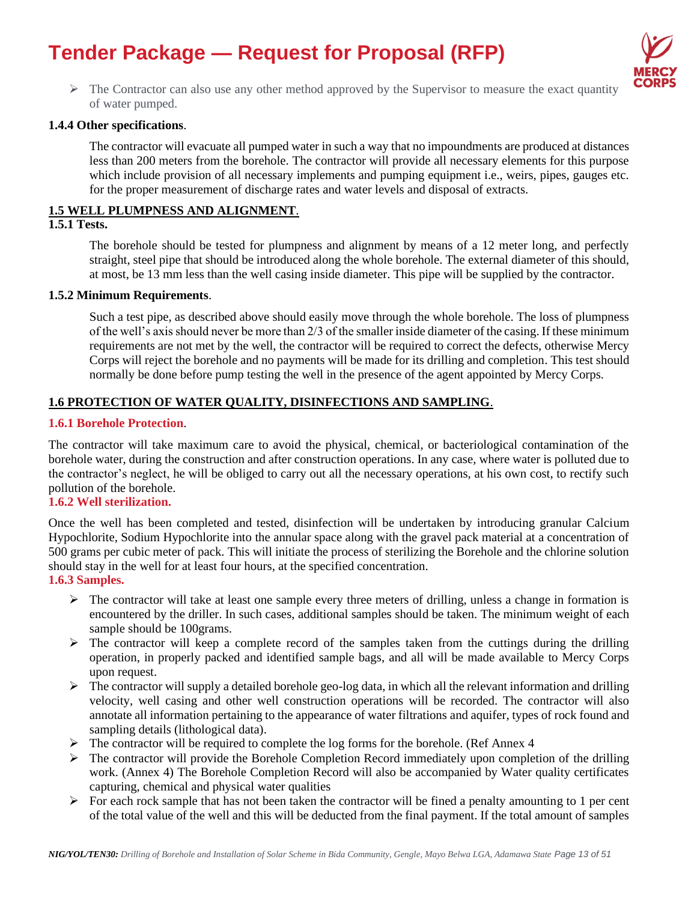

 $\triangleright$  The Contractor can also use any other method approved by the Supervisor to measure the exact quantity of water pumped.

#### **1.4.4 Other specifications**.

The contractor will evacuate all pumped water in such a way that no impoundments are produced at distances less than 200 meters from the borehole. The contractor will provide all necessary elements for this purpose which include provision of all necessary implements and pumping equipment i.e., weirs, pipes, gauges etc. for the proper measurement of discharge rates and water levels and disposal of extracts.

#### **1.5 WELL PLUMPNESS AND ALIGNMENT**.

### **1.5.1 Tests.**

The borehole should be tested for plumpness and alignment by means of a 12 meter long, and perfectly straight, steel pipe that should be introduced along the whole borehole. The external diameter of this should, at most, be 13 mm less than the well casing inside diameter. This pipe will be supplied by the contractor.

#### **1.5.2 Minimum Requirements**.

Such a test pipe, as described above should easily move through the whole borehole. The loss of plumpness of the well's axis should never be more than 2/3 of the smaller inside diameter of the casing. If these minimum requirements are not met by the well, the contractor will be required to correct the defects, otherwise Mercy Corps will reject the borehole and no payments will be made for its drilling and completion. This test should normally be done before pump testing the well in the presence of the agent appointed by Mercy Corps.

### **1.6 PROTECTION OF WATER QUALITY, DISINFECTIONS AND SAMPLING**.

#### **1.6.1 Borehole Protection**.

The contractor will take maximum care to avoid the physical, chemical, or bacteriological contamination of the borehole water, during the construction and after construction operations. In any case, where water is polluted due to the contractor's neglect, he will be obliged to carry out all the necessary operations, at his own cost, to rectify such pollution of the borehole.

#### **1.6.2 Well sterilization.**

Once the well has been completed and tested, disinfection will be undertaken by introducing granular Calcium Hypochlorite, Sodium Hypochlorite into the annular space along with the gravel pack material at a concentration of 500 grams per cubic meter of pack. This will initiate the process of sterilizing the Borehole and the chlorine solution should stay in the well for at least four hours, at the specified concentration.

### **1.6.3 Samples.**

- $\triangleright$  The contractor will take at least one sample every three meters of drilling, unless a change in formation is encountered by the driller. In such cases, additional samples should be taken. The minimum weight of each sample should be 100grams.
- ➢ The contractor will keep a complete record of the samples taken from the cuttings during the drilling operation, in properly packed and identified sample bags, and all will be made available to Mercy Corps upon request.
- $\triangleright$  The contractor will supply a detailed borehole geo-log data, in which all the relevant information and drilling velocity, well casing and other well construction operations will be recorded. The contractor will also annotate all information pertaining to the appearance of water filtrations and aquifer, types of rock found and sampling details (lithological data).
- $\triangleright$  The contractor will be required to complete the log forms for the borehole. (Ref Annex 4)
- $\triangleright$  The contractor will provide the Borehole Completion Record immediately upon completion of the drilling work. (Annex 4) The Borehole Completion Record will also be accompanied by Water quality certificates capturing, chemical and physical water qualities
- $\triangleright$  For each rock sample that has not been taken the contractor will be fined a penalty amounting to 1 per cent of the total value of the well and this will be deducted from the final payment. If the total amount of samples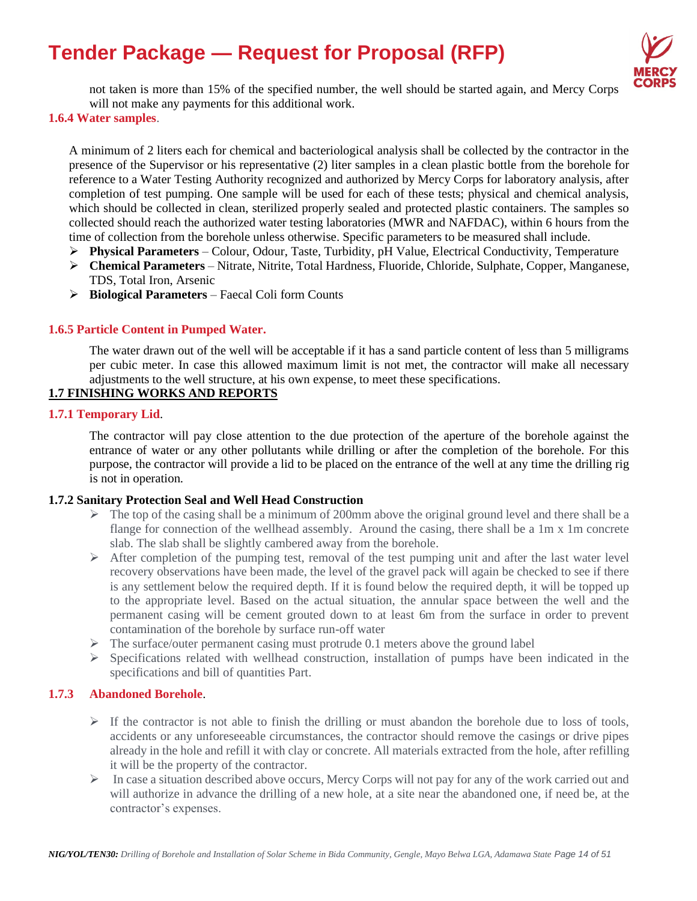

not taken is more than 15% of the specified number, the well should be started again, and Mercy Corps will not make any payments for this additional work.

**1.6.4 Water samples**.

A minimum of 2 liters each for chemical and bacteriological analysis shall be collected by the contractor in the presence of the Supervisor or his representative (2) liter samples in a clean plastic bottle from the borehole for reference to a Water Testing Authority recognized and authorized by Mercy Corps for laboratory analysis, after completion of test pumping. One sample will be used for each of these tests; physical and chemical analysis, which should be collected in clean, sterilized properly sealed and protected plastic containers. The samples so collected should reach the authorized water testing laboratories (MWR and NAFDAC), within 6 hours from the time of collection from the borehole unless otherwise. Specific parameters to be measured shall include.

- ➢ **Physical Parameters** Colour, Odour, Taste, Turbidity, pH Value, Electrical Conductivity, Temperature
- ➢ **Chemical Parameters** Nitrate, Nitrite, Total Hardness, Fluoride, Chloride, Sulphate, Copper, Manganese, TDS, Total Iron, Arsenic
- ➢ **Biological Parameters** Faecal Coli form Counts

#### **1.6.5 Particle Content in Pumped Water.**

The water drawn out of the well will be acceptable if it has a sand particle content of less than 5 milligrams per cubic meter. In case this allowed maximum limit is not met, the contractor will make all necessary adjustments to the well structure, at his own expense, to meet these specifications.

### **1.7 FINISHING WORKS AND REPORTS**

#### **1.7.1 Temporary Lid**.

The contractor will pay close attention to the due protection of the aperture of the borehole against the entrance of water or any other pollutants while drilling or after the completion of the borehole. For this purpose, the contractor will provide a lid to be placed on the entrance of the well at any time the drilling rig is not in operation.

#### **1.7.2 Sanitary Protection Seal and Well Head Construction**

- $\triangleright$  The top of the casing shall be a minimum of 200mm above the original ground level and there shall be a flange for connection of the wellhead assembly. Around the casing, there shall be a 1m x 1m concrete slab. The slab shall be slightly cambered away from the borehole.
- ➢ After completion of the pumping test, removal of the test pumping unit and after the last water level recovery observations have been made, the level of the gravel pack will again be checked to see if there is any settlement below the required depth. If it is found below the required depth, it will be topped up to the appropriate level. Based on the actual situation, the annular space between the well and the permanent casing will be cement grouted down to at least 6m from the surface in order to prevent contamination of the borehole by surface run-off water
- ➢ The surface/outer permanent casing must protrude 0.1 meters above the ground label
- $\triangleright$  Specifications related with wellhead construction, installation of pumps have been indicated in the specifications and bill of quantities Part.

#### **1.7.3 Abandoned Borehole**.

- $\triangleright$  If the contractor is not able to finish the drilling or must abandon the borehole due to loss of tools, accidents or any unforeseeable circumstances, the contractor should remove the casings or drive pipes already in the hole and refill it with clay or concrete. All materials extracted from the hole, after refilling it will be the property of the contractor.
- $\triangleright$  In case a situation described above occurs, Mercy Corps will not pay for any of the work carried out and will authorize in advance the drilling of a new hole, at a site near the abandoned one, if need be, at the contractor's expenses.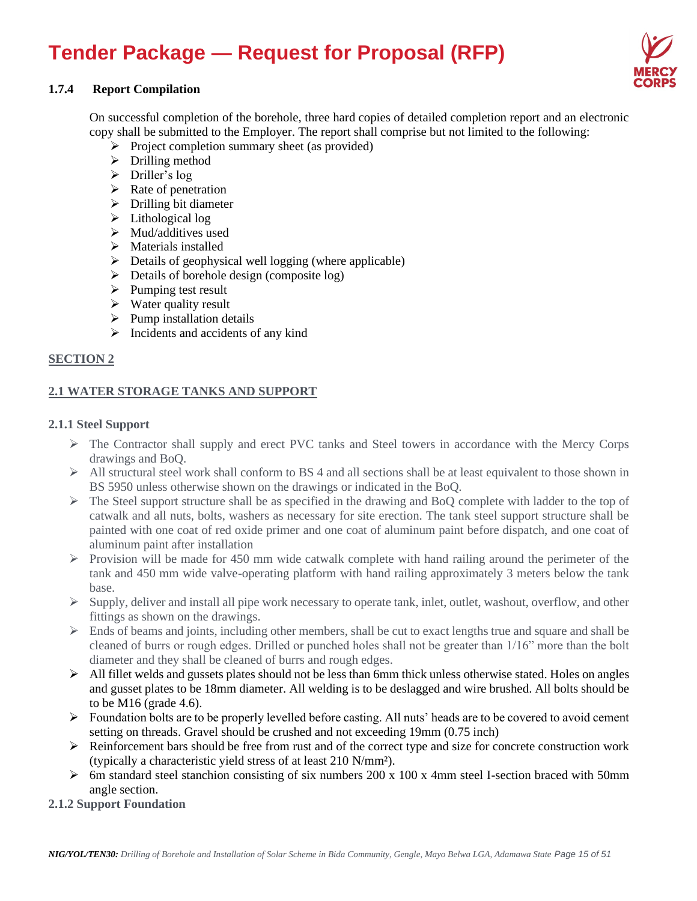

### **1.7.4 Report Compilation**

On successful completion of the borehole, three hard copies of detailed completion report and an electronic copy shall be submitted to the Employer. The report shall comprise but not limited to the following:

- ➢ Project completion summary sheet (as provided)
- ➢ Drilling method
- $\triangleright$  Driller's log
- $\triangleright$  Rate of penetration
- $\triangleright$  Drilling bit diameter
- ➢ Lithological log
- ➢ Mud/additives used
- ➢ Materials installed
- $\triangleright$  Details of geophysical well logging (where applicable)
- ➢ Details of borehole design (composite log)
- $\triangleright$  Pumping test result
- $\triangleright$  Water quality result
- $\triangleright$  Pump installation details
- $\triangleright$  Incidents and accidents of any kind

### **SECTION 2**

### **2.1 WATER STORAGE TANKS AND SUPPORT**

#### **2.1.1 Steel Support**

- ➢ The Contractor shall supply and erect PVC tanks and Steel towers in accordance with the Mercy Corps drawings and BoQ.
- $\triangleright$  All structural steel work shall conform to BS 4 and all sections shall be at least equivalent to those shown in BS 5950 unless otherwise shown on the drawings or indicated in the BoQ.
- ➢ The Steel support structure shall be as specified in the drawing and BoQ complete with ladder to the top of catwalk and all nuts, bolts, washers as necessary for site erection. The tank steel support structure shall be painted with one coat of red oxide primer and one coat of aluminum paint before dispatch, and one coat of aluminum paint after installation
- $\triangleright$  Provision will be made for 450 mm wide catwalk complete with hand railing around the perimeter of the tank and 450 mm wide valve-operating platform with hand railing approximately 3 meters below the tank base.
- $\triangleright$  Supply, deliver and install all pipe work necessary to operate tank, inlet, outlet, washout, overflow, and other fittings as shown on the drawings.
- $\triangleright$  Ends of beams and joints, including other members, shall be cut to exact lengths true and square and shall be cleaned of burrs or rough edges. Drilled or punched holes shall not be greater than 1/16" more than the bolt diameter and they shall be cleaned of burrs and rough edges.
- ➢ All fillet welds and gussets plates should not be less than 6mm thick unless otherwise stated. Holes on angles and gusset plates to be 18mm diameter. All welding is to be deslagged and wire brushed. All bolts should be to be  $M16$  (grade 4.6).
- ➢ Foundation bolts are to be properly levelled before casting. All nuts' heads are to be covered to avoid cement setting on threads. Gravel should be crushed and not exceeding 19mm (0.75 inch)
- $\triangleright$  Reinforcement bars should be free from rust and of the correct type and size for concrete construction work (typically a characteristic yield stress of at least 210 N/mm²).
- $\triangleright$  6m standard steel stanchion consisting of six numbers 200 x 100 x 4mm steel I-section braced with 50mm angle section.
- **2.1.2 Support Foundation**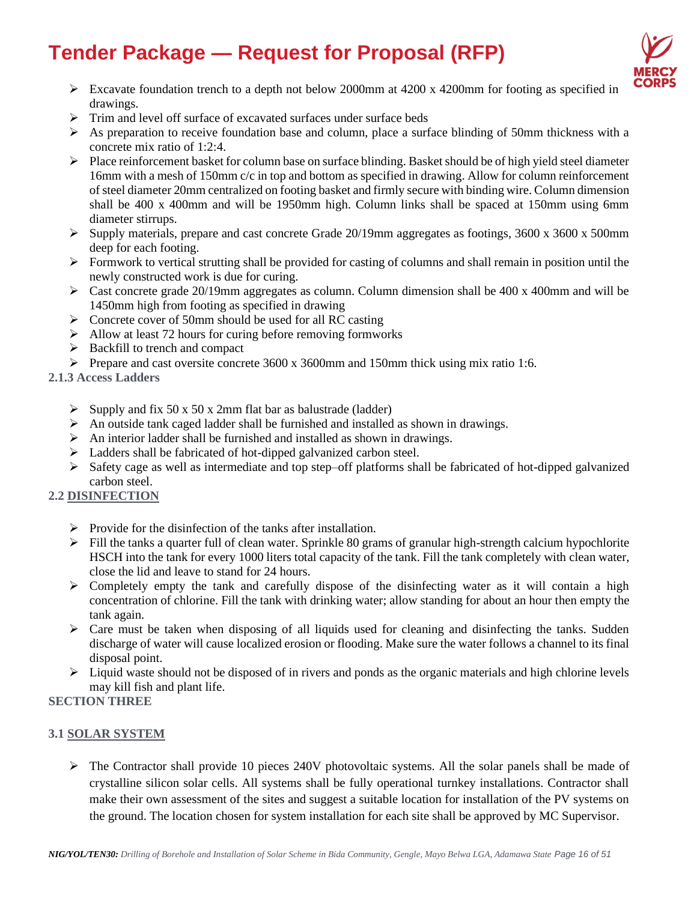

- ➢ Excavate foundation trench to a depth not below 2000mm at 4200 x 4200mm for footing as specified in drawings.
- ➢ Trim and level off surface of excavated surfaces under surface beds
- $\triangleright$  As preparation to receive foundation base and column, place a surface blinding of 50mm thickness with a concrete mix ratio of 1:2:4.
- $\triangleright$  Place reinforcement basket for column base on surface blinding. Basket should be of high yield steel diameter 16mm with a mesh of 150mm c/c in top and bottom as specified in drawing. Allow for column reinforcement of steel diameter 20mm centralized on footing basket and firmly secure with binding wire. Column dimension shall be 400 x 400mm and will be 1950mm high. Column links shall be spaced at 150mm using 6mm diameter stirrups.
- $\geq$  Supply materials, prepare and cast concrete Grade 20/19mm aggregates as footings, 3600 x 3600 x 500mm deep for each footing.
- ➢ Formwork to vertical strutting shall be provided for casting of columns and shall remain in position until the newly constructed work is due for curing.
- $\triangleright$  Cast concrete grade 20/19mm aggregates as column. Column dimension shall be 400 x 400mm and will be 1450mm high from footing as specified in drawing
- ➢ Concrete cover of 50mm should be used for all RC casting
- ➢ Allow at least 72 hours for curing before removing formworks
- ➢ Backfill to trench and compact
- $\triangleright$  Prepare and cast oversite concrete 3600 x 3600mm and 150mm thick using mix ratio 1:6.
- **2.1.3 Access Ladders** 
	- $\triangleright$  Supply and fix 50 x 50 x 2mm flat bar as balustrade (ladder)
	- $\triangleright$  An outside tank caged ladder shall be furnished and installed as shown in drawings.
	- ➢ An interior ladder shall be furnished and installed as shown in drawings.
	- ➢ Ladders shall be fabricated of hot-dipped galvanized carbon steel.
	- ➢ Safety cage as well as intermediate and top step–off platforms shall be fabricated of hot-dipped galvanized carbon steel.

# **2.2 DISINFECTION**

- $\triangleright$  Provide for the disinfection of the tanks after installation.
- $\triangleright$  Fill the tanks a quarter full of clean water. Sprinkle 80 grams of granular high-strength calcium hypochlorite HSCH into the tank for every 1000 liters total capacity of the tank. Fill the tank completely with clean water, close the lid and leave to stand for 24 hours.
- ➢ Completely empty the tank and carefully dispose of the disinfecting water as it will contain a high concentration of chlorine. Fill the tank with drinking water; allow standing for about an hour then empty the tank again.
- $\triangleright$  Care must be taken when disposing of all liquids used for cleaning and disinfecting the tanks. Sudden discharge of water will cause localized erosion or flooding. Make sure the water follows a channel to its final disposal point.
- $\triangleright$  Liquid waste should not be disposed of in rivers and ponds as the organic materials and high chlorine levels may kill fish and plant life.

# **SECTION THREE**

### **3.1 SOLAR SYSTEM**

➢ The Contractor shall provide 10 pieces 240V photovoltaic systems. All the solar panels shall be made of crystalline silicon solar cells. All systems shall be fully operational turnkey installations. Contractor shall make their own assessment of the sites and suggest a suitable location for installation of the PV systems on the ground. The location chosen for system installation for each site shall be approved by MC Supervisor.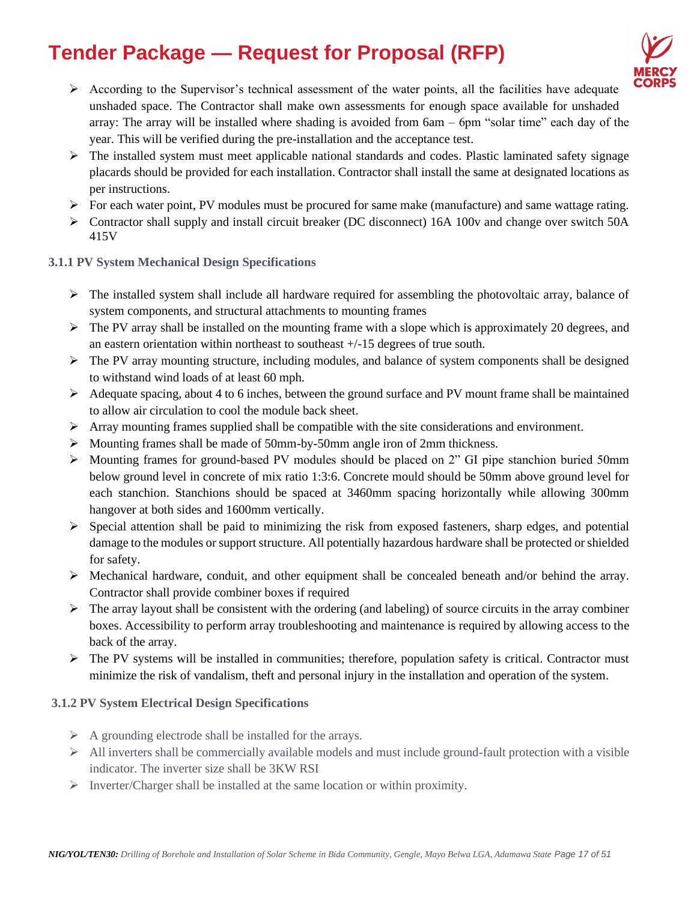

- $\triangleright$  According to the Supervisor's technical assessment of the water points, all the facilities have adequate unshaded space. The Contractor shall make own assessments for enough space available for unshaded array: The array will be installed where shading is avoided from 6am – 6pm "solar time" each day of the year. This will be verified during the pre-installation and the acceptance test.
- ➢ The installed system must meet applicable national standards and codes. Plastic laminated safety signage placards should be provided for each installation. Contractor shall install the same at designated locations as per instructions.
- $\triangleright$  For each water point, PV modules must be procured for same make (manufacture) and same wattage rating.
- $\triangleright$  Contractor shall supply and install circuit breaker (DC disconnect) 16A 100v and change over switch 50A 415V
- **3.1.1 PV System Mechanical Design Specifications**
	- ➢ The installed system shall include all hardware required for assembling the photovoltaic array, balance of system components, and structural attachments to mounting frames
	- $\triangleright$  The PV array shall be installed on the mounting frame with a slope which is approximately 20 degrees, and an eastern orientation within northeast to southeast +/-15 degrees of true south.
	- $\triangleright$  The PV array mounting structure, including modules, and balance of system components shall be designed to withstand wind loads of at least 60 mph.
	- ➢ Adequate spacing, about 4 to 6 inches, between the ground surface and PV mount frame shall be maintained to allow air circulation to cool the module back sheet.
	- $\triangleright$  Array mounting frames supplied shall be compatible with the site considerations and environment.
	- $\triangleright$  Mounting frames shall be made of 50mm-by-50mm angle iron of 2mm thickness.
	- ➢ Mounting frames for ground-based PV modules should be placed on 2" GI pipe stanchion buried 50mm below ground level in concrete of mix ratio 1:3:6. Concrete mould should be 50mm above ground level for each stanchion. Stanchions should be spaced at 3460mm spacing horizontally while allowing 300mm hangover at both sides and 1600mm vertically.
	- $\triangleright$  Special attention shall be paid to minimizing the risk from exposed fasteners, sharp edges, and potential damage to the modules or support structure. All potentially hazardous hardware shall be protected or shielded for safety.
	- ➢ Mechanical hardware, conduit, and other equipment shall be concealed beneath and/or behind the array. Contractor shall provide combiner boxes if required
	- $\triangleright$  The array layout shall be consistent with the ordering (and labeling) of source circuits in the array combiner boxes. Accessibility to perform array troubleshooting and maintenance is required by allowing access to the back of the array.
	- $\triangleright$  The PV systems will be installed in communities; therefore, population safety is critical. Contractor must minimize the risk of vandalism, theft and personal injury in the installation and operation of the system.

### **3.1.2 PV System Electrical Design Specifications**

- $\triangleright$  A grounding electrode shall be installed for the arrays.
- $\triangleright$  All inverters shall be commercially available models and must include ground-fault protection with a visible indicator. The inverter size shall be 3KW RSI
- ➢ Inverter/Charger shall be installed at the same location or within proximity.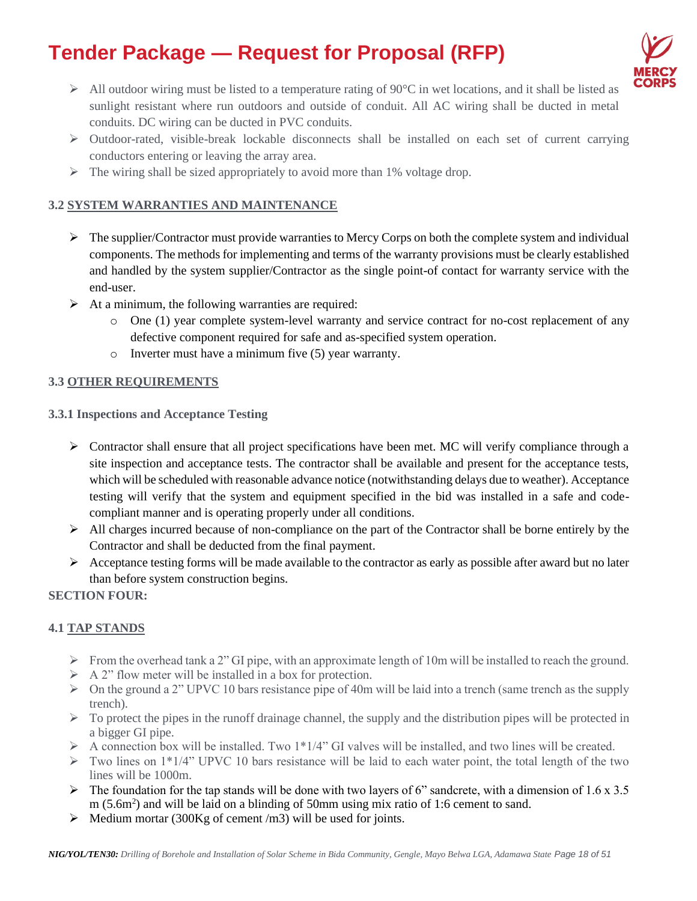

- $\triangleright$  All outdoor wiring must be listed to a temperature rating of 90 $\degree$ C in wet locations, and it shall be listed as sunlight resistant where run outdoors and outside of conduit. All AC wiring shall be ducted in metal conduits. DC wiring can be ducted in PVC conduits.
- ➢ Outdoor-rated, visible-break lockable disconnects shall be installed on each set of current carrying conductors entering or leaving the array area.
- $\triangleright$  The wiring shall be sized appropriately to avoid more than 1% voltage drop.

### **3.2 SYSTEM WARRANTIES AND MAINTENANCE**

- ➢ The supplier/Contractor must provide warranties to Mercy Corps on both the complete system and individual components. The methods for implementing and terms of the warranty provisions must be clearly established and handled by the system supplier/Contractor as the single point-of contact for warranty service with the end-user.
- $\triangleright$  At a minimum, the following warranties are required:
	- o One (1) year complete system-level warranty and service contract for no-cost replacement of any defective component required for safe and as-specified system operation.
	- o Inverter must have a minimum five (5) year warranty.

### **3.3 OTHER REQUIREMENTS**

- **3.3.1 Inspections and Acceptance Testing** 
	- $\triangleright$  Contractor shall ensure that all project specifications have been met. MC will verify compliance through a site inspection and acceptance tests. The contractor shall be available and present for the acceptance tests, which will be scheduled with reasonable advance notice (notwithstanding delays due to weather). Acceptance testing will verify that the system and equipment specified in the bid was installed in a safe and codecompliant manner and is operating properly under all conditions.
	- ➢ All charges incurred because of non-compliance on the part of the Contractor shall be borne entirely by the Contractor and shall be deducted from the final payment.
	- ➢ Acceptance testing forms will be made available to the contractor as early as possible after award but no later than before system construction begins.

### **SECTION FOUR:**

### **4.1 TAP STANDS**

- $\triangleright$  From the overhead tank a 2" GI pipe, with an approximate length of 10m will be installed to reach the ground.
- $\triangleright$  A 2" flow meter will be installed in a box for protection.
- ➢ On the ground a 2" UPVC 10 bars resistance pipe of 40m will be laid into a trench (same trench as the supply trench).
- $\triangleright$  To protect the pipes in the runoff drainage channel, the supply and the distribution pipes will be protected in a bigger GI pipe.
- $\triangleright$  A connection box will be installed. Two 1\*1/4" GI valves will be installed, and two lines will be created.
- ➢ Two lines on 1\*1/4" UPVC 10 bars resistance will be laid to each water point, the total length of the two lines will be 1000m.
- $\triangleright$  The foundation for the tap stands will be done with two layers of 6" sandcrete, with a dimension of 1.6 x 3.5 m  $(5.6m<sup>2</sup>)$  and will be laid on a blinding of 50mm using mix ratio of 1:6 cement to sand.
- $\triangleright$  Medium mortar (300Kg of cement /m3) will be used for joints.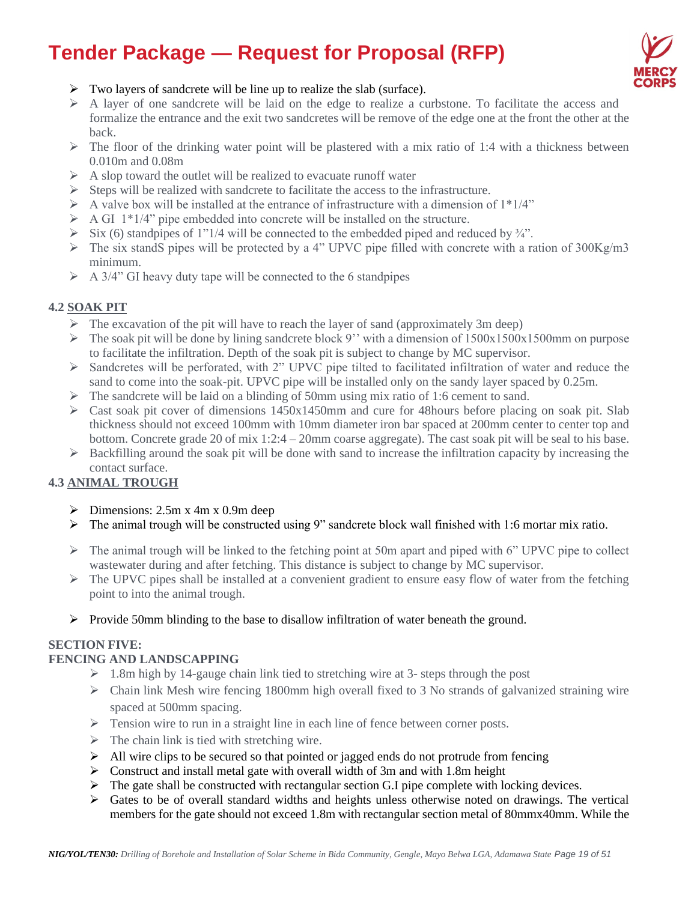

- ➢ Two layers of sandcrete will be line up to realize the slab (surface).
- $\triangleright$  A layer of one sandcrete will be laid on the edge to realize a curbstone. To facilitate the access and formalize the entrance and the exit two sandcretes will be remove of the edge one at the front the other at the back.
- $\triangleright$  The floor of the drinking water point will be plastered with a mix ratio of 1:4 with a thickness between 0.010m and 0.08m
- $\triangleright$  A slop toward the outlet will be realized to evacuate runoff water
- $\triangleright$  Steps will be realized with sandcrete to facilitate the access to the infrastructure.
- $\triangleright$  A valve box will be installed at the entrance of infrastructure with a dimension of  $1*1/4"$
- $\triangleright$  A GI 1<sup>\*</sup>1/4" pipe embedded into concrete will be installed on the structure.
- $\triangleright$  Six (6) standpipes of 1"1/4 will be connected to the embedded piped and reduced by  $\frac{3}{4}$ ".
- $\triangleright$  The six standS pipes will be protected by a 4" UPVC pipe filled with concrete with a ration of 300Kg/m3 minimum.
- $\triangleright$  A 3/4" GI heavy duty tape will be connected to the 6 standpipes

### **4.2 SOAK PIT**

- $\triangleright$  The excavation of the pit will have to reach the layer of sand (approximately 3m deep)
- $\triangleright$  The soak pit will be done by lining sandcrete block 9" with a dimension of  $1500x1500x1500$ mm on purpose to facilitate the infiltration. Depth of the soak pit is subject to change by MC supervisor.
- ➢ Sandcretes will be perforated, with 2" UPVC pipe tilted to facilitated infiltration of water and reduce the sand to come into the soak-pit. UPVC pipe will be installed only on the sandy layer spaced by 0.25m.
- $\triangleright$  The sandcrete will be laid on a blinding of 50mm using mix ratio of 1:6 cement to sand.
- $\triangleright$  Cast soak pit cover of dimensions 1450x1450mm and cure for 48 hours before placing on soak pit. Slab thickness should not exceed 100mm with 10mm diameter iron bar spaced at 200mm center to center top and bottom. Concrete grade 20 of mix 1:2:4 – 20mm coarse aggregate). The cast soak pit will be seal to his base.
- $\triangleright$  Backfilling around the soak pit will be done with sand to increase the infiltration capacity by increasing the contact surface.

# **4.3 ANIMAL TROUGH**

- $\triangleright$  Dimensions: 2.5m x 4m x 0.9m deep
- ➢ The animal trough will be constructed using 9" sandcrete block wall finished with 1:6 mortar mix ratio.
- ➢ The animal trough will be linked to the fetching point at 50m apart and piped with 6" UPVC pipe to collect wastewater during and after fetching. This distance is subject to change by MC supervisor.
- $\triangleright$  The UPVC pipes shall be installed at a convenient gradient to ensure easy flow of water from the fetching point to into the animal trough.
- ➢ Provide 50mm blinding to the base to disallow infiltration of water beneath the ground.

### **SECTION FIVE:**

### **FENCING AND LANDSCAPPING**

- $> 1.8$ m high by 14-gauge chain link tied to stretching wire at 3- steps through the post
- $\triangleright$  Chain link Mesh wire fencing 1800mm high overall fixed to 3 No strands of galvanized straining wire spaced at 500mm spacing.
- ➢ Tension wire to run in a straight line in each line of fence between corner posts.
- $\triangleright$  The chain link is tied with stretching wire.
- $\triangleright$  All wire clips to be secured so that pointed or jagged ends do not protrude from fencing
- $\triangleright$  Construct and install metal gate with overall width of 3m and with 1.8m height
- $\triangleright$  The gate shall be constructed with rectangular section G.I pipe complete with locking devices.
- $\triangleright$  Gates to be of overall standard widths and heights unless otherwise noted on drawings. The vertical members for the gate should not exceed 1.8m with rectangular section metal of 80mmx40mm. While the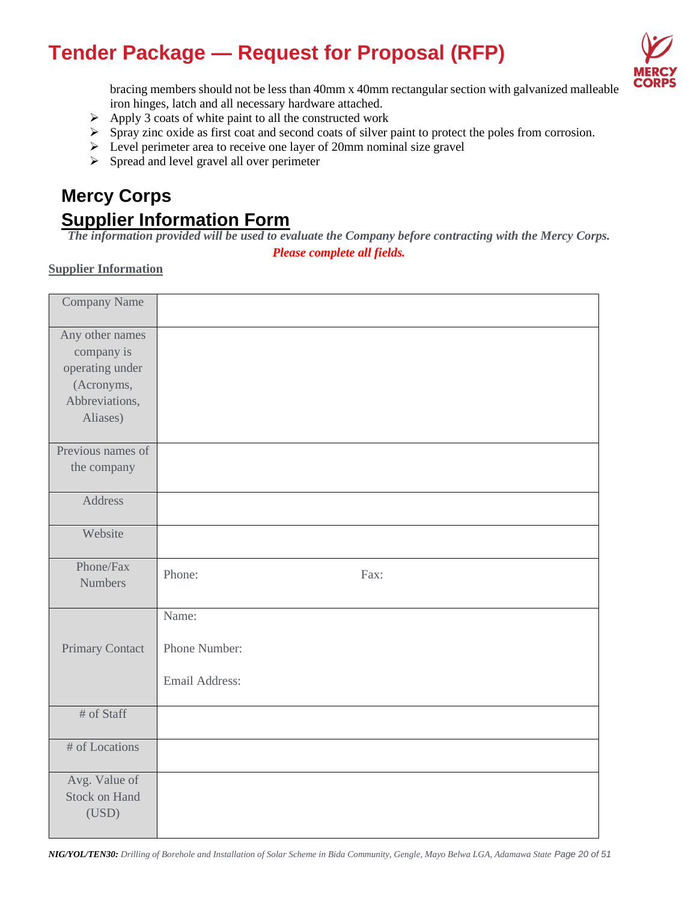

bracing members should not be less than 40mm x 40mm rectangular section with galvanized malleable iron hinges, latch and all necessary hardware attached.

- $\triangleright$  Apply 3 coats of white paint to all the constructed work
- ➢ Spray zinc oxide as first coat and second coats of silver paint to protect the poles from corrosion.
- ➢ Level perimeter area to receive one layer of 20mm nominal size gravel
- ➢ Spread and level gravel all over perimeter

# **Mercy Corps Supplier Information Form**

*The information provided will be used to evaluate the Company before contracting with the Mercy Corps.*

*Please complete all fields.*

### **Supplier Information**

| Company Name                                                                                 |                                          |
|----------------------------------------------------------------------------------------------|------------------------------------------|
| Any other names<br>company is<br>operating under<br>(Acronyms,<br>Abbreviations,<br>Aliases) |                                          |
| Previous names of<br>the company                                                             |                                          |
| Address                                                                                      |                                          |
| Website                                                                                      |                                          |
| Phone/Fax<br><b>Numbers</b>                                                                  | Phone:<br>Fax:                           |
| Primary Contact                                                                              | Name:<br>Phone Number:<br>Email Address: |
| # of Staff                                                                                   |                                          |
| # of Locations                                                                               |                                          |
| Avg. Value of<br><b>Stock on Hand</b><br>(USD)                                               |                                          |

*NIG/YOL/TEN30: Drilling of Borehole and Installation of Solar Scheme in Bida Community, Gengle, Mayo Belwa LGA, Adamawa State Page 20 of 51*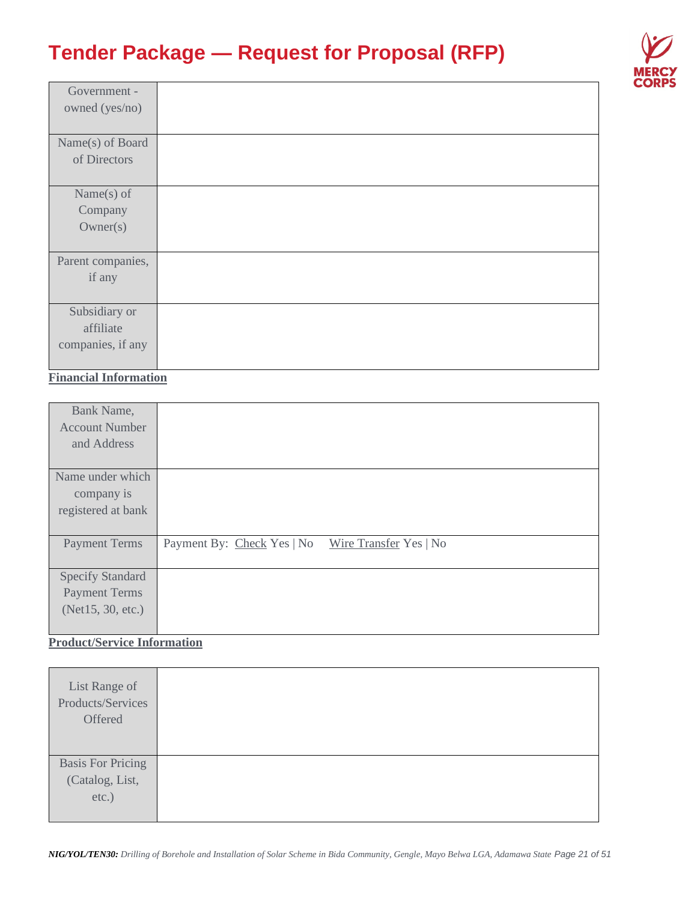

| Government -      |  |
|-------------------|--|
| owned (yes/no)    |  |
|                   |  |
| Name(s) of Board  |  |
| of Directors      |  |
|                   |  |
| Name $(s)$ of     |  |
| Company           |  |
| Owner(s)          |  |
|                   |  |
| Parent companies, |  |
| if any            |  |
|                   |  |
| Subsidiary or     |  |
| affiliate         |  |
| companies, if any |  |
|                   |  |

# **Financial Information**

| Bank Name,              |                                                      |
|-------------------------|------------------------------------------------------|
| <b>Account Number</b>   |                                                      |
| and Address             |                                                      |
|                         |                                                      |
| Name under which        |                                                      |
| company is              |                                                      |
| registered at bank      |                                                      |
|                         |                                                      |
|                         |                                                      |
| <b>Payment Terms</b>    | Payment By: Check Yes   No<br>Wire Transfer Yes   No |
|                         |                                                      |
| <b>Specify Standard</b> |                                                      |
| <b>Payment Terms</b>    |                                                      |
| (Net15, 30, etc.)       |                                                      |

# **Product/Service Information**

| List Range of<br>Products/Services<br>Offered |  |
|-----------------------------------------------|--|
| <b>Basis For Pricing</b>                      |  |
| (Catalog, List,                               |  |
| etc.)                                         |  |
|                                               |  |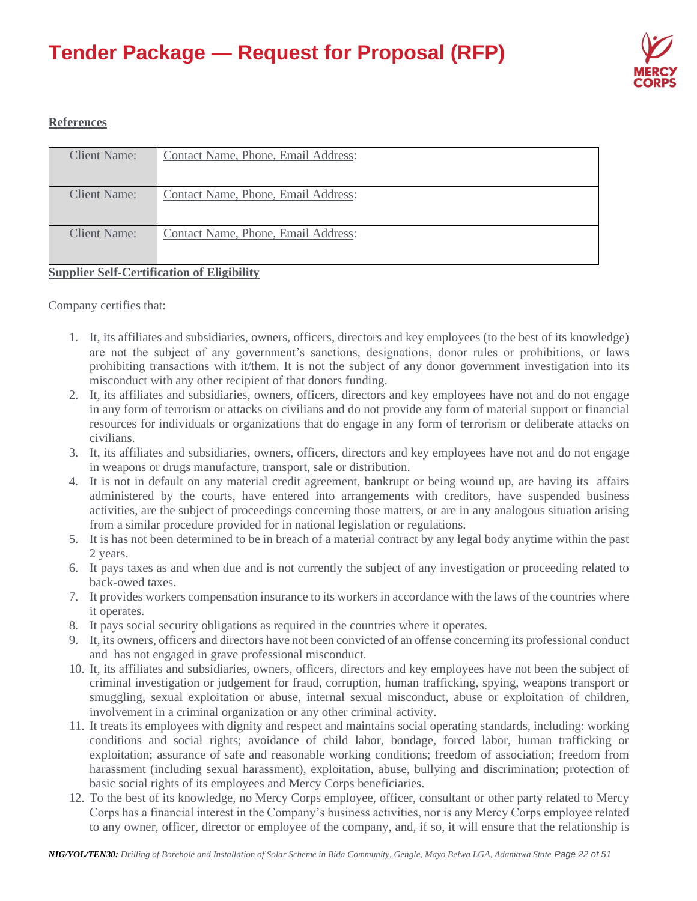

### **References**

| Client Name: | Contact Name, Phone, Email Address: |
|--------------|-------------------------------------|
|              |                                     |
|              |                                     |
| Client Name: | Contact Name, Phone, Email Address: |
|              |                                     |
|              |                                     |
| Client Name: | Contact Name, Phone, Email Address: |
|              |                                     |
|              |                                     |
|              |                                     |

### **Supplier Self-Certification of Eligibility**

Company certifies that:

- 1. It, its affiliates and subsidiaries, owners, officers, directors and key employees (to the best of its knowledge) are not the subject of any government's sanctions, designations, donor rules or prohibitions, or laws prohibiting transactions with it/them. It is not the subject of any donor government investigation into its misconduct with any other recipient of that donors funding.
- 2. It, its affiliates and subsidiaries, owners, officers, directors and key employees have not and do not engage in any form of terrorism or attacks on civilians and do not provide any form of material support or financial resources for individuals or organizations that do engage in any form of terrorism or deliberate attacks on civilians.
- 3. It, its affiliates and subsidiaries, owners, officers, directors and key employees have not and do not engage in weapons or drugs manufacture, transport, sale or distribution.
- 4. It is not in default on any material credit agreement, bankrupt or being wound up, are having its affairs administered by the courts, have entered into arrangements with creditors, have suspended business activities, are the subject of proceedings concerning those matters, or are in any analogous situation arising from a similar procedure provided for in national legislation or regulations.
- 5. It is has not been determined to be in breach of a material contract by any legal body anytime within the past 2 years.
- 6. It pays taxes as and when due and is not currently the subject of any investigation or proceeding related to back-owed taxes.
- 7. It provides workers compensation insurance to its workers in accordance with the laws of the countries where it operates.
- 8. It pays social security obligations as required in the countries where it operates.
- 9. It, its owners, officers and directors have not been convicted of an offense concerning its professional conduct and has not engaged in grave professional misconduct.
- 10. It, its affiliates and subsidiaries, owners, officers, directors and key employees have not been the subject of criminal investigation or judgement for fraud, corruption, human trafficking, spying, weapons transport or smuggling, sexual exploitation or abuse, internal sexual misconduct, abuse or exploitation of children, involvement in a criminal organization or any other criminal activity.
- 11. It treats its employees with dignity and respect and maintains social operating standards, including: working conditions and social rights; avoidance of child labor, bondage, forced labor, human trafficking or exploitation; assurance of safe and reasonable working conditions; freedom of association; freedom from harassment (including sexual harassment), exploitation, abuse, bullying and discrimination; protection of basic social rights of its employees and Mercy Corps beneficiaries.
- 12. To the best of its knowledge, no Mercy Corps employee, officer, consultant or other party related to Mercy Corps has a financial interest in the Company's business activities, nor is any Mercy Corps employee related to any owner, officer, director or employee of the company, and, if so, it will ensure that the relationship is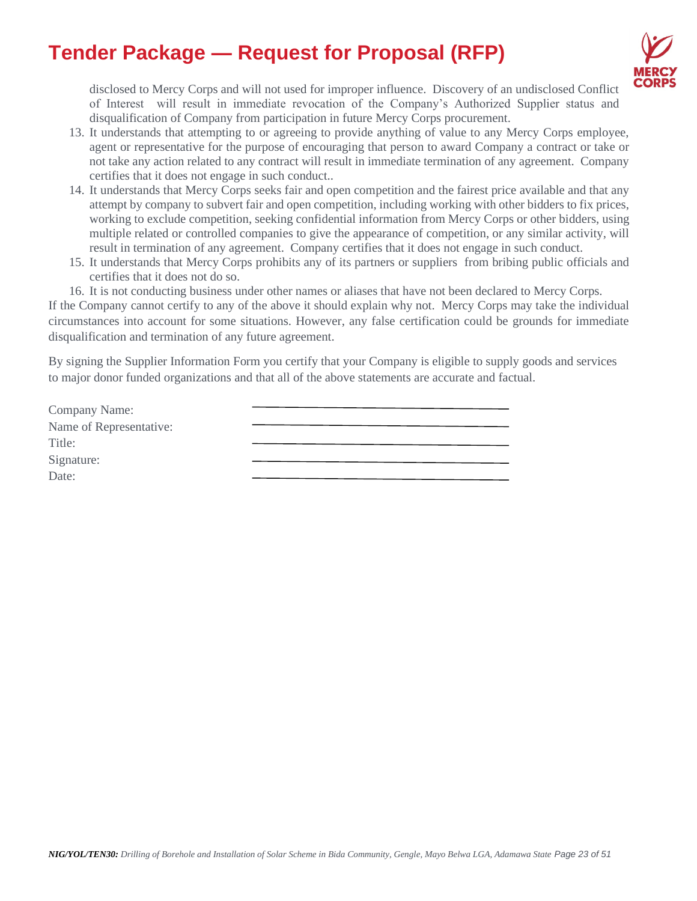

disclosed to Mercy Corps and will not used for improper influence. Discovery of an undisclosed Conflict of Interest will result in immediate revocation of the Company's Authorized Supplier status and disqualification of Company from participation in future Mercy Corps procurement.

- 13. It understands that attempting to or agreeing to provide anything of value to any Mercy Corps employee, agent or representative for the purpose of encouraging that person to award Company a contract or take or not take any action related to any contract will result in immediate termination of any agreement. Company certifies that it does not engage in such conduct..
- 14. It understands that Mercy Corps seeks fair and open competition and the fairest price available and that any attempt by company to subvert fair and open competition, including working with other bidders to fix prices, working to exclude competition, seeking confidential information from Mercy Corps or other bidders, using multiple related or controlled companies to give the appearance of competition, or any similar activity, will result in termination of any agreement. Company certifies that it does not engage in such conduct.
- 15. It understands that Mercy Corps prohibits any of its partners or suppliers from bribing public officials and certifies that it does not do so.
- 16. It is not conducting business under other names or aliases that have not been declared to Mercy Corps.

If the Company cannot certify to any of the above it should explain why not. Mercy Corps may take the individual circumstances into account for some situations. However, any false certification could be grounds for immediate disqualification and termination of any future agreement.

By signing the Supplier Information Form you certify that your Company is eligible to supply goods and services to major donor funded organizations and that all of the above statements are accurate and factual.

| Company Name:           |  |
|-------------------------|--|
| Name of Representative: |  |
| Title:                  |  |
| Signature:              |  |
| Date:                   |  |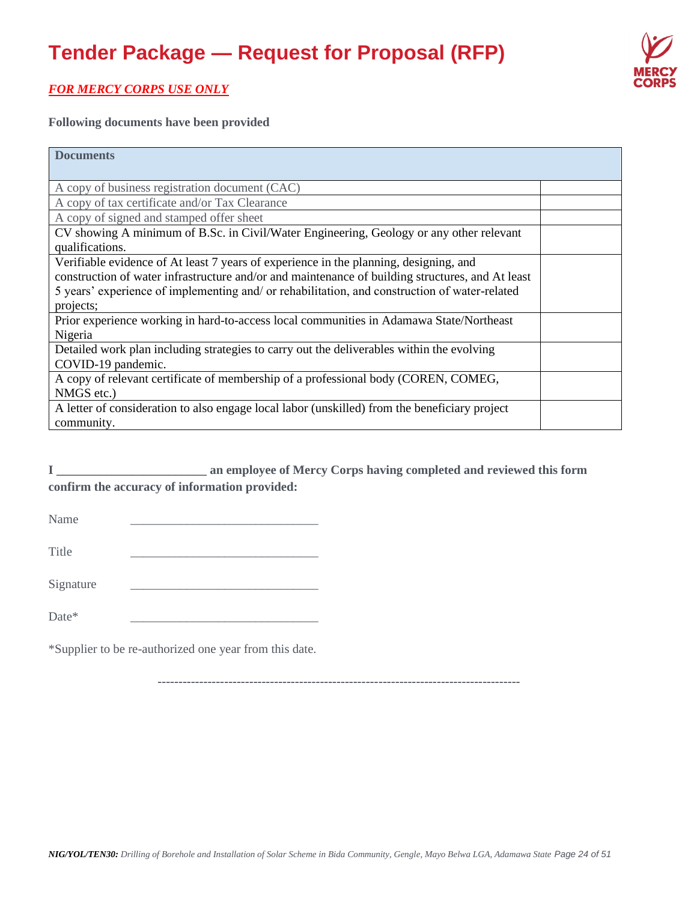

# *FOR MERCY CORPS USE ONLY*

**Following documents have been provided** 

| <b>Documents</b>                                                                                 |  |
|--------------------------------------------------------------------------------------------------|--|
|                                                                                                  |  |
| A copy of business registration document (CAC)                                                   |  |
| A copy of tax certificate and/or Tax Clearance                                                   |  |
| A copy of signed and stamped offer sheet                                                         |  |
| CV showing A minimum of B.Sc. in Civil/Water Engineering, Geology or any other relevant          |  |
| qualifications.                                                                                  |  |
| Verifiable evidence of At least 7 years of experience in the planning, designing, and            |  |
| construction of water infrastructure and/or and maintenance of building structures, and At least |  |
| 5 years' experience of implementing and/ or rehabilitation, and construction of water-related    |  |
| projects;                                                                                        |  |
| Prior experience working in hard-to-access local communities in Adamawa State/Northeast          |  |
| Nigeria                                                                                          |  |
| Detailed work plan including strategies to carry out the deliverables within the evolving        |  |
| COVID-19 pandemic.                                                                               |  |
| A copy of relevant certificate of membership of a professional body (COREN, COMEG,               |  |
| NMGS etc.)                                                                                       |  |
| A letter of consideration to also engage local labor (unskilled) from the beneficiary project    |  |
| community.                                                                                       |  |

**I \_\_\_\_\_\_\_\_\_\_\_\_\_\_\_\_\_\_\_\_\_\_\_\_ an employee of Mercy Corps having completed and reviewed this form confirm the accuracy of information provided:**

Name \_\_\_\_\_\_\_\_\_\_\_\_\_\_\_\_\_\_\_\_\_\_\_\_\_\_\_\_\_\_

Title \_\_\_\_\_\_\_\_\_\_\_\_\_\_\_\_\_\_\_\_\_\_\_\_\_\_\_\_\_\_

Signature

Date\*

\*Supplier to be re-authorized one year from this date.

**---------------------------------------------------------------------------------------**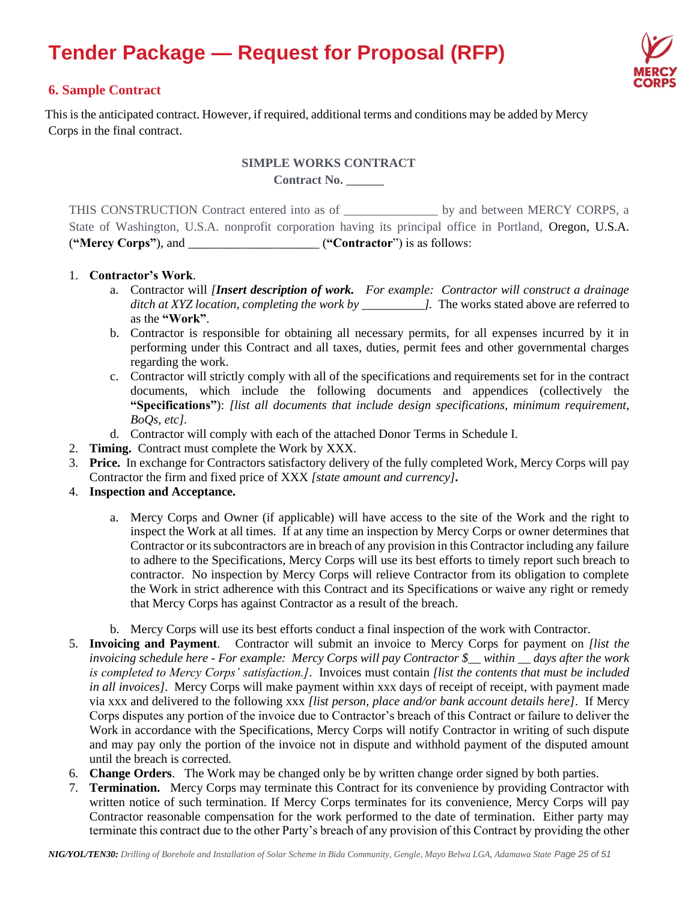

### **6. Sample Contract**

This is the anticipated contract. However, if required, additional terms and conditions may be added by Mercy Corps in the final contract.

#### **SIMPLE WORKS CONTRACT**

**Contract No. \_\_\_\_\_\_**

THIS CONSTRUCTION Contract entered into as of \_\_\_\_\_\_\_\_\_\_\_\_\_\_\_ by and between MERCY CORPS, a State of Washington, U.S.A. nonprofit corporation having its principal office in Portland, Oregon, U.S.A. (**"Mercy Corps"**), and  $($ **"Contractor**") is as follows:

#### 1. **Contractor's Work**.

- a. Contractor will *[Insert description of work. For example: Contractor will construct a drainage ditch at XYZ location, completing the work by \_\_\_\_\_\_\_\_\_\_].* The works stated above are referred to as the **"Work"**.
- b. Contractor is responsible for obtaining all necessary permits, for all expenses incurred by it in performing under this Contract and all taxes, duties, permit fees and other governmental charges regarding the work.
- c. Contractor will strictly comply with all of the specifications and requirements set for in the contract documents, which include the following documents and appendices (collectively the **"Specifications"**): *[list all documents that include design specifications, minimum requirement, BoQs, etc].*
- d. Contractor will comply with each of the attached Donor Terms in Schedule I.
- 2. **Timing.** Contract must complete the Work by XXX.
- 3. **Price.** In exchange for Contractors satisfactory delivery of the fully completed Work, Mercy Corps will pay Contractor the firm and fixed price of XXX *[state amount and currency]***.**
- 4. **Inspection and Acceptance.**
	- a. Mercy Corps and Owner (if applicable) will have access to the site of the Work and the right to inspect the Work at all times. If at any time an inspection by Mercy Corps or owner determines that Contractor or its subcontractors are in breach of any provision in this Contractor including any failure to adhere to the Specifications, Mercy Corps will use its best efforts to timely report such breach to contractor. No inspection by Mercy Corps will relieve Contractor from its obligation to complete the Work in strict adherence with this Contract and its Specifications or waive any right or remedy that Mercy Corps has against Contractor as a result of the breach.
	- b. Mercy Corps will use its best efforts conduct a final inspection of the work with Contractor.
- 5. **Invoicing and Payment**. Contractor will submit an invoice to Mercy Corps for payment on *[list the invoicing schedule here - For example: Mercy Corps will pay Contractor \$\_\_ within \_\_ days after the work is completed to Mercy Corps' satisfaction.]*. Invoices must contain *[list the contents that must be included in all invoices]*. Mercy Corps will make payment within xxx days of receipt of receipt, with payment made via xxx and delivered to the following xxx *[list person, place and/or bank account details here]*.If Mercy Corps disputes any portion of the invoice due to Contractor's breach of this Contract or failure to deliver the Work in accordance with the Specifications, Mercy Corps will notify Contractor in writing of such dispute and may pay only the portion of the invoice not in dispute and withhold payment of the disputed amount until the breach is corrected.
- 6. **Change Orders**. The Work may be changed only be by written change order signed by both parties.
- 7. **Termination.** Mercy Corps may terminate this Contract for its convenience by providing Contractor with written notice of such termination. If Mercy Corps terminates for its convenience, Mercy Corps will pay Contractor reasonable compensation for the work performed to the date of termination. Either party may terminate this contract due to the other Party's breach of any provision of this Contract by providing the other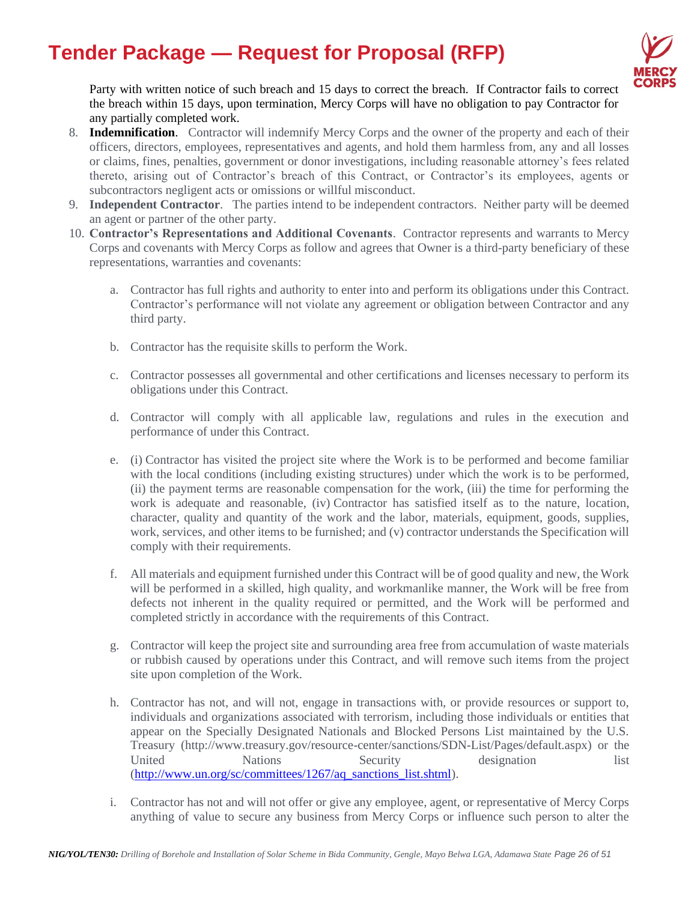

Party with written notice of such breach and 15 days to correct the breach. If Contractor fails to correct the breach within 15 days, upon termination, Mercy Corps will have no obligation to pay Contractor for any partially completed work.

- 8. **Indemnification**. Contractor will indemnify Mercy Corps and the owner of the property and each of their officers, directors, employees, representatives and agents, and hold them harmless from, any and all losses or claims, fines, penalties, government or donor investigations, including reasonable attorney's fees related thereto, arising out of Contractor's breach of this Contract, or Contractor's its employees, agents or subcontractors negligent acts or omissions or willful misconduct.
- 9. **Independent Contractor**. The parties intend to be independent contractors. Neither party will be deemed an agent or partner of the other party.
- 10. **Contractor's Representations and Additional Covenants**. Contractor represents and warrants to Mercy Corps and covenants with Mercy Corps as follow and agrees that Owner is a third-party beneficiary of these representations, warranties and covenants:
	- a. Contractor has full rights and authority to enter into and perform its obligations under this Contract. Contractor's performance will not violate any agreement or obligation between Contractor and any third party.
	- b. Contractor has the requisite skills to perform the Work.
	- c. Contractor possesses all governmental and other certifications and licenses necessary to perform its obligations under this Contract.
	- d. Contractor will comply with all applicable law, regulations and rules in the execution and performance of under this Contract.
	- e. (i) Contractor has visited the project site where the Work is to be performed and become familiar with the local conditions (including existing structures) under which the work is to be performed, (ii) the payment terms are reasonable compensation for the work, (iii) the time for performing the work is adequate and reasonable, (iv) Contractor has satisfied itself as to the nature, location, character, quality and quantity of the work and the labor, materials, equipment, goods, supplies, work, services, and other items to be furnished; and (v) contractor understands the Specification will comply with their requirements.
	- f. All materials and equipment furnished under this Contract will be of good quality and new, the Work will be performed in a skilled, high quality, and workmanlike manner, the Work will be free from defects not inherent in the quality required or permitted, and the Work will be performed and completed strictly in accordance with the requirements of this Contract.
	- g. Contractor will keep the project site and surrounding area free from accumulation of waste materials or rubbish caused by operations under this Contract, and will remove such items from the project site upon completion of the Work.
	- h. Contractor has not, and will not, engage in transactions with, or provide resources or support to, individuals and organizations associated with terrorism, including those individuals or entities that appear on the Specially Designated Nationals and Blocked Persons List maintained by the U.S. Treasury (http://www.treasury.gov/resource-center/sanctions/SDN-List/Pages/default.aspx) or the United Nations Security designation list [\(http://www.un.org/sc/committees/1267/aq\\_sanctions\\_list.shtml\)](http://www.un.org/sc/committees/1267/aq_sanctions_list.shtml).
	- i. Contractor has not and will not offer or give any employee, agent, or representative of Mercy Corps anything of value to secure any business from Mercy Corps or influence such person to alter the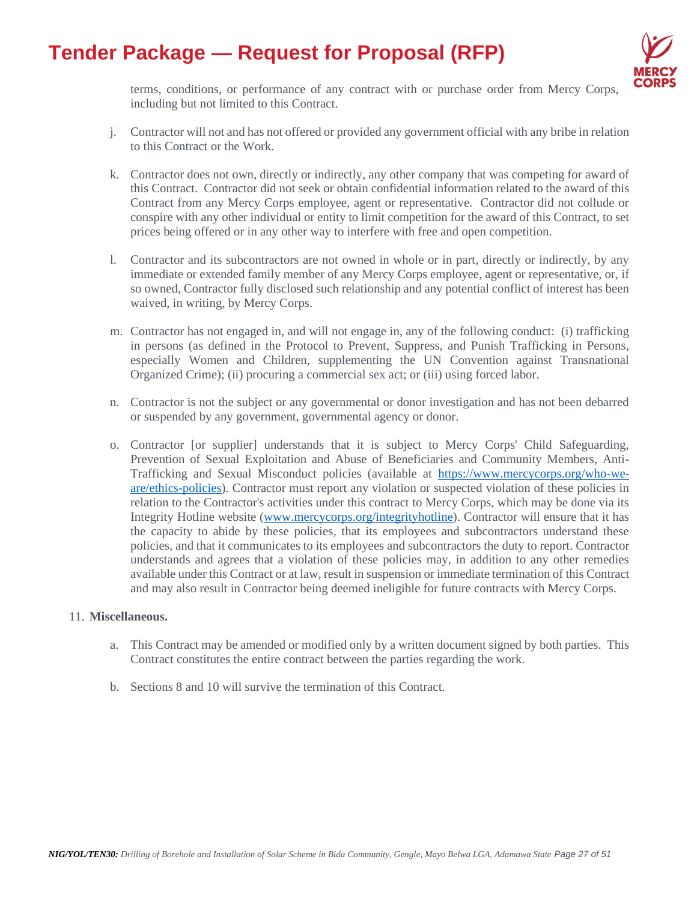

terms, conditions, or performance of any contract with or purchase order from Mercy Corps, including but not limited to this Contract.

- j. Contractor will not and has not offered or provided any government official with any bribe in relation to this Contract or the Work.
- k. Contractor does not own, directly or indirectly, any other company that was competing for award of this Contract. Contractor did not seek or obtain confidential information related to the award of this Contract from any Mercy Corps employee, agent or representative. Contractor did not collude or conspire with any other individual or entity to limit competition for the award of this Contract, to set prices being offered or in any other way to interfere with free and open competition.
- l. Contractor and its subcontractors are not owned in whole or in part, directly or indirectly, by any immediate or extended family member of any Mercy Corps employee, agent or representative, or, if so owned, Contractor fully disclosed such relationship and any potential conflict of interest has been waived, in writing, by Mercy Corps.
- m. Contractor has not engaged in, and will not engage in, any of the following conduct: (i) trafficking in persons (as defined in the Protocol to Prevent, Suppress, and Punish Trafficking in Persons, especially Women and Children, supplementing the UN Convention against Transnational Organized Crime); (ii) procuring a commercial sex act; or (iii) using forced labor.
- n. Contractor is not the subject or any governmental or donor investigation and has not been debarred or suspended by any government, governmental agency or donor.
- o. Contractor [or supplier] understands that it is subject to Mercy Corps' Child Safeguarding, Prevention of Sexual Exploitation and Abuse of Beneficiaries and Community Members, Anti-Trafficking and Sexual Misconduct policies (available at [https://www.mercycorps.org/who-we](https://www.mercycorps.org/who-we-are/ethics-policies)[are/ethics-policies\)](https://www.mercycorps.org/who-we-are/ethics-policies). Contractor must report any violation or suspected violation of these policies in relation to the Contractor's activities under this contract to Mercy Corps, which may be done via its Integrity Hotline website [\(www.mercycorps.org/integrityhotline\)](http://www.mercycorps.org/integrityhotline). Contractor will ensure that it has the capacity to abide by these policies, that its employees and subcontractors understand these policies, and that it communicates to its employees and subcontractors the duty to report. Contractor understands and agrees that a violation of these policies may, in addition to any other remedies available under this Contract or at law, result in suspension or immediate termination of this Contract and may also result in Contractor being deemed ineligible for future contracts with Mercy Corps.

#### 11. **Miscellaneous.**

- a. This Contract may be amended or modified only by a written document signed by both parties. This Contract constitutes the entire contract between the parties regarding the work.
- b. Sections 8 and 10 will survive the termination of this Contract.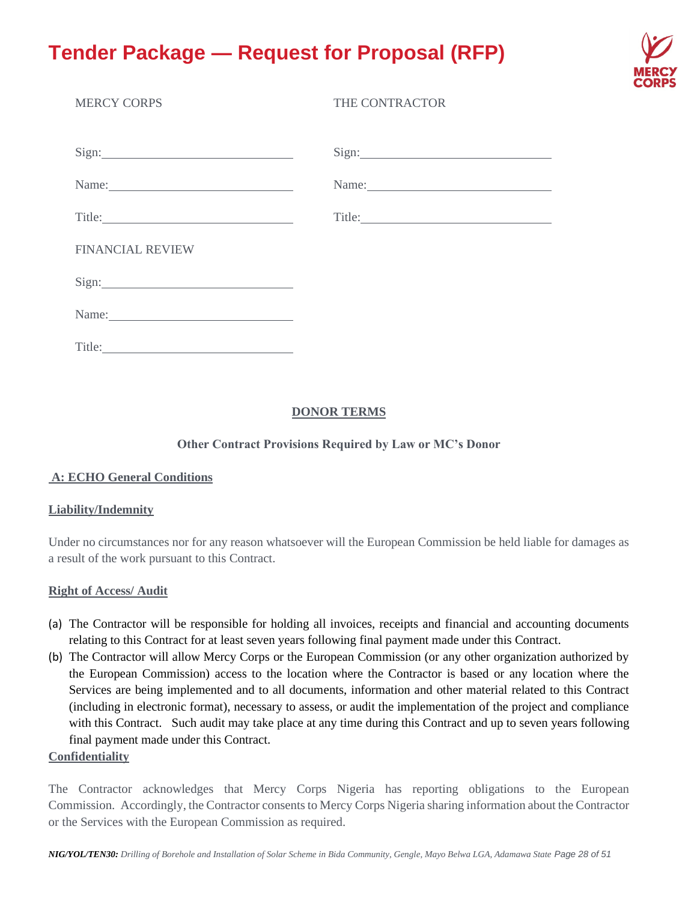

| <b>MERCY CORPS</b>                                                                                                                                                                                                            | THE CONTRACTOR                                                                                                                                                                                                                 |
|-------------------------------------------------------------------------------------------------------------------------------------------------------------------------------------------------------------------------------|--------------------------------------------------------------------------------------------------------------------------------------------------------------------------------------------------------------------------------|
| Sign:                                                                                                                                                                                                                         | Sign:                                                                                                                                                                                                                          |
| Name:                                                                                                                                                                                                                         | Name:                                                                                                                                                                                                                          |
|                                                                                                                                                                                                                               | Title: The Commission of the Commission of the Commission of the Commission of the Commission of the Commission of the Commission of the Commission of the Commission of the Commission of the Commission of the Commission of |
| <b>FINANCIAL REVIEW</b>                                                                                                                                                                                                       |                                                                                                                                                                                                                                |
|                                                                                                                                                                                                                               |                                                                                                                                                                                                                                |
| Name:                                                                                                                                                                                                                         |                                                                                                                                                                                                                                |
| Title: 2008 Contract 2008 Contract 2008 Contract 2008 Contract 2008 Contract 2008 Contract 2008 Contract 2008 Contract 2008 Contract 2008 Contract 2008 Contract 2008 Contract 2008 Contract 2008 Contract 2008 Contract 2008 |                                                                                                                                                                                                                                |

### **DONOR TERMS**

### **Other Contract Provisions Required by Law or MC's Donor**

#### **A: ECHO General Conditions**

#### **Liability/Indemnity**

Under no circumstances nor for any reason whatsoever will the European Commission be held liable for damages as a result of the work pursuant to this Contract.

#### **Right of Access/ Audit**

- (a) The Contractor will be responsible for holding all invoices, receipts and financial and accounting documents relating to this Contract for at least seven years following final payment made under this Contract.
- (b) The Contractor will allow Mercy Corps or the European Commission (or any other organization authorized by the European Commission) access to the location where the Contractor is based or any location where the Services are being implemented and to all documents, information and other material related to this Contract (including in electronic format), necessary to assess, or audit the implementation of the project and compliance with this Contract. Such audit may take place at any time during this Contract and up to seven years following final payment made under this Contract.

#### **Confidentiality**

The Contractor acknowledges that Mercy Corps Nigeria has reporting obligations to the European Commission. Accordingly, the Contractor consents to Mercy Corps Nigeria sharing information about the Contractor or the Services with the European Commission as required.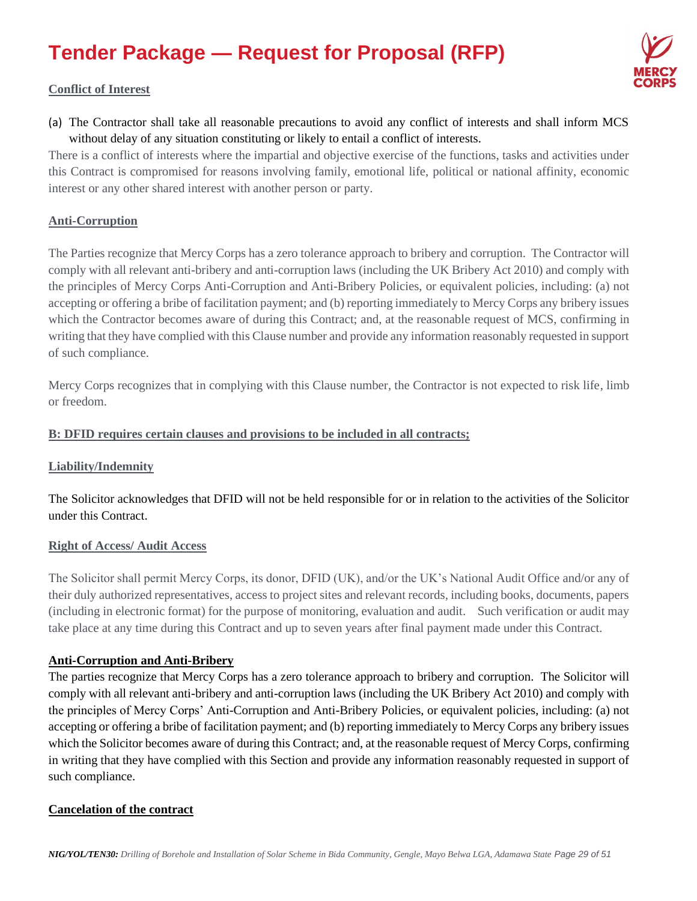

### **Conflict of Interest**

(a) The Contractor shall take all reasonable precautions to avoid any conflict of interests and shall inform MCS without delay of any situation constituting or likely to entail a conflict of interests.

There is a conflict of interests where the impartial and objective exercise of the functions, tasks and activities under this Contract is compromised for reasons involving family, emotional life, political or national affinity, economic interest or any other shared interest with another person or party.

### **Anti-Corruption**

The Parties recognize that Mercy Corps has a zero tolerance approach to bribery and corruption. The Contractor will comply with all relevant anti-bribery and anti-corruption laws (including the UK Bribery Act 2010) and comply with the principles of Mercy Corps Anti-Corruption and Anti-Bribery Policies, or equivalent policies, including: (a) not accepting or offering a bribe of facilitation payment; and (b) reporting immediately to Mercy Corps any bribery issues which the Contractor becomes aware of during this Contract; and, at the reasonable request of MCS, confirming in writing that they have complied with this Clause number and provide any information reasonably requested in support of such compliance.

Mercy Corps recognizes that in complying with this Clause number, the Contractor is not expected to risk life, limb or freedom.

### **B: DFID requires certain clauses and provisions to be included in all contracts;**

#### **Liability/Indemnity**

The Solicitor acknowledges that DFID will not be held responsible for or in relation to the activities of the Solicitor under this Contract.

#### **Right of Access/ Audit Access**

The Solicitor shall permit Mercy Corps, its donor, DFID (UK), and/or the UK's National Audit Office and/or any of their duly authorized representatives, access to project sites and relevant records, including books, documents, papers (including in electronic format) for the purpose of monitoring, evaluation and audit. Such verification or audit may take place at any time during this Contract and up to seven years after final payment made under this Contract.

### **Anti-Corruption and Anti-Bribery**

The parties recognize that Mercy Corps has a zero tolerance approach to bribery and corruption. The Solicitor will comply with all relevant anti-bribery and anti-corruption laws (including the UK Bribery Act 2010) and comply with the principles of Mercy Corps' Anti-Corruption and Anti-Bribery Policies, or equivalent policies, including: (a) not accepting or offering a bribe of facilitation payment; and (b) reporting immediately to Mercy Corps any bribery issues which the Solicitor becomes aware of during this Contract; and, at the reasonable request of Mercy Corps, confirming in writing that they have complied with this Section and provide any information reasonably requested in support of such compliance.

### **Cancelation of the contract**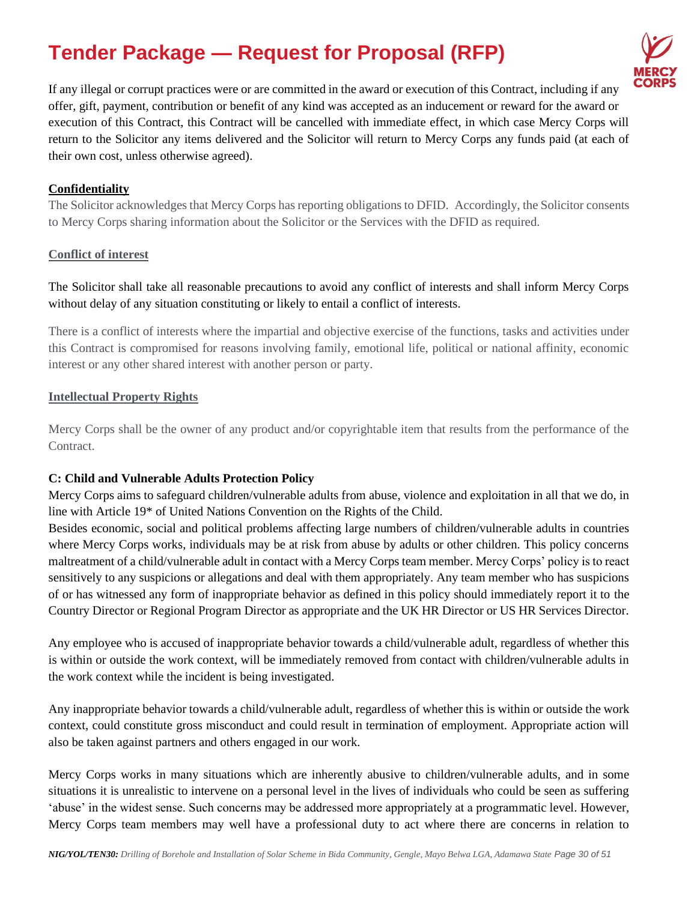

If any illegal or corrupt practices were or are committed in the award or execution of this Contract, including if any offer, gift, payment, contribution or benefit of any kind was accepted as an inducement or reward for the award or execution of this Contract, this Contract will be cancelled with immediate effect, in which case Mercy Corps will return to the Solicitor any items delivered and the Solicitor will return to Mercy Corps any funds paid (at each of their own cost, unless otherwise agreed).

### **Confidentiality**

The Solicitor acknowledges that Mercy Corps has reporting obligations to DFID. Accordingly, the Solicitor consents to Mercy Corps sharing information about the Solicitor or the Services with the DFID as required.

#### **Conflict of interest**

The Solicitor shall take all reasonable precautions to avoid any conflict of interests and shall inform Mercy Corps without delay of any situation constituting or likely to entail a conflict of interests.

There is a conflict of interests where the impartial and objective exercise of the functions, tasks and activities under this Contract is compromised for reasons involving family, emotional life, political or national affinity, economic interest or any other shared interest with another person or party.

#### **Intellectual Property Rights**

Mercy Corps shall be the owner of any product and/or copyrightable item that results from the performance of the Contract.

#### **C: Child and Vulnerable Adults Protection Policy**

Mercy Corps aims to safeguard children/vulnerable adults from abuse, violence and exploitation in all that we do, in line with Article 19\* of United Nations Convention on the Rights of the Child.

Besides economic, social and political problems affecting large numbers of children/vulnerable adults in countries where Mercy Corps works, individuals may be at risk from abuse by adults or other children. This policy concerns maltreatment of a child/vulnerable adult in contact with a Mercy Corps team member. Mercy Corps' policy is to react sensitively to any suspicions or allegations and deal with them appropriately. Any team member who has suspicions of or has witnessed any form of inappropriate behavior as defined in this policy should immediately report it to the Country Director or Regional Program Director as appropriate and the UK HR Director or US HR Services Director.

Any employee who is accused of inappropriate behavior towards a child/vulnerable adult, regardless of whether this is within or outside the work context, will be immediately removed from contact with children/vulnerable adults in the work context while the incident is being investigated.

Any inappropriate behavior towards a child/vulnerable adult, regardless of whether this is within or outside the work context, could constitute gross misconduct and could result in termination of employment. Appropriate action will also be taken against partners and others engaged in our work.

Mercy Corps works in many situations which are inherently abusive to children/vulnerable adults, and in some situations it is unrealistic to intervene on a personal level in the lives of individuals who could be seen as suffering 'abuse' in the widest sense. Such concerns may be addressed more appropriately at a programmatic level. However, Mercy Corps team members may well have a professional duty to act where there are concerns in relation to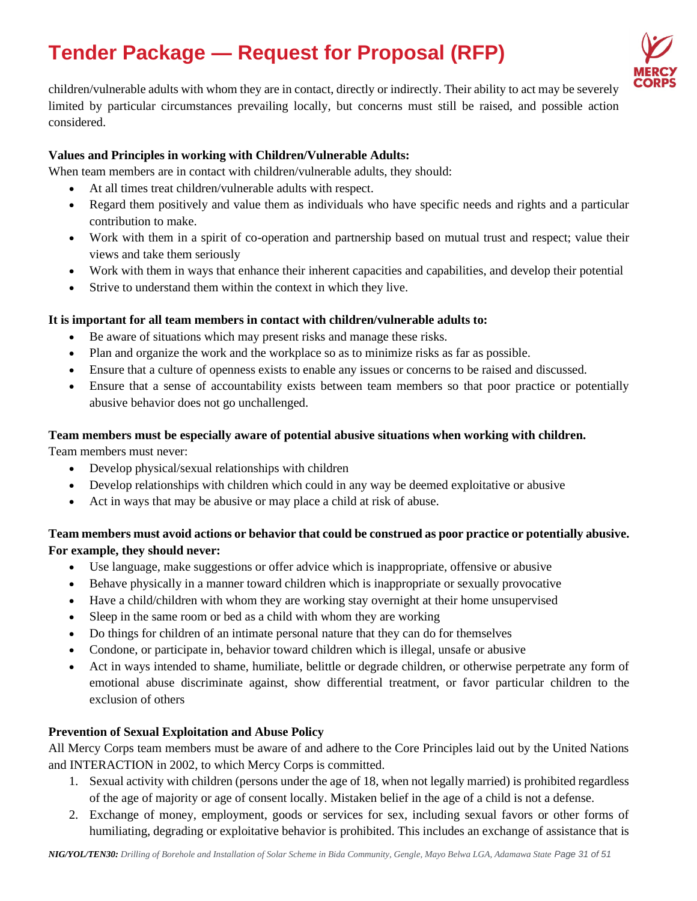

children/vulnerable adults with whom they are in contact, directly or indirectly. Their ability to act may be severely limited by particular circumstances prevailing locally, but concerns must still be raised, and possible action considered.

### **Values and Principles in working with Children/Vulnerable Adults:**

When team members are in contact with children/vulnerable adults, they should:

- At all times treat children/vulnerable adults with respect.
- Regard them positively and value them as individuals who have specific needs and rights and a particular contribution to make.
- Work with them in a spirit of co-operation and partnership based on mutual trust and respect; value their views and take them seriously
- Work with them in ways that enhance their inherent capacities and capabilities, and develop their potential
- Strive to understand them within the context in which they live.

### **It is important for all team members in contact with children/vulnerable adults to:**

- Be aware of situations which may present risks and manage these risks.
- Plan and organize the work and the workplace so as to minimize risks as far as possible.
- Ensure that a culture of openness exists to enable any issues or concerns to be raised and discussed.
- Ensure that a sense of accountability exists between team members so that poor practice or potentially abusive behavior does not go unchallenged.

### **Team members must be especially aware of potential abusive situations when working with children.**

Team members must never:

- Develop physical/sexual relationships with children
- Develop relationships with children which could in any way be deemed exploitative or abusive
- Act in ways that may be abusive or may place a child at risk of abuse.

# **Team members must avoid actions or behavior that could be construed as poor practice or potentially abusive. For example, they should never:**

- Use language, make suggestions or offer advice which is inappropriate, offensive or abusive
- Behave physically in a manner toward children which is inappropriate or sexually provocative
- Have a child/children with whom they are working stay overnight at their home unsupervised
- Sleep in the same room or bed as a child with whom they are working
- Do things for children of an intimate personal nature that they can do for themselves
- Condone, or participate in, behavior toward children which is illegal, unsafe or abusive
- Act in ways intended to shame, humiliate, belittle or degrade children, or otherwise perpetrate any form of emotional abuse discriminate against, show differential treatment, or favor particular children to the exclusion of others

### **Prevention of Sexual Exploitation and Abuse Policy**

All Mercy Corps team members must be aware of and adhere to the Core Principles laid out by the United Nations and INTERACTION in 2002, to which Mercy Corps is committed.

- 1. Sexual activity with children (persons under the age of 18, when not legally married) is prohibited regardless of the age of majority or age of consent locally. Mistaken belief in the age of a child is not a defense.
- 2. Exchange of money, employment, goods or services for sex, including sexual favors or other forms of humiliating, degrading or exploitative behavior is prohibited. This includes an exchange of assistance that is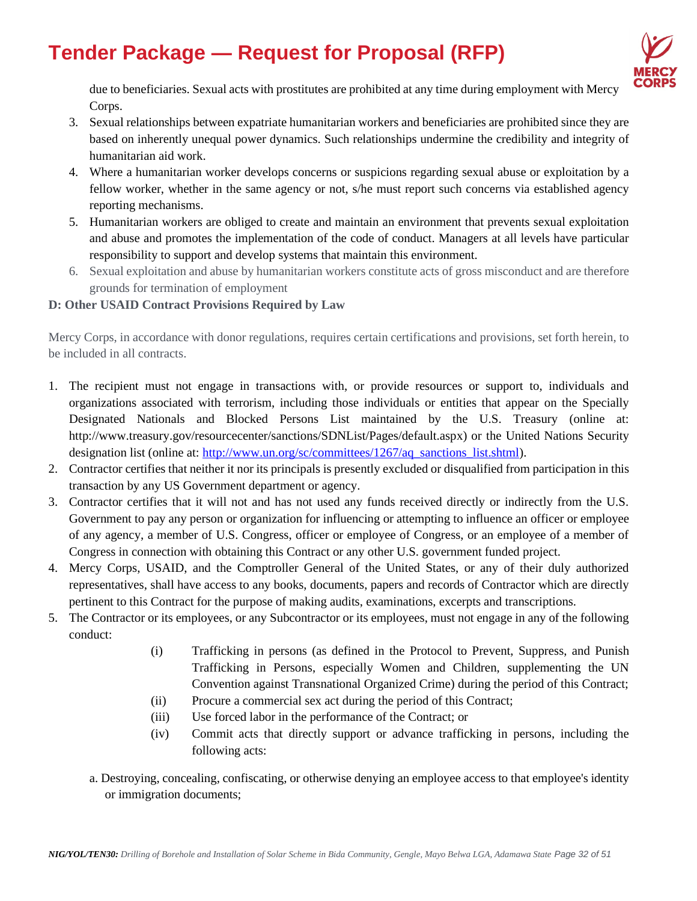

due to beneficiaries. Sexual acts with prostitutes are prohibited at any time during employment with Mercy Corps.

- 3. Sexual relationships between expatriate humanitarian workers and beneficiaries are prohibited since they are based on inherently unequal power dynamics. Such relationships undermine the credibility and integrity of humanitarian aid work.
- 4. Where a humanitarian worker develops concerns or suspicions regarding sexual abuse or exploitation by a fellow worker, whether in the same agency or not, s/he must report such concerns via established agency reporting mechanisms.
- 5. Humanitarian workers are obliged to create and maintain an environment that prevents sexual exploitation and abuse and promotes the implementation of the code of conduct. Managers at all levels have particular responsibility to support and develop systems that maintain this environment.
- 6. Sexual exploitation and abuse by humanitarian workers constitute acts of gross misconduct and are therefore grounds for termination of employment

### **D: Other USAID Contract Provisions Required by Law**

Mercy Corps, in accordance with donor regulations, requires certain certifications and provisions, set forth herein, to be included in all contracts.

- 1. The recipient must not engage in transactions with, or provide resources or support to, individuals and organizations associated with terrorism, including those individuals or entities that appear on the Specially Designated Nationals and Blocked Persons List maintained by the U.S. Treasury (online at: http://www.treasury.gov/resourcecenter/sanctions/SDNList/Pages/default.aspx) or the United Nations Security designation list (online at: [http://www.un.org/sc/committees/1267/aq\\_sanctions\\_list.shtml\)](http://www.un.org/sc/committees/1267/aq_sanctions_list.shtml).
- 2. Contractor certifies that neither it nor its principals is presently excluded or disqualified from participation in this transaction by any US Government department or agency.
- 3. Contractor certifies that it will not and has not used any funds received directly or indirectly from the U.S. Government to pay any person or organization for influencing or attempting to influence an officer or employee of any agency, a member of U.S. Congress, officer or employee of Congress, or an employee of a member of Congress in connection with obtaining this Contract or any other U.S. government funded project.
- 4. Mercy Corps, USAID, and the Comptroller General of the United States, or any of their duly authorized representatives, shall have access to any books, documents, papers and records of Contractor which are directly pertinent to this Contract for the purpose of making audits, examinations, excerpts and transcriptions.
- 5. The Contractor or its employees, or any Subcontractor or its employees, must not engage in any of the following conduct:
	- (i) Trafficking in persons (as defined in the Protocol to Prevent, Suppress, and Punish Trafficking in Persons, especially Women and Children, supplementing the UN Convention against Transnational Organized Crime) during the period of this Contract;
	- (ii) Procure a commercial sex act during the period of this Contract;
	- (iii) Use forced labor in the performance of the Contract; or
	- (iv) Commit acts that directly support or advance trafficking in persons, including the following acts:
	- a. Destroying, concealing, confiscating, or otherwise denying an employee access to that employee's identity or immigration documents;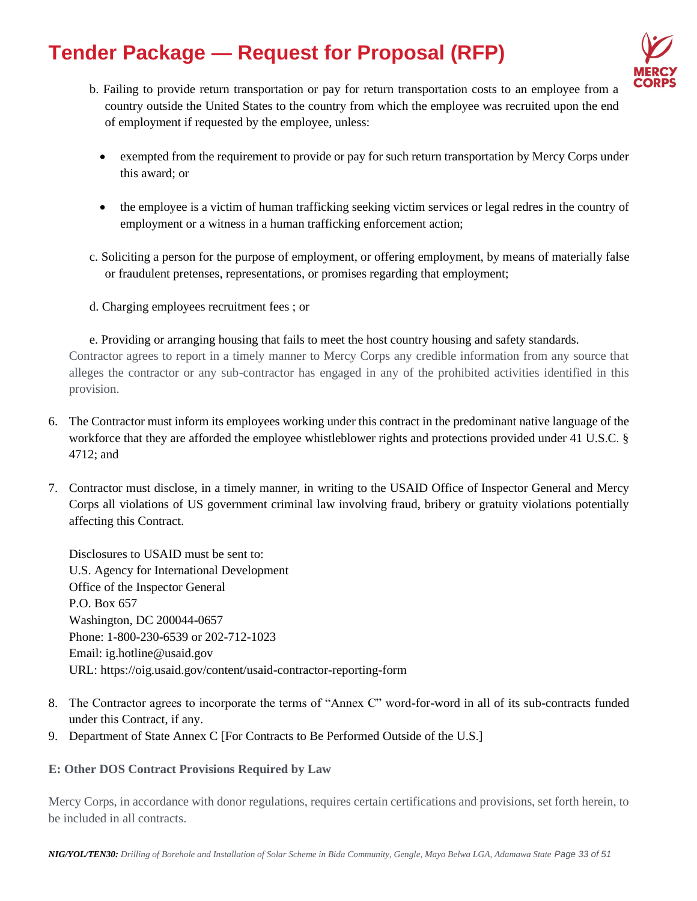

- b. Failing to provide return transportation or pay for return transportation costs to an employee from a country outside the United States to the country from which the employee was recruited upon the end of employment if requested by the employee, unless:
	- exempted from the requirement to provide or pay for such return transportation by Mercy Corps under this award; or
	- the employee is a victim of human trafficking seeking victim services or legal redres in the country of employment or a witness in a human trafficking enforcement action;
- c. Soliciting a person for the purpose of employment, or offering employment, by means of materially false or fraudulent pretenses, representations, or promises regarding that employment;
- d. Charging employees recruitment fees ; or

e. Providing or arranging housing that fails to meet the host country housing and safety standards. Contractor agrees to report in a timely manner to Mercy Corps any credible information from any source that alleges the contractor or any sub-contractor has engaged in any of the prohibited activities identified in this provision.

- 6. The Contractor must inform its employees working under this contract in the predominant native language of the workforce that they are afforded the employee whistleblower rights and protections provided under 41 U.S.C. § 4712; and
- 7. Contractor must disclose, in a timely manner, in writing to the USAID Office of Inspector General and Mercy Corps all violations of US government criminal law involving fraud, bribery or gratuity violations potentially affecting this Contract.

Disclosures to USAID must be sent to: U.S. Agency for International Development Office of the Inspector General P.O. Box 657 Washington, DC 200044-0657 Phone: 1-800-230-6539 or 202-712-1023 Email: [ig.hotline@usaid.gov](mailto:ig.hotline@usaid.gov) URL: https://oig.usaid.gov/content/usaid-contractor-reporting-form

- 8. The Contractor agrees to incorporate the terms of "Annex C" word-for-word in all of its sub-contracts funded under this Contract, if any.
- 9. Department of State Annex C [For Contracts to Be Performed Outside of the U.S.]

### **E: Other DOS Contract Provisions Required by Law**

Mercy Corps, in accordance with donor regulations, requires certain certifications and provisions, set forth herein, to be included in all contracts.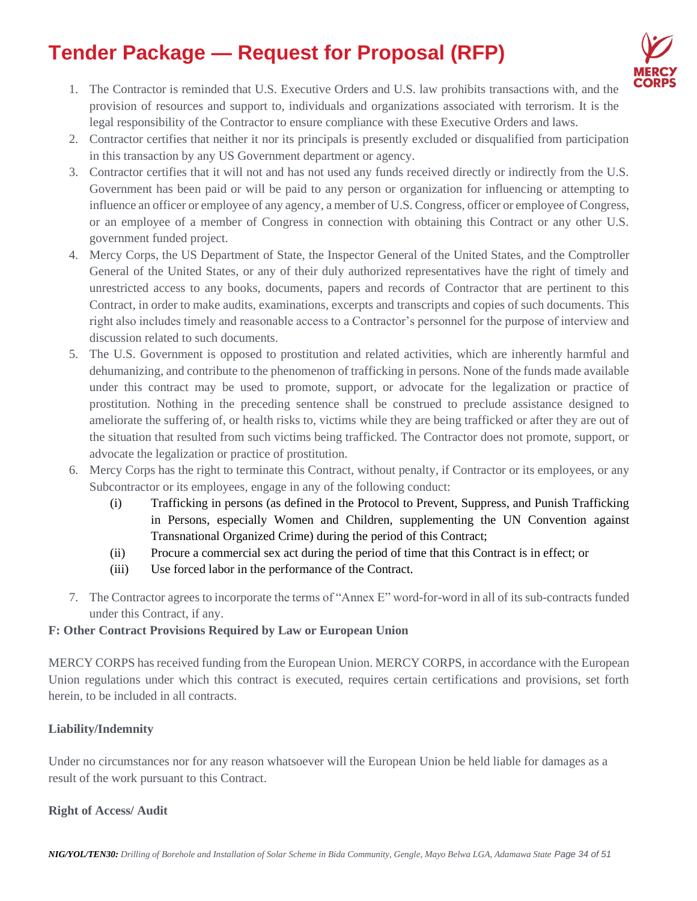

- 1. The Contractor is reminded that U.S. Executive Orders and U.S. law prohibits transactions with, and the provision of resources and support to, individuals and organizations associated with terrorism. It is the legal responsibility of the Contractor to ensure compliance with these Executive Orders and laws.
- 2. Contractor certifies that neither it nor its principals is presently excluded or disqualified from participation in this transaction by any US Government department or agency.
- 3. Contractor certifies that it will not and has not used any funds received directly or indirectly from the U.S. Government has been paid or will be paid to any person or organization for influencing or attempting to influence an officer or employee of any agency, a member of U.S. Congress, officer or employee of Congress, or an employee of a member of Congress in connection with obtaining this Contract or any other U.S. government funded project.
- 4. Mercy Corps, the US Department of State, the Inspector General of the United States, and the Comptroller General of the United States, or any of their duly authorized representatives have the right of timely and unrestricted access to any books, documents, papers and records of Contractor that are pertinent to this Contract, in order to make audits, examinations, excerpts and transcripts and copies of such documents. This right also includes timely and reasonable access to a Contractor's personnel for the purpose of interview and discussion related to such documents.
- 5. The U.S. Government is opposed to prostitution and related activities, which are inherently harmful and dehumanizing, and contribute to the phenomenon of trafficking in persons. None of the funds made available under this contract may be used to promote, support, or advocate for the legalization or practice of prostitution. Nothing in the preceding sentence shall be construed to preclude assistance designed to ameliorate the suffering of, or health risks to, victims while they are being trafficked or after they are out of the situation that resulted from such victims being trafficked. The Contractor does not promote, support, or advocate the legalization or practice of prostitution.
- 6. Mercy Corps has the right to terminate this Contract, without penalty, if Contractor or its employees, or any Subcontractor or its employees, engage in any of the following conduct:
	- (i) Trafficking in persons (as defined in the Protocol to Prevent, Suppress, and Punish Trafficking in Persons, especially Women and Children, supplementing the UN Convention against Transnational Organized Crime) during the period of this Contract;
	- (ii) Procure a commercial sex act during the period of time that this Contract is in effect; or
	- (iii) Use forced labor in the performance of the Contract.
- 7. The Contractor agrees to incorporate the terms of "Annex E" word-for-word in all of its sub-contracts funded under this Contract, if any.

### **F: Other Contract Provisions Required by Law or European Union**

MERCY CORPS has received funding from the European Union. MERCY CORPS, in accordance with the European Union regulations under which this contract is executed, requires certain certifications and provisions, set forth herein, to be included in all contracts.

# **Liability/Indemnity**

Under no circumstances nor for any reason whatsoever will the European Union be held liable for damages as a result of the work pursuant to this Contract.

### **Right of Access/ Audit**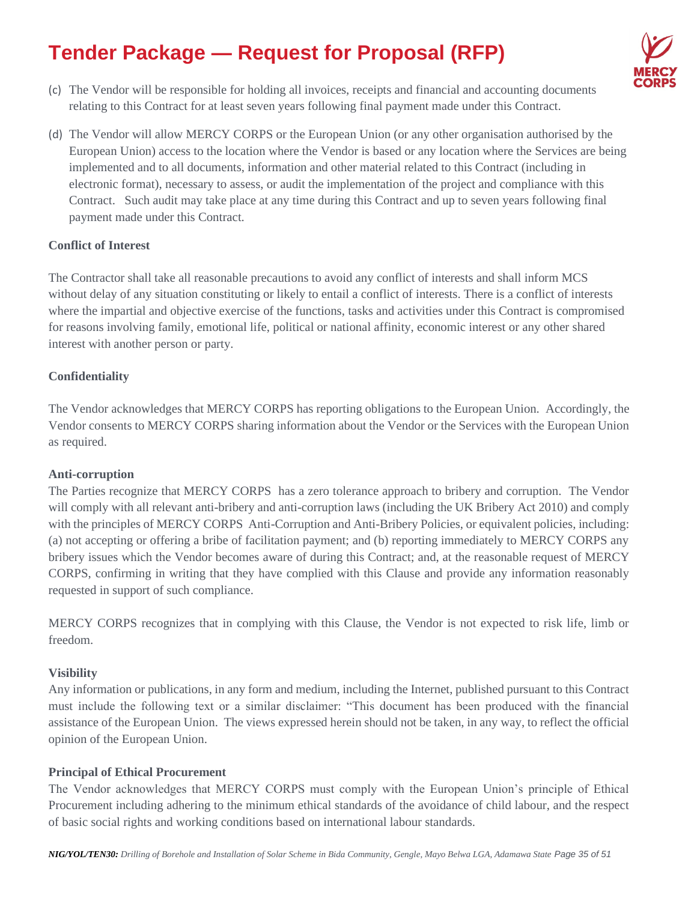

- (c) The Vendor will be responsible for holding all invoices, receipts and financial and accounting documents relating to this Contract for at least seven years following final payment made under this Contract.
- (d) The Vendor will allow MERCY CORPS or the European Union (or any other organisation authorised by the European Union) access to the location where the Vendor is based or any location where the Services are being implemented and to all documents, information and other material related to this Contract (including in electronic format), necessary to assess, or audit the implementation of the project and compliance with this Contract. Such audit may take place at any time during this Contract and up to seven years following final payment made under this Contract.

### **Conflict of Interest**

The Contractor shall take all reasonable precautions to avoid any conflict of interests and shall inform MCS without delay of any situation constituting or likely to entail a conflict of interests. There is a conflict of interests where the impartial and objective exercise of the functions, tasks and activities under this Contract is compromised for reasons involving family, emotional life, political or national affinity, economic interest or any other shared interest with another person or party.

### **Confidentiality**

The Vendor acknowledges that MERCY CORPS has reporting obligations to the European Union. Accordingly, the Vendor consents to MERCY CORPS sharing information about the Vendor or the Services with the European Union as required.

#### **Anti-corruption**

The Parties recognize that MERCY CORPS has a zero tolerance approach to bribery and corruption. The Vendor will comply with all relevant anti-bribery and anti-corruption laws (including the UK Bribery Act 2010) and comply with the principles of MERCY CORPS Anti-Corruption and Anti-Bribery Policies, or equivalent policies, including: (a) not accepting or offering a bribe of facilitation payment; and (b) reporting immediately to MERCY CORPS any bribery issues which the Vendor becomes aware of during this Contract; and, at the reasonable request of MERCY CORPS, confirming in writing that they have complied with this Clause and provide any information reasonably requested in support of such compliance.

MERCY CORPS recognizes that in complying with this Clause, the Vendor is not expected to risk life, limb or freedom.

### **Visibility**

Any information or publications, in any form and medium, including the Internet, published pursuant to this Contract must include the following text or a similar disclaimer: "This document has been produced with the financial assistance of the European Union. The views expressed herein should not be taken, in any way, to reflect the official opinion of the European Union.

#### **Principal of Ethical Procurement**

The Vendor acknowledges that MERCY CORPS must comply with the European Union's principle of Ethical Procurement including adhering to the minimum ethical standards of the avoidance of child labour, and the respect of basic social rights and working conditions based on international labour standards.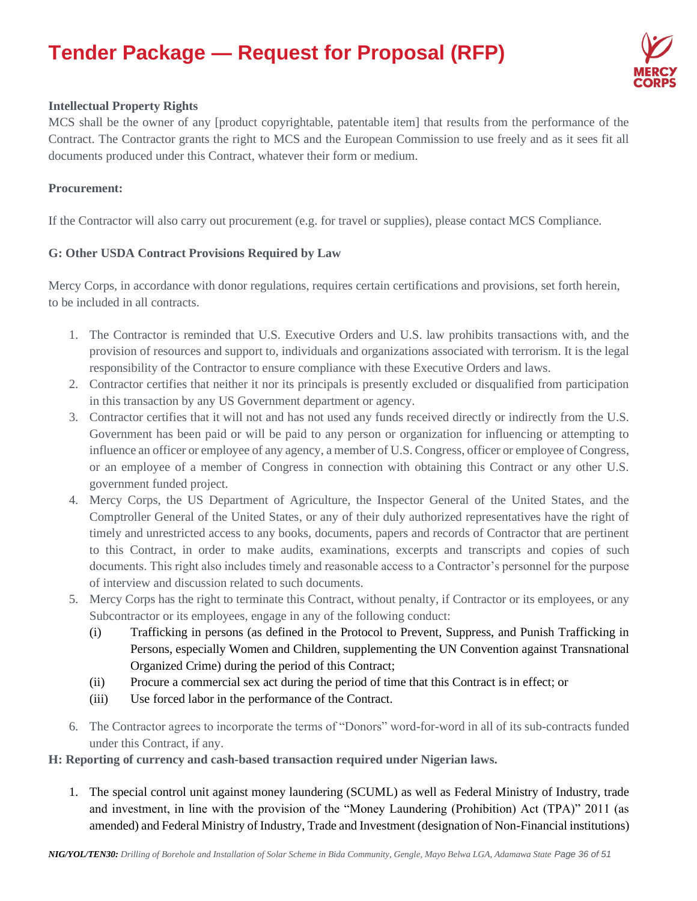

# **Intellectual Property Rights**

MCS shall be the owner of any [product copyrightable, patentable item] that results from the performance of the Contract. The Contractor grants the right to MCS and the European Commission to use freely and as it sees fit all documents produced under this Contract, whatever their form or medium.

#### **Procurement:**

If the Contractor will also carry out procurement (e.g. for travel or supplies), please contact MCS Compliance.

### **G: Other USDA Contract Provisions Required by Law**

Mercy Corps, in accordance with donor regulations, requires certain certifications and provisions, set forth herein, to be included in all contracts.

- 1. The Contractor is reminded that U.S. Executive Orders and U.S. law prohibits transactions with, and the provision of resources and support to, individuals and organizations associated with terrorism. It is the legal responsibility of the Contractor to ensure compliance with these Executive Orders and laws.
- 2. Contractor certifies that neither it nor its principals is presently excluded or disqualified from participation in this transaction by any US Government department or agency.
- 3. Contractor certifies that it will not and has not used any funds received directly or indirectly from the U.S. Government has been paid or will be paid to any person or organization for influencing or attempting to influence an officer or employee of any agency, a member of U.S. Congress, officer or employee of Congress, or an employee of a member of Congress in connection with obtaining this Contract or any other U.S. government funded project.
- 4. Mercy Corps, the US Department of Agriculture, the Inspector General of the United States, and the Comptroller General of the United States, or any of their duly authorized representatives have the right of timely and unrestricted access to any books, documents, papers and records of Contractor that are pertinent to this Contract, in order to make audits, examinations, excerpts and transcripts and copies of such documents. This right also includes timely and reasonable access to a Contractor's personnel for the purpose of interview and discussion related to such documents.
- 5. Mercy Corps has the right to terminate this Contract, without penalty, if Contractor or its employees, or any Subcontractor or its employees, engage in any of the following conduct:
	- (i) Trafficking in persons (as defined in the Protocol to Prevent, Suppress, and Punish Trafficking in Persons, especially Women and Children, supplementing the UN Convention against Transnational Organized Crime) during the period of this Contract;
	- (ii) Procure a commercial sex act during the period of time that this Contract is in effect; or
	- (iii) Use forced labor in the performance of the Contract.
- 6. The Contractor agrees to incorporate the terms of "Donors" word-for-word in all of its sub-contracts funded under this Contract, if any.

**H: Reporting of currency and cash-based transaction required under Nigerian laws.**

1. The special control unit against money laundering (SCUML) as well as Federal Ministry of Industry, trade and investment, in line with the provision of the "Money Laundering (Prohibition) Act (TPA)" 2011 (as amended) and Federal Ministry of Industry, Trade and Investment (designation of Non-Financial institutions)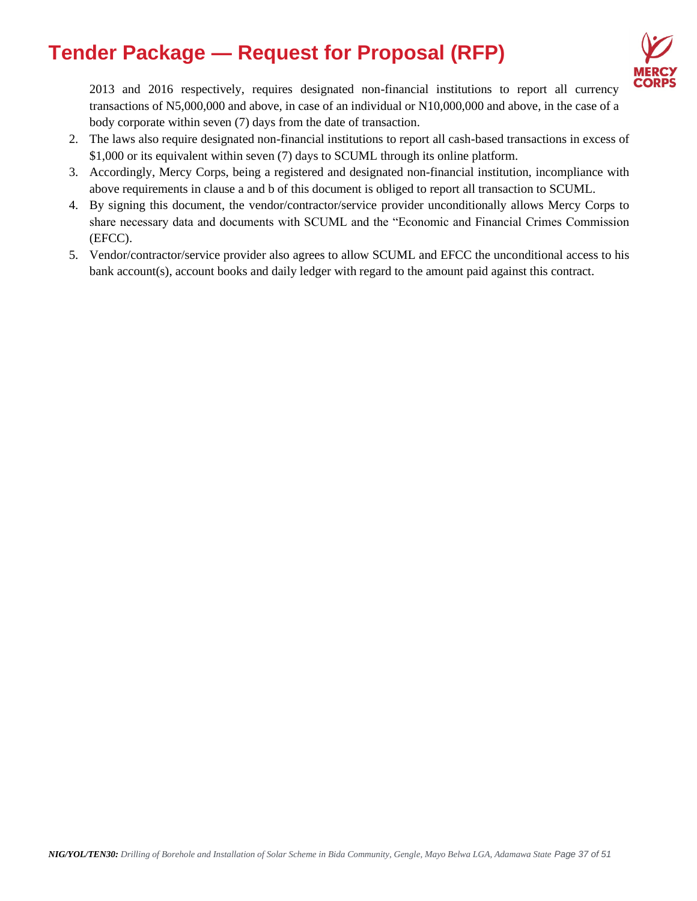

2013 and 2016 respectively, requires designated non-financial institutions to report all currency transactions of N5,000,000 and above, in case of an individual or N10,000,000 and above, in the case of a body corporate within seven (7) days from the date of transaction.

- 2. The laws also require designated non-financial institutions to report all cash-based transactions in excess of \$1,000 or its equivalent within seven (7) days to SCUML through its online platform.
- 3. Accordingly, Mercy Corps, being a registered and designated non-financial institution, incompliance with above requirements in clause a and b of this document is obliged to report all transaction to SCUML.
- 4. By signing this document, the vendor/contractor/service provider unconditionally allows Mercy Corps to share necessary data and documents with SCUML and the "Economic and Financial Crimes Commission (EFCC).
- 5. Vendor/contractor/service provider also agrees to allow SCUML and EFCC the unconditional access to his bank account(s), account books and daily ledger with regard to the amount paid against this contract.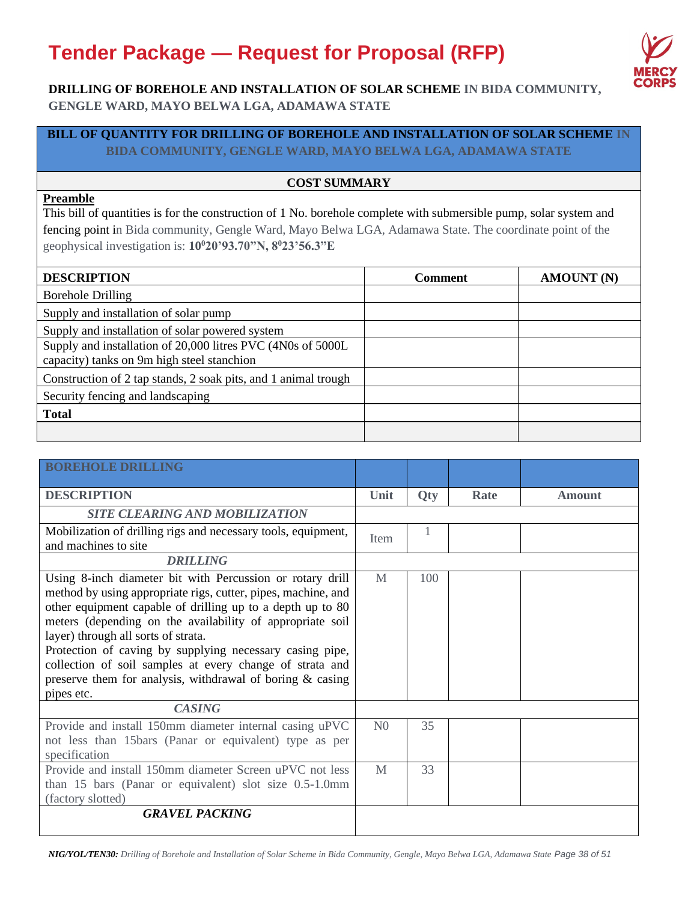

## **DRILLING OF BOREHOLE AND INSTALLATION OF SOLAR SCHEME IN BIDA COMMUNITY, GENGLE WARD, MAYO BELWA LGA, ADAMAWA STATE**

### **BILL OF QUANTITY FOR DRILLING OF BOREHOLE AND INSTALLATION OF SOLAR SCHEME IN BIDA COMMUNITY, GENGLE WARD, MAYO BELWA LGA, ADAMAWA STATE**

### **COST SUMMARY**

# **Preamble**

This bill of quantities is for the construction of 1 No. borehole complete with submersible pump, solar system and fencing point in Bida community, Gengle Ward, Mayo Belwa LGA, Adamawa State. The coordinate point of the geophysical investigation is: **10<sup>0</sup>20'93.70"N, 8<sup>0</sup>23'56.3"E**

| <b>DESCRIPTION</b>                                                                                         | <b>Comment</b> | <b>AMOUNT (N)</b> |
|------------------------------------------------------------------------------------------------------------|----------------|-------------------|
| <b>Borehole Drilling</b>                                                                                   |                |                   |
| Supply and installation of solar pump                                                                      |                |                   |
| Supply and installation of solar powered system                                                            |                |                   |
| Supply and installation of 20,000 litres PVC (4N0s of 5000L)<br>capacity) tanks on 9m high steel stanchion |                |                   |
| Construction of 2 tap stands, 2 soak pits, and 1 animal trough                                             |                |                   |
| Security fencing and landscaping                                                                           |                |                   |
| <b>Total</b>                                                                                               |                |                   |
|                                                                                                            |                |                   |

| <b>BOREHOLE DRILLING</b>                                                                                                                                                                                                                                                                                                                                                                                                                                                                        |                |            |      |               |
|-------------------------------------------------------------------------------------------------------------------------------------------------------------------------------------------------------------------------------------------------------------------------------------------------------------------------------------------------------------------------------------------------------------------------------------------------------------------------------------------------|----------------|------------|------|---------------|
| <b>DESCRIPTION</b>                                                                                                                                                                                                                                                                                                                                                                                                                                                                              | Unit           | <b>Qty</b> | Rate | <b>Amount</b> |
| <b>SITE CLEARING AND MOBILIZATION</b>                                                                                                                                                                                                                                                                                                                                                                                                                                                           |                |            |      |               |
| Mobilization of drilling rigs and necessary tools, equipment,<br>and machines to site                                                                                                                                                                                                                                                                                                                                                                                                           | <b>Item</b>    | 1          |      |               |
| <b>DRILLING</b>                                                                                                                                                                                                                                                                                                                                                                                                                                                                                 |                |            |      |               |
| Using 8-inch diameter bit with Percussion or rotary drill<br>method by using appropriate rigs, cutter, pipes, machine, and<br>other equipment capable of drilling up to a depth up to 80<br>meters (depending on the availability of appropriate soil<br>layer) through all sorts of strata.<br>Protection of caving by supplying necessary casing pipe,<br>collection of soil samples at every change of strata and<br>preserve them for analysis, withdrawal of boring & casing<br>pipes etc. | M              | 100        |      |               |
| <b>CASING</b>                                                                                                                                                                                                                                                                                                                                                                                                                                                                                   |                |            |      |               |
| Provide and install 150mm diameter internal casing uPVC<br>not less than 15 bars (Panar or equivalent) type as per<br>specification                                                                                                                                                                                                                                                                                                                                                             | N <sub>0</sub> | 35         |      |               |
| Provide and install 150mm diameter Screen uPVC not less<br>than 15 bars (Panar or equivalent) slot size 0.5-1.0mm<br>(factory slotted)                                                                                                                                                                                                                                                                                                                                                          | M              | 33         |      |               |
| <b>GRAVEL PACKING</b>                                                                                                                                                                                                                                                                                                                                                                                                                                                                           |                |            |      |               |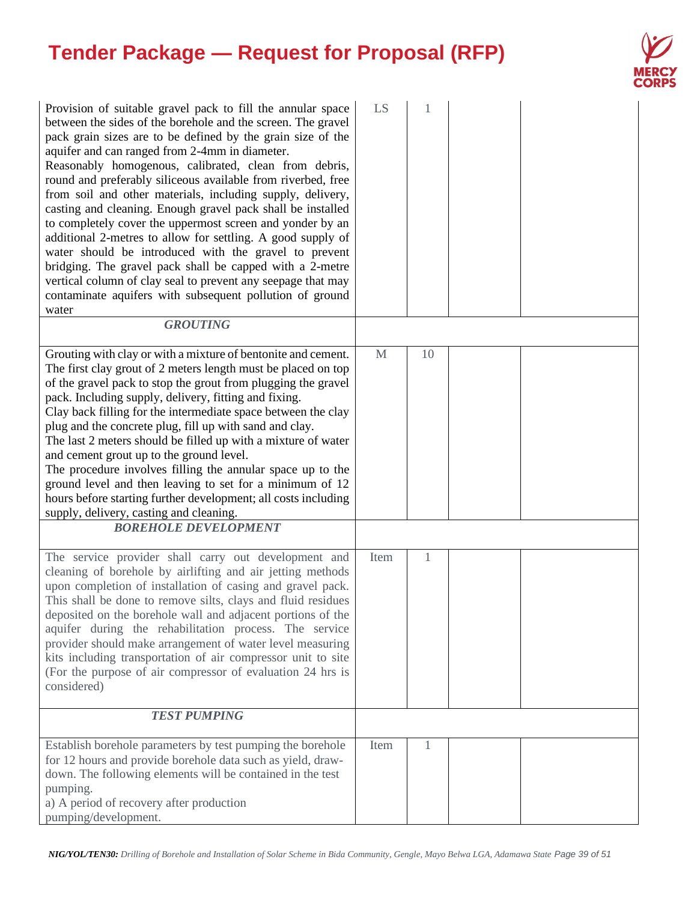

| Provision of suitable gravel pack to fill the annular space<br>between the sides of the borehole and the screen. The gravel<br>pack grain sizes are to be defined by the grain size of the<br>aquifer and can ranged from 2-4mm in diameter.<br>Reasonably homogenous, calibrated, clean from debris,<br>round and preferably siliceous available from riverbed, free<br>from soil and other materials, including supply, delivery,<br>casting and cleaning. Enough gravel pack shall be installed<br>to completely cover the uppermost screen and yonder by an<br>additional 2-metres to allow for settling. A good supply of<br>water should be introduced with the gravel to prevent<br>bridging. The gravel pack shall be capped with a 2-metre<br>vertical column of clay seal to prevent any seepage that may<br>contaminate aquifers with subsequent pollution of ground<br>water | LS           |    |  |
|------------------------------------------------------------------------------------------------------------------------------------------------------------------------------------------------------------------------------------------------------------------------------------------------------------------------------------------------------------------------------------------------------------------------------------------------------------------------------------------------------------------------------------------------------------------------------------------------------------------------------------------------------------------------------------------------------------------------------------------------------------------------------------------------------------------------------------------------------------------------------------------|--------------|----|--|
| <b>GROUTING</b>                                                                                                                                                                                                                                                                                                                                                                                                                                                                                                                                                                                                                                                                                                                                                                                                                                                                          |              |    |  |
| Grouting with clay or with a mixture of bentonite and cement.<br>The first clay grout of 2 meters length must be placed on top<br>of the gravel pack to stop the grout from plugging the gravel<br>pack. Including supply, delivery, fitting and fixing.<br>Clay back filling for the intermediate space between the clay<br>plug and the concrete plug, fill up with sand and clay.<br>The last 2 meters should be filled up with a mixture of water<br>and cement grout up to the ground level.<br>The procedure involves filling the annular space up to the<br>ground level and then leaving to set for a minimum of 12<br>hours before starting further development; all costs including<br>supply, delivery, casting and cleaning.<br><b>BOREHOLE DEVELOPMENT</b>                                                                                                                  | $\mathbf{M}$ | 10 |  |
| The service provider shall carry out development and<br>cleaning of borehole by airlifting and air jetting methods<br>upon completion of installation of casing and gravel pack.<br>This shall be done to remove silts, clays and fluid residues<br>deposited on the borehole wall and adjacent portions of the<br>aquifer during the rehabilitation process. The service<br>provider should make arrangement of water level measuring<br>kits including transportation of air compressor unit to site<br>(For the purpose of air compressor of evaluation 24 hrs is<br>considered)                                                                                                                                                                                                                                                                                                      | Item         | 1  |  |
| <b>TEST PUMPING</b>                                                                                                                                                                                                                                                                                                                                                                                                                                                                                                                                                                                                                                                                                                                                                                                                                                                                      |              |    |  |
| Establish borehole parameters by test pumping the borehole<br>for 12 hours and provide borehole data such as yield, draw-<br>down. The following elements will be contained in the test<br>pumping.<br>a) A period of recovery after production<br>pumping/development.                                                                                                                                                                                                                                                                                                                                                                                                                                                                                                                                                                                                                  | Item         | 1  |  |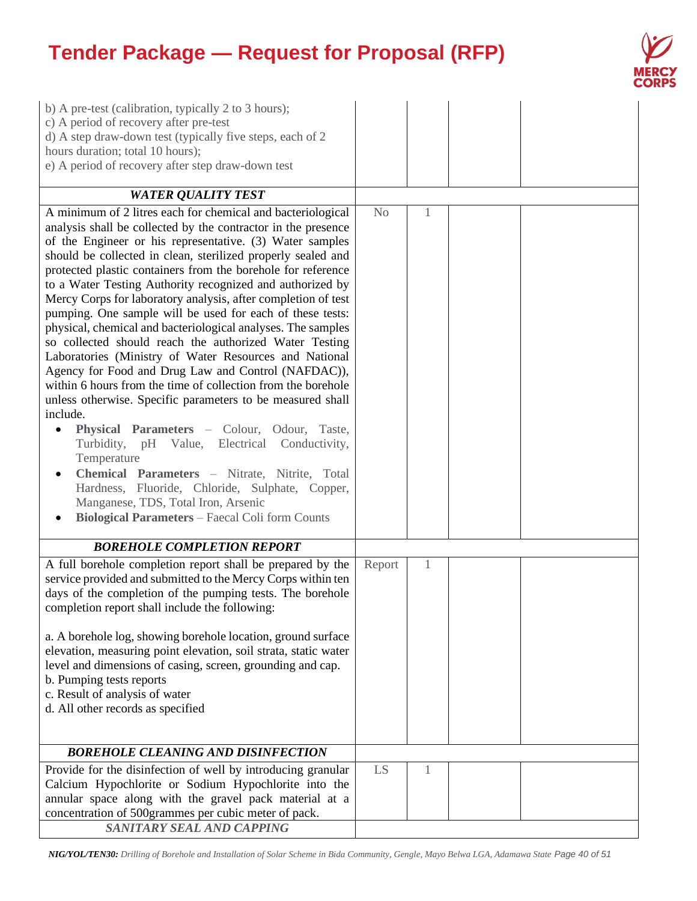

| b) A pre-test (calibration, typically 2 to 3 hours);<br>c) A period of recovery after pre-test<br>d) A step draw-down test (typically five steps, each of 2<br>hours duration; total 10 hours);<br>e) A period of recovery after step draw-down test                                                                                                                                                                                                                                                                                                                                                                                                                                                                                                                                                                                                                                                                                                                                                                                                                                                                                                                                                                                      |                |   |  |
|-------------------------------------------------------------------------------------------------------------------------------------------------------------------------------------------------------------------------------------------------------------------------------------------------------------------------------------------------------------------------------------------------------------------------------------------------------------------------------------------------------------------------------------------------------------------------------------------------------------------------------------------------------------------------------------------------------------------------------------------------------------------------------------------------------------------------------------------------------------------------------------------------------------------------------------------------------------------------------------------------------------------------------------------------------------------------------------------------------------------------------------------------------------------------------------------------------------------------------------------|----------------|---|--|
| <b>WATER QUALITY TEST</b>                                                                                                                                                                                                                                                                                                                                                                                                                                                                                                                                                                                                                                                                                                                                                                                                                                                                                                                                                                                                                                                                                                                                                                                                                 |                |   |  |
| A minimum of 2 litres each for chemical and bacteriological<br>analysis shall be collected by the contractor in the presence<br>of the Engineer or his representative. (3) Water samples<br>should be collected in clean, sterilized properly sealed and<br>protected plastic containers from the borehole for reference<br>to a Water Testing Authority recognized and authorized by<br>Mercy Corps for laboratory analysis, after completion of test<br>pumping. One sample will be used for each of these tests:<br>physical, chemical and bacteriological analyses. The samples<br>so collected should reach the authorized Water Testing<br>Laboratories (Ministry of Water Resources and National<br>Agency for Food and Drug Law and Control (NAFDAC)),<br>within 6 hours from the time of collection from the borehole<br>unless otherwise. Specific parameters to be measured shall<br>include.<br>Physical Parameters - Colour, Odour, Taste,<br>$\bullet$<br>Turbidity, pH Value, Electrical Conductivity,<br>Temperature<br>Chemical Parameters - Nitrate, Nitrite, Total<br>Hardness, Fluoride, Chloride, Sulphate, Copper,<br>Manganese, TDS, Total Iron, Arsenic<br><b>Biological Parameters - Faecal Coli form Counts</b> | N <sub>o</sub> | 1 |  |
| <b>BOREHOLE COMPLETION REPORT</b>                                                                                                                                                                                                                                                                                                                                                                                                                                                                                                                                                                                                                                                                                                                                                                                                                                                                                                                                                                                                                                                                                                                                                                                                         |                |   |  |
| A full borehole completion report shall be prepared by the<br>service provided and submitted to the Mercy Corps within ten<br>days of the completion of the pumping tests. The borehole<br>completion report shall include the following:<br>a. A borehole log, showing borehole location, ground surface<br>elevation, measuring point elevation, soil strata, static water<br>level and dimensions of casing, screen, grounding and cap.<br>b. Pumping tests reports<br>c. Result of analysis of water<br>d. All other records as specified                                                                                                                                                                                                                                                                                                                                                                                                                                                                                                                                                                                                                                                                                             | Report         | 1 |  |
| <b>BOREHOLE CLEANING AND DISINFECTION</b>                                                                                                                                                                                                                                                                                                                                                                                                                                                                                                                                                                                                                                                                                                                                                                                                                                                                                                                                                                                                                                                                                                                                                                                                 |                |   |  |
| Provide for the disinfection of well by introducing granular<br>Calcium Hypochlorite or Sodium Hypochlorite into the<br>annular space along with the gravel pack material at a<br>concentration of 500grammes per cubic meter of pack.<br>SANITARY SEAL AND CAPPING                                                                                                                                                                                                                                                                                                                                                                                                                                                                                                                                                                                                                                                                                                                                                                                                                                                                                                                                                                       | LS             | 1 |  |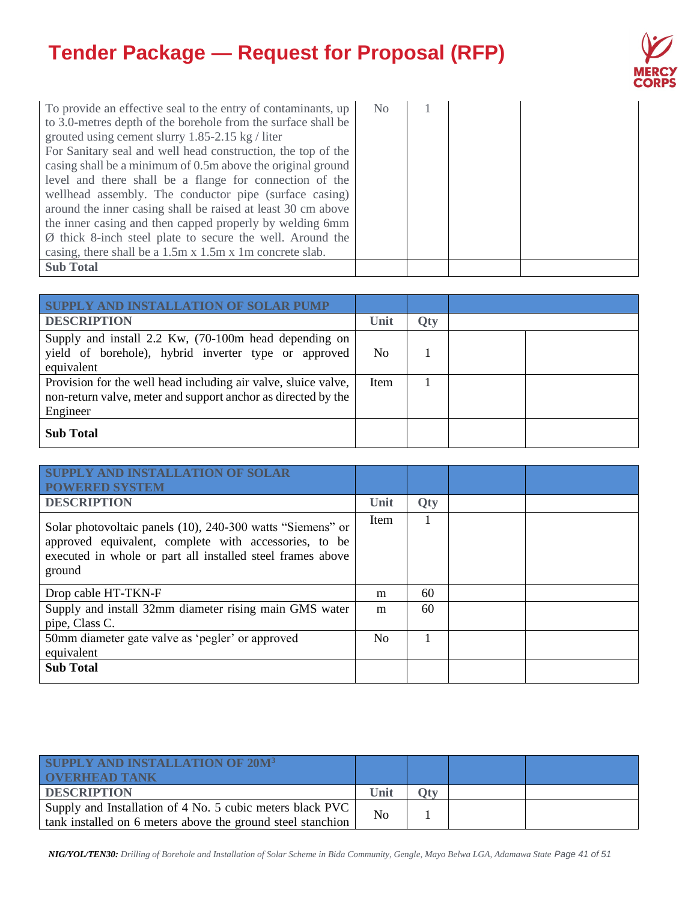

| To provide an effective seal to the entry of contaminants, up       | No |  |  |
|---------------------------------------------------------------------|----|--|--|
| to 3.0-metres depth of the borehole from the surface shall be       |    |  |  |
| grouted using cement slurry $1.85-2.15$ kg / liter                  |    |  |  |
| For Sanitary seal and well head construction, the top of the        |    |  |  |
| casing shall be a minimum of 0.5m above the original ground         |    |  |  |
| level and there shall be a flange for connection of the             |    |  |  |
| wellhead assembly. The conductor pipe (surface casing)              |    |  |  |
| around the inner casing shall be raised at least 30 cm above        |    |  |  |
| the inner casing and then capped properly by welding 6mm            |    |  |  |
| $\emptyset$ thick 8-inch steel plate to secure the well. Around the |    |  |  |
| casing, there shall be a 1.5m x 1.5m x 1m concrete slab.            |    |  |  |
| <b>Sub Total</b>                                                    |    |  |  |

| Y AND INSTALLATION OF SOLAR PUMP                                                                                                            |      |            |  |
|---------------------------------------------------------------------------------------------------------------------------------------------|------|------------|--|
| <b>DESCRIPTION</b>                                                                                                                          | Unit | <b>Qty</b> |  |
| Supply and install 2.2 Kw, (70-100m head depending on<br>yield of borehole), hybrid inverter type or approved<br>equivalent                 | No   |            |  |
| Provision for the well head including air valve, sluice valve,<br>non-return valve, meter and support anchor as directed by the<br>Engineer | Item |            |  |
| <b>Sub Total</b>                                                                                                                            |      |            |  |

| <b>ISTALLATION OF SOLAR</b><br><b>POWERED SYSTEM</b>                                                                                                                                        |                |            |  |
|---------------------------------------------------------------------------------------------------------------------------------------------------------------------------------------------|----------------|------------|--|
| <b>DESCRIPTION</b>                                                                                                                                                                          | Unit           | <b>Qty</b> |  |
| Solar photovoltaic panels (10), 240-300 watts "Siemens" or<br>approved equivalent, complete with accessories, to be<br>executed in whole or part all installed steel frames above<br>ground | Item           |            |  |
| Drop cable HT-TKN-F                                                                                                                                                                         | m              | 60         |  |
| Supply and install 32mm diameter rising main GMS water<br>pipe, Class C.                                                                                                                    | m              | 60         |  |
| 50mm diameter gate valve as 'pegler' or approved<br>equivalent                                                                                                                              | N <sub>0</sub> |            |  |
| <b>Sub Total</b>                                                                                                                                                                            |                |            |  |

| SUPPLY AND INSTALLATION OF 20M <sup>3</sup><br><b>OVERHEAD TANK</b>                                                      |      |     |  |
|--------------------------------------------------------------------------------------------------------------------------|------|-----|--|
| <b>DESCRIPTION</b>                                                                                                       | Unit | ∩tv |  |
| Supply and Installation of 4 No. 5 cubic meters black PVC<br>tank installed on 6 meters above the ground steel stanchion | No   |     |  |

*NIG/YOL/TEN30: Drilling of Borehole and Installation of Solar Scheme in Bida Community, Gengle, Mayo Belwa LGA, Adamawa State Page 41 of 51*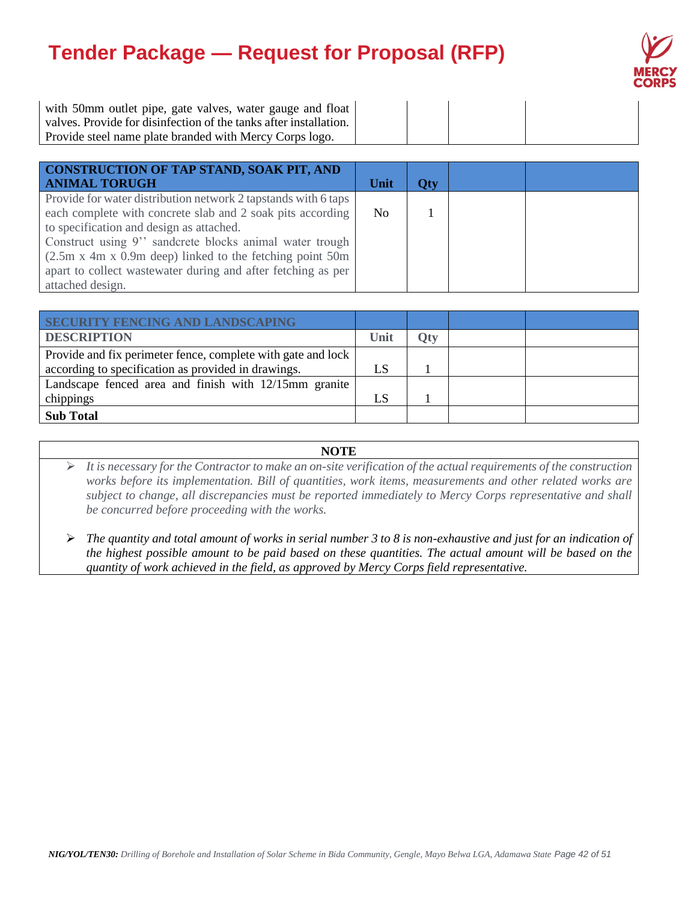

with 50mm outlet pipe, gate valves, water gauge and float valves. Provide for disinfection of the tanks after installation. Provide steel name plate branded with Mercy Corps logo.

| CONSTRUCTION OF TAP STAND, SOAK PIT, AND<br><b>ANIMAL TORUGH</b>                                                                                                                                                                                                                                                                                                                                | Unit           | <b>Qty</b> |  |
|-------------------------------------------------------------------------------------------------------------------------------------------------------------------------------------------------------------------------------------------------------------------------------------------------------------------------------------------------------------------------------------------------|----------------|------------|--|
| Provide for water distribution network 2 tapstands with 6 taps<br>each complete with concrete slab and 2 soak pits according<br>to specification and design as attached.<br>Construct using 9" sandcrete blocks animal water trough<br>$(2.5m \times 4m \times 0.9m$ deep) linked to the fetching point 50m<br>apart to collect wastewater during and after fetching as per<br>attached design. | N <sub>0</sub> |            |  |

| <b>SECURITY FENCING AND LANDSCAPING</b>                      |    |            |  |
|--------------------------------------------------------------|----|------------|--|
| <b>DESCRIPTION</b>                                           |    | <b>Qty</b> |  |
| Provide and fix perimeter fence, complete with gate and lock |    |            |  |
| according to specification as provided in drawings.          | LS |            |  |
| Landscape fenced area and finish with 12/15mm granite        |    |            |  |
| chippings                                                    | LS |            |  |
| <b>Sub Total</b>                                             |    |            |  |

#### **NOTE**

➢ *It is necessary for the Contractor to make an on-site verification of the actual requirements of the construction works before its implementation. Bill of quantities, work items, measurements and other related works are subject to change, all discrepancies must be reported immediately to Mercy Corps representative and shall be concurred before proceeding with the works.*

➢ *The quantity and total amount of works in serial number 3 to 8 is non-exhaustive and just for an indication of the highest possible amount to be paid based on these quantities. The actual amount will be based on the quantity of work achieved in the field, as approved by Mercy Corps field representative.*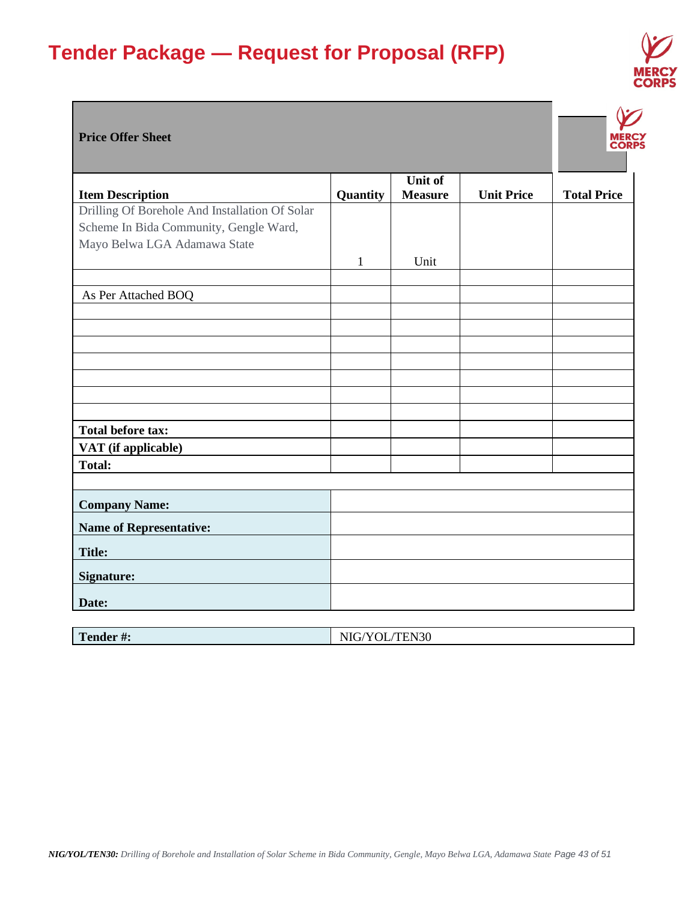

### **Price Offer Sheet**

|                                                |          | Unit of        |                   |                    |
|------------------------------------------------|----------|----------------|-------------------|--------------------|
| <b>Item Description</b>                        | Quantity | <b>Measure</b> | <b>Unit Price</b> | <b>Total Price</b> |
| Drilling Of Borehole And Installation Of Solar |          |                |                   |                    |
| Scheme In Bida Community, Gengle Ward,         |          |                |                   |                    |
| Mayo Belwa LGA Adamawa State                   |          |                |                   |                    |
|                                                | 1        | Unit           |                   |                    |
|                                                |          |                |                   |                    |
| As Per Attached BOQ                            |          |                |                   |                    |
|                                                |          |                |                   |                    |
|                                                |          |                |                   |                    |
|                                                |          |                |                   |                    |
|                                                |          |                |                   |                    |
|                                                |          |                |                   |                    |
|                                                |          |                |                   |                    |
|                                                |          |                |                   |                    |
|                                                |          |                |                   |                    |
| <b>Total before tax:</b>                       |          |                |                   |                    |
| VAT (if applicable)                            |          |                |                   |                    |
| <b>Total:</b>                                  |          |                |                   |                    |
|                                                |          |                |                   |                    |
| <b>Company Name:</b>                           |          |                |                   |                    |
| <b>Name of Representative:</b>                 |          |                |                   |                    |
| <b>Title:</b>                                  |          |                |                   |                    |
| <b>Signature:</b>                              |          |                |                   |                    |
|                                                |          |                |                   |                    |
| Date:                                          |          |                |                   |                    |

| Tender #: | NIG/YOL/TEN30 |
|-----------|---------------|
|           |               |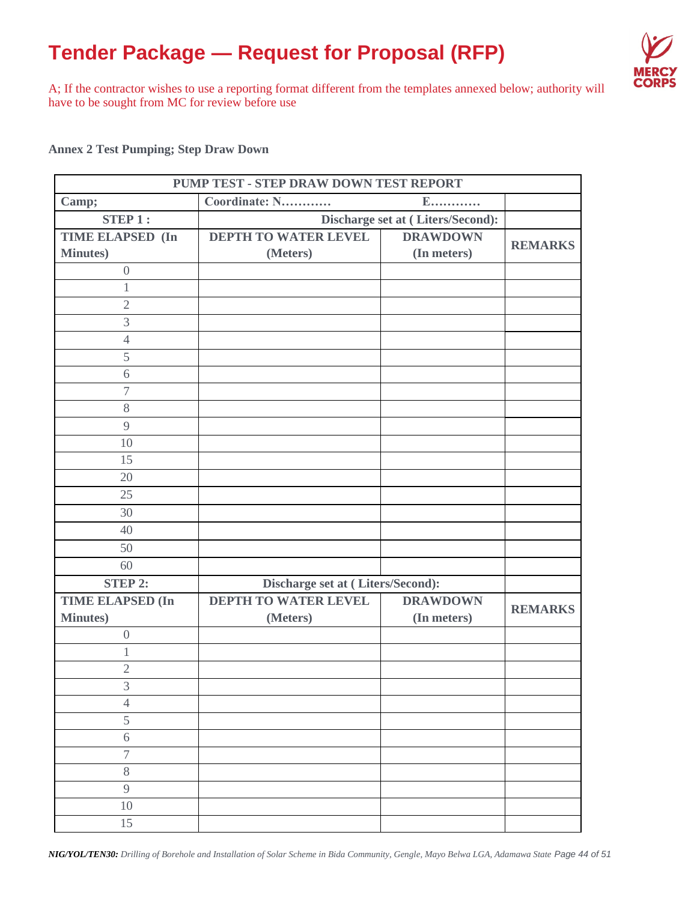

A; If the contractor wishes to use a reporting format different from the templates annexed below; authority will have to be sought from MC for review before use

**Annex 2 Test Pumping; Step Draw Down**

| PUMP TEST - STEP DRAW DOWN TEST REPORT<br>$E$ |                                   |                                   |                |  |  |  |  |  |
|-----------------------------------------------|-----------------------------------|-----------------------------------|----------------|--|--|--|--|--|
| Camp;                                         | Coordinate: N                     |                                   |                |  |  |  |  |  |
| STEP1:                                        |                                   | Discharge set at (Liters/Second): |                |  |  |  |  |  |
| <b>TIME ELAPSED (In</b>                       | DEPTH TO WATER LEVEL              | <b>DRAWDOWN</b>                   | <b>REMARKS</b> |  |  |  |  |  |
| Minutes)                                      | (Meters)                          | (In meters)                       |                |  |  |  |  |  |
| $\theta$                                      |                                   |                                   |                |  |  |  |  |  |
| $\mathbf{1}$                                  |                                   |                                   |                |  |  |  |  |  |
| $\overline{2}$                                |                                   |                                   |                |  |  |  |  |  |
| $\mathfrak{Z}$                                |                                   |                                   |                |  |  |  |  |  |
| $\overline{4}$                                |                                   |                                   |                |  |  |  |  |  |
| 5                                             |                                   |                                   |                |  |  |  |  |  |
| 6                                             |                                   |                                   |                |  |  |  |  |  |
| $\overline{\mathcal{I}}$                      |                                   |                                   |                |  |  |  |  |  |
| 8                                             |                                   |                                   |                |  |  |  |  |  |
| 9                                             |                                   |                                   |                |  |  |  |  |  |
| 10                                            |                                   |                                   |                |  |  |  |  |  |
| 15                                            |                                   |                                   |                |  |  |  |  |  |
| 20                                            |                                   |                                   |                |  |  |  |  |  |
| 25                                            |                                   |                                   |                |  |  |  |  |  |
| 30                                            |                                   |                                   |                |  |  |  |  |  |
| 40                                            |                                   |                                   |                |  |  |  |  |  |
| 50                                            |                                   |                                   |                |  |  |  |  |  |
| 60                                            |                                   |                                   |                |  |  |  |  |  |
| STEP 2:                                       | Discharge set at (Liters/Second): |                                   |                |  |  |  |  |  |
| <b>TIME ELAPSED (In</b>                       | DEPTH TO WATER LEVEL              | <b>DRAWDOWN</b>                   | <b>REMARKS</b> |  |  |  |  |  |
| <b>Minutes</b> )                              | (Meters)                          | (In meters)                       |                |  |  |  |  |  |
| $\boldsymbol{0}$                              |                                   |                                   |                |  |  |  |  |  |
| $\mathbf 1$                                   |                                   |                                   |                |  |  |  |  |  |
| $\mathfrak{2}$                                |                                   |                                   |                |  |  |  |  |  |
| $\mathfrak{Z}$                                |                                   |                                   |                |  |  |  |  |  |
| $\overline{4}$                                |                                   |                                   |                |  |  |  |  |  |
| 5                                             |                                   |                                   |                |  |  |  |  |  |
| 6                                             |                                   |                                   |                |  |  |  |  |  |
| $\overline{\mathcal{I}}$                      |                                   |                                   |                |  |  |  |  |  |
| 8                                             |                                   |                                   |                |  |  |  |  |  |
| 9                                             |                                   |                                   |                |  |  |  |  |  |
| 10                                            |                                   |                                   |                |  |  |  |  |  |
| 15                                            |                                   |                                   |                |  |  |  |  |  |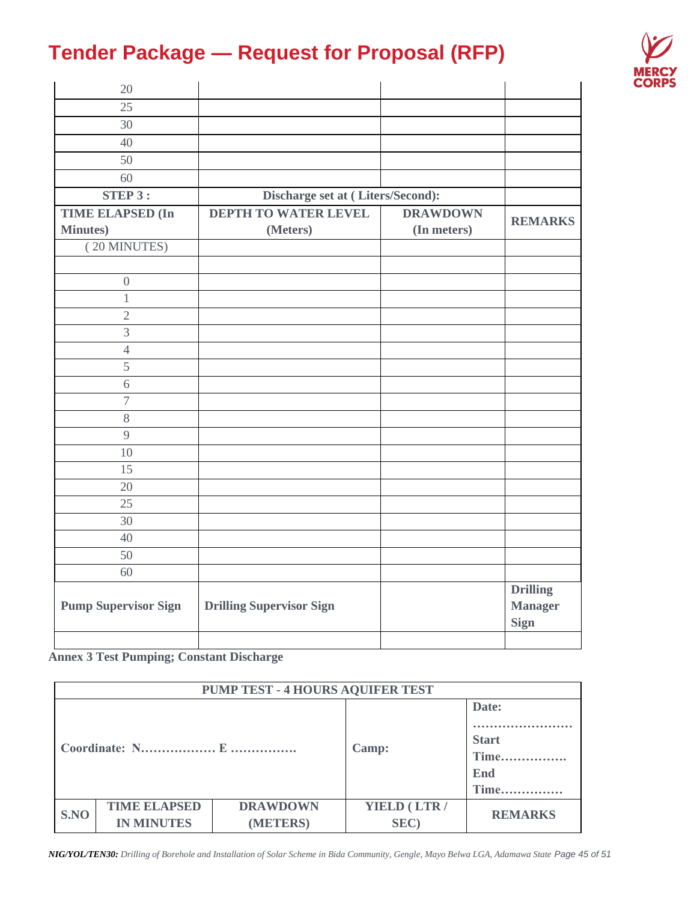

| 20                          |                                   |                 |                                                  |
|-----------------------------|-----------------------------------|-----------------|--------------------------------------------------|
| 25                          |                                   |                 |                                                  |
| 30                          |                                   |                 |                                                  |
| 40                          |                                   |                 |                                                  |
| 50                          |                                   |                 |                                                  |
| 60                          |                                   |                 |                                                  |
| STEP 3:                     | Discharge set at (Liters/Second): |                 |                                                  |
| <b>TIME ELAPSED (In</b>     | <b>DEPTH TO WATER LEVEL</b>       | <b>DRAWDOWN</b> |                                                  |
| <b>Minutes</b> )            | (Meters)                          | (In meters)     | <b>REMARKS</b>                                   |
| (20 MINUTES)                |                                   |                 |                                                  |
|                             |                                   |                 |                                                  |
| $\boldsymbol{0}$            |                                   |                 |                                                  |
| $\,1$                       |                                   |                 |                                                  |
| $\overline{2}$              |                                   |                 |                                                  |
| $\overline{3}$              |                                   |                 |                                                  |
| $\overline{4}$              |                                   |                 |                                                  |
| 5                           |                                   |                 |                                                  |
| 6                           |                                   |                 |                                                  |
| $\overline{7}$              |                                   |                 |                                                  |
| $8\,$                       |                                   |                 |                                                  |
| 9                           |                                   |                 |                                                  |
| 10                          |                                   |                 |                                                  |
| 15                          |                                   |                 |                                                  |
| 20                          |                                   |                 |                                                  |
| 25                          |                                   |                 |                                                  |
| 30                          |                                   |                 |                                                  |
| 40                          |                                   |                 |                                                  |
| 50                          |                                   |                 |                                                  |
| 60                          |                                   |                 |                                                  |
| <b>Pump Supervisor Sign</b> | <b>Drilling Supervisor Sign</b>   |                 | <b>Drilling</b><br><b>Manager</b><br><b>Sign</b> |
|                             |                                   |                 |                                                  |

**Annex 3 Test Pumping; Constant Discharge**

| PUMP TEST - 4 HOURS AQUIFER TEST |                                          |                             |                      |                                              |  |  |  |  |
|----------------------------------|------------------------------------------|-----------------------------|----------------------|----------------------------------------------|--|--|--|--|
|                                  |                                          |                             | Camp:                | Date:<br><b>Start</b><br>Time<br>End<br>Time |  |  |  |  |
| S.NO                             | <b>TIME ELAPSED</b><br><b>IN MINUTES</b> | <b>DRAWDOWN</b><br>(METERS) | YIELD (LTR /<br>SEC) | <b>REMARKS</b>                               |  |  |  |  |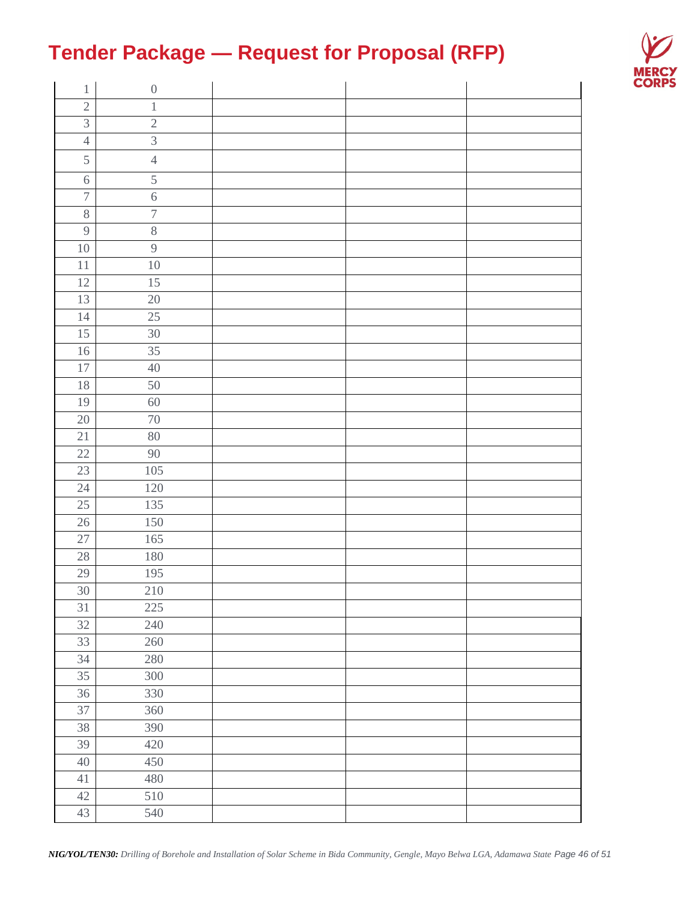

| $\boldsymbol{0}$<br>$\,1$         |  |
|-----------------------------------|--|
| $\sqrt{2}$<br>$\,1$               |  |
| $\overline{3}$<br>$\sqrt{2}$      |  |
| $\overline{3}$<br>$\overline{4}$  |  |
| 5<br>$\sqrt{4}$                   |  |
| 5<br>$\sqrt{6}$                   |  |
| $\overline{7}$<br>$\overline{6}$  |  |
| $\overline{\mathcal{I}}$<br>$8\,$ |  |
| $\sqrt{8}$<br>$\boldsymbol{9}$    |  |
| $\overline{9}$<br>$10\,$          |  |
| $10\,$<br>$11\,$                  |  |
| $\overline{15}$<br>$12\,$         |  |
| 13<br>20                          |  |
| 25<br>$14\,$                      |  |
| 15<br>30                          |  |
| $\overline{35}$<br>$16\,$         |  |
| 17<br>$40\,$                      |  |
| $18\,$<br>50                      |  |
| 19<br>60                          |  |
| 20<br>$70\,$                      |  |
| 21<br>80                          |  |
| $22\,$<br>90                      |  |
| 105<br>23                         |  |
| 24<br>120                         |  |
| 25<br>135                         |  |
| 150<br>26                         |  |
| 27<br>165                         |  |
| $180\,$<br>$28\,$                 |  |
| 195<br>$29\,$                     |  |
| 30<br>210                         |  |
| 31<br>225                         |  |
| 32<br>240                         |  |
| 33<br>260                         |  |
| 34<br>280                         |  |
| 35<br>300                         |  |
| 36<br>330                         |  |
| 37<br>360                         |  |
| 38<br>390                         |  |
| 39<br>420                         |  |
| 40<br>450                         |  |
| 480<br>41                         |  |
| 510<br>42                         |  |
| 540<br>43                         |  |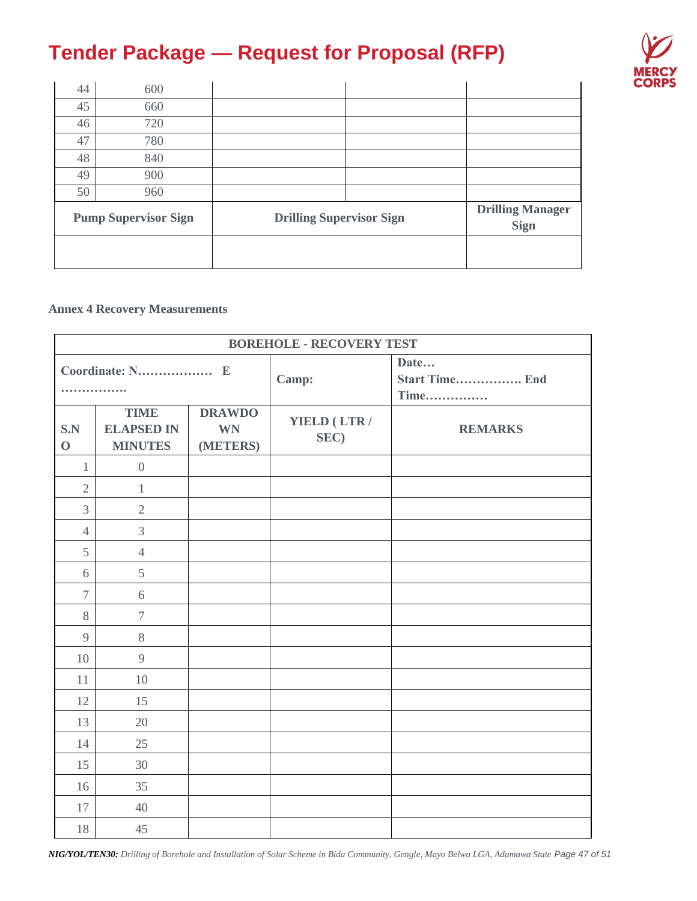

| 44 | 600                         |                                 |  |                                        |
|----|-----------------------------|---------------------------------|--|----------------------------------------|
| 45 | 660                         |                                 |  |                                        |
| 46 | 720                         |                                 |  |                                        |
| 47 | 780                         |                                 |  |                                        |
| 48 | 840                         |                                 |  |                                        |
| 49 | 900                         |                                 |  |                                        |
| 50 | 960                         |                                 |  |                                        |
|    | <b>Pump Supervisor Sign</b> | <b>Drilling Supervisor Sign</b> |  | <b>Drilling Manager</b><br><b>Sign</b> |
|    |                             |                                 |  |                                        |

## **Annex 4 Recovery Measurements**

| <b>BOREHOLE - RECOVERY TEST</b> |                                                    |                                        |                                       |                |  |  |  |  |
|---------------------------------|----------------------------------------------------|----------------------------------------|---------------------------------------|----------------|--|--|--|--|
| .                               |                                                    | Camp:                                  | Date<br><b>Start Time End</b><br>Time |                |  |  |  |  |
| S.N<br>$\mathbf 0$              | <b>TIME</b><br><b>ELAPSED IN</b><br><b>MINUTES</b> | <b>DRAWDO</b><br><b>WN</b><br>(METERS) | YIELD (LTR /<br>SEC)                  | <b>REMARKS</b> |  |  |  |  |
| $\mathbf{1}$                    | $\boldsymbol{0}$                                   |                                        |                                       |                |  |  |  |  |
| $\sqrt{2}$                      | $\mathbf{1}$                                       |                                        |                                       |                |  |  |  |  |
| 3                               | $\overline{2}$                                     |                                        |                                       |                |  |  |  |  |
| $\overline{4}$                  | 3                                                  |                                        |                                       |                |  |  |  |  |
| 5                               | $\overline{4}$                                     |                                        |                                       |                |  |  |  |  |
| 6                               | 5                                                  |                                        |                                       |                |  |  |  |  |
| $\overline{7}$                  | 6                                                  |                                        |                                       |                |  |  |  |  |
| 8                               | $\tau$                                             |                                        |                                       |                |  |  |  |  |
| 9                               | 8                                                  |                                        |                                       |                |  |  |  |  |
| 10                              | $\overline{9}$                                     |                                        |                                       |                |  |  |  |  |
| 11                              | 10                                                 |                                        |                                       |                |  |  |  |  |
| 12                              | 15                                                 |                                        |                                       |                |  |  |  |  |
| 13                              | 20                                                 |                                        |                                       |                |  |  |  |  |
| 14                              | 25                                                 |                                        |                                       |                |  |  |  |  |
| 15                              | 30                                                 |                                        |                                       |                |  |  |  |  |
| 16                              | 35                                                 |                                        |                                       |                |  |  |  |  |
| 17                              | 40                                                 |                                        |                                       |                |  |  |  |  |
| 18                              | 45                                                 |                                        |                                       |                |  |  |  |  |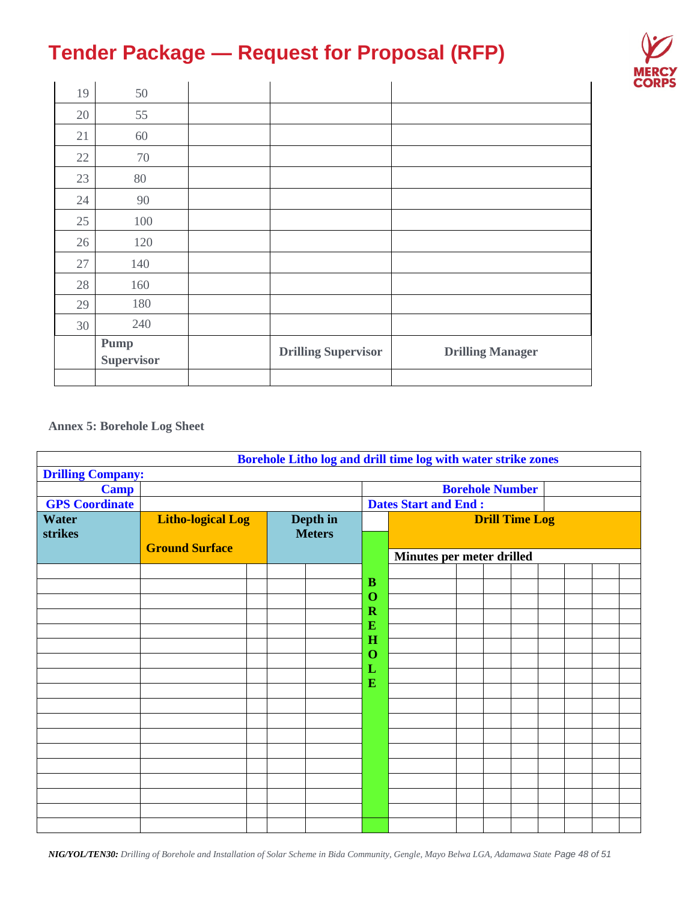

| 19     | 50                        |                            |                         |
|--------|---------------------------|----------------------------|-------------------------|
| 20     | 55                        |                            |                         |
| 21     | 60                        |                            |                         |
| 22     | 70                        |                            |                         |
| 23     | 80                        |                            |                         |
| 24     | 90                        |                            |                         |
| 25     | 100                       |                            |                         |
| 26     | 120                       |                            |                         |
| $27\,$ | 140                       |                            |                         |
| 28     | 160                       |                            |                         |
| 29     | 180                       |                            |                         |
| 30     | 240                       |                            |                         |
|        | Pump<br><b>Supervisor</b> | <b>Drilling Supervisor</b> | <b>Drilling Manager</b> |
|        |                           |                            |                         |

**Annex 5: Borehole Log Sheet**

|                          |                          |  |               |                     | Borehole Litho log and drill time log with water strike zones |  |                        |  |  |
|--------------------------|--------------------------|--|---------------|---------------------|---------------------------------------------------------------|--|------------------------|--|--|
| <b>Drilling Company:</b> |                          |  |               |                     |                                                               |  |                        |  |  |
| <b>Camp</b>              |                          |  |               |                     |                                                               |  | <b>Borehole Number</b> |  |  |
| <b>GPS</b> Coordinate    |                          |  |               |                     | <b>Dates Start and End:</b>                                   |  |                        |  |  |
| <b>Water</b>             | <b>Litho-logical Log</b> |  | Depth in      |                     |                                                               |  | <b>Drill Time Log</b>  |  |  |
| strikes                  |                          |  | <b>Meters</b> |                     |                                                               |  |                        |  |  |
|                          | <b>Ground Surface</b>    |  |               |                     | Minutes per meter drilled                                     |  |                        |  |  |
|                          |                          |  |               |                     |                                                               |  |                        |  |  |
|                          |                          |  |               | B                   |                                                               |  |                        |  |  |
|                          |                          |  |               | $\mathbf 0$         |                                                               |  |                        |  |  |
|                          |                          |  |               | $\mathbf R$         |                                                               |  |                        |  |  |
|                          |                          |  |               | E                   |                                                               |  |                        |  |  |
|                          |                          |  |               | H<br>$\overline{O}$ |                                                               |  |                        |  |  |
|                          |                          |  |               | L                   |                                                               |  |                        |  |  |
|                          |                          |  |               | ${\bf E}$           |                                                               |  |                        |  |  |
|                          |                          |  |               |                     |                                                               |  |                        |  |  |
|                          |                          |  |               |                     |                                                               |  |                        |  |  |
|                          |                          |  |               |                     |                                                               |  |                        |  |  |
|                          |                          |  |               |                     |                                                               |  |                        |  |  |
|                          |                          |  |               |                     |                                                               |  |                        |  |  |
|                          |                          |  |               |                     |                                                               |  |                        |  |  |
|                          |                          |  |               |                     |                                                               |  |                        |  |  |
|                          |                          |  |               |                     |                                                               |  |                        |  |  |
|                          |                          |  |               |                     |                                                               |  |                        |  |  |
|                          |                          |  |               |                     |                                                               |  |                        |  |  |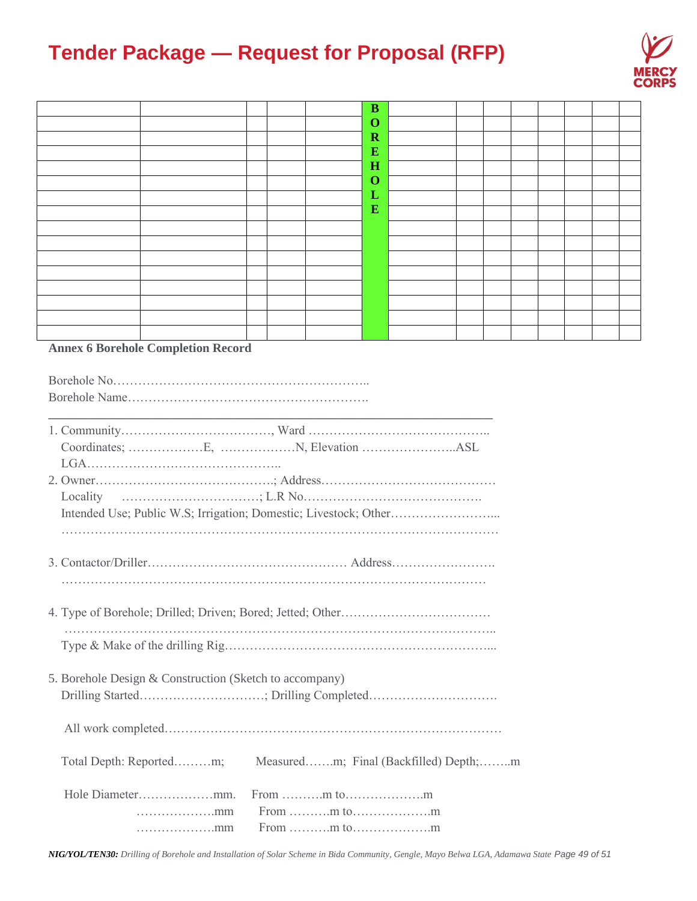

|          |                                           |  |  | B                       |  |  |  |  |  |  |  |  |
|----------|-------------------------------------------|--|--|-------------------------|--|--|--|--|--|--|--|--|
|          |                                           |  |  | O                       |  |  |  |  |  |  |  |  |
|          |                                           |  |  | $\overline{\mathbf{R}}$ |  |  |  |  |  |  |  |  |
|          |                                           |  |  | E                       |  |  |  |  |  |  |  |  |
|          |                                           |  |  | $\bf H$                 |  |  |  |  |  |  |  |  |
|          |                                           |  |  | O                       |  |  |  |  |  |  |  |  |
|          |                                           |  |  | L                       |  |  |  |  |  |  |  |  |
|          |                                           |  |  | E                       |  |  |  |  |  |  |  |  |
|          |                                           |  |  |                         |  |  |  |  |  |  |  |  |
|          |                                           |  |  |                         |  |  |  |  |  |  |  |  |
|          |                                           |  |  |                         |  |  |  |  |  |  |  |  |
|          |                                           |  |  |                         |  |  |  |  |  |  |  |  |
|          |                                           |  |  |                         |  |  |  |  |  |  |  |  |
|          |                                           |  |  |                         |  |  |  |  |  |  |  |  |
|          |                                           |  |  |                         |  |  |  |  |  |  |  |  |
|          |                                           |  |  |                         |  |  |  |  |  |  |  |  |
|          | <b>Annex 6 Borehole Completion Record</b> |  |  |                         |  |  |  |  |  |  |  |  |
|          |                                           |  |  |                         |  |  |  |  |  |  |  |  |
|          |                                           |  |  |                         |  |  |  |  |  |  |  |  |
|          |                                           |  |  |                         |  |  |  |  |  |  |  |  |
| Locality |                                           |  |  |                         |  |  |  |  |  |  |  |  |
|          |                                           |  |  |                         |  |  |  |  |  |  |  |  |
|          |                                           |  |  |                         |  |  |  |  |  |  |  |  |
|          |                                           |  |  |                         |  |  |  |  |  |  |  |  |
|          |                                           |  |  |                         |  |  |  |  |  |  |  |  |
|          |                                           |  |  |                         |  |  |  |  |  |  |  |  |

4. Type of Borehole; Drilled; Driven; Bored; Jetted; Other……………………………… ………………………………………………………………………………………….. Type & Make of the drilling Rig………………………………………………………...

| 5. Borehole Design & Construction (Sketch to accompany) |                                                               |  |  |  |
|---------------------------------------------------------|---------------------------------------------------------------|--|--|--|
|                                                         |                                                               |  |  |  |
|                                                         | Total Depth: Reportedm; Measuredm; Final (Backfilled) Depth;m |  |  |  |
|                                                         |                                                               |  |  |  |
| $\ldots \ldots \ldots \ldots \ldots \ldots$             |                                                               |  |  |  |
|                                                         |                                                               |  |  |  |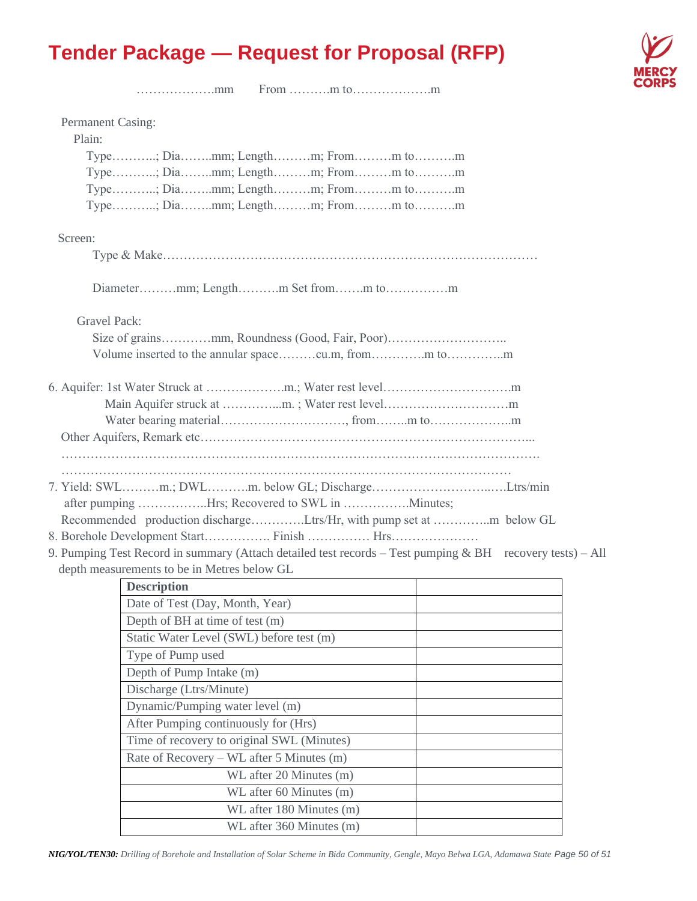

……………….mm From ……….m to……………….m

| Permanent Casing:<br>Plain: |                                                                                                           |  |
|-----------------------------|-----------------------------------------------------------------------------------------------------------|--|
|                             | Type; Diamm; Lengthm; Fromm tom                                                                           |  |
|                             | Type; Diamm; Lengthm; Fromm tom                                                                           |  |
|                             | Type; Diamm; Lengthm; Fromm tom                                                                           |  |
|                             | Type; Diamm; Lengthm; Fromm tom                                                                           |  |
|                             |                                                                                                           |  |
| Screen:                     |                                                                                                           |  |
|                             |                                                                                                           |  |
|                             |                                                                                                           |  |
| <b>Gravel Pack:</b>         |                                                                                                           |  |
|                             |                                                                                                           |  |
|                             |                                                                                                           |  |
|                             |                                                                                                           |  |
|                             |                                                                                                           |  |
|                             |                                                                                                           |  |
|                             |                                                                                                           |  |
|                             |                                                                                                           |  |
|                             |                                                                                                           |  |
|                             |                                                                                                           |  |
|                             | 7. Yield: SWLm.; DWLm. below GL; DischargeLtrs/min                                                        |  |
|                             | after pumping Hrs; Recovered to SWL in Minutes;                                                           |  |
|                             | Recommended production dischargeLtrs/Hr, with pump set at m below GL                                      |  |
|                             |                                                                                                           |  |
|                             | 9. Pumping Test Record in summary (Attach detailed test records – Test pumping & BH recovery tests) – All |  |
|                             | depth measurements to be in Metres below GL                                                               |  |
|                             | <b>Description</b>                                                                                        |  |
|                             | Date of Test (Day, Month, Year)                                                                           |  |
|                             | Depth of BH at time of test (m)                                                                           |  |
|                             | Static Water Level (SWL) before test (m)                                                                  |  |
|                             | Type of Pump used                                                                                         |  |
|                             | Depth of Pump Intake (m)                                                                                  |  |
|                             | Discharge (Ltrs/Minute)                                                                                   |  |
|                             | Dynamic/Pumping water level (m)                                                                           |  |
|                             | After Pumping continuously for (Hrs)                                                                      |  |
|                             | Time of recovery to original SWL (Minutes)                                                                |  |
|                             | Rate of Recovery – WL after 5 Minutes (m)                                                                 |  |
|                             | WL after 20 Minutes (m)                                                                                   |  |
|                             | WL after 60 Minutes (m)                                                                                   |  |
|                             | WL after 180 Minutes (m)                                                                                  |  |
|                             | WL after 360 Minutes (m)                                                                                  |  |
|                             |                                                                                                           |  |